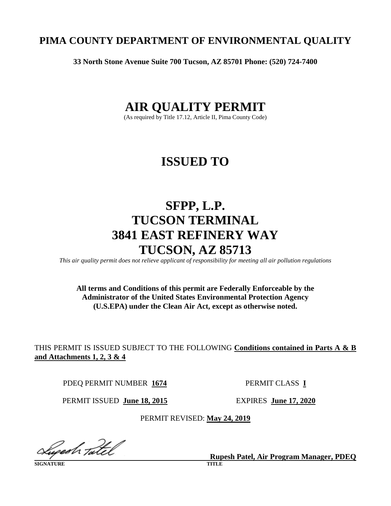# **PIMA COUNTY DEPARTMENT OF ENVIRONMENTAL QUALITY**

**33 North Stone Avenue Suite 700 Tucson, AZ 85701 Phone: (520) 724-7400**

# **AIR QUALITY PERMIT**

(As required by Title 17.12, Article II, Pima County Code)

# **ISSUED TO**

# **SFPP, L.P. TUCSON TERMINAL 3841 EAST REFINERY WAY TUCSON, AZ 85713**

*This air quality permit does not relieve applicant of responsibility for meeting all air pollution regulations*

# **All terms and Conditions of this permit are Federally Enforceable by the Administrator of the United States Environmental Protection Agency (U.S.EPA) under the Clean Air Act, except as otherwise noted.**

THIS PERMIT IS ISSUED SUBJECT TO THE FOLLOWING **Conditions contained in Parts A & B and Attachments 1, 2, 3 & 4**

PDEQ PERMIT NUMBER **1674** PERMIT CLASS **I**

PERMIT ISSUED **June 18, 2015** EXPIRES **June 17, 2020** 

PERMIT REVISED: **May 24, 2019**

lugesh <sub>T</sub>atel

**SIGNATURE TITLE** 

**Rupesh Patel, Air Program Manager, PDEQ**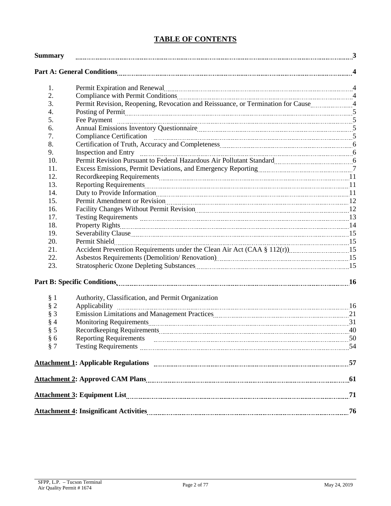# **TABLE OF CONTENTS**

| <b>Summary</b> |                                                                                                                                                                                                                                     |  |
|----------------|-------------------------------------------------------------------------------------------------------------------------------------------------------------------------------------------------------------------------------------|--|
|                |                                                                                                                                                                                                                                     |  |
| 1.             | Permit Expiration and Renewal material contracts and the Renewal Material Assembly Assembly Assembly Assembly                                                                                                                       |  |
| 2.             | Compliance with Permit Conditions [11] All and the Compliance with Permit Conditions [11] All and the Conditions [11] All and the Conditions [11] All and the Conditions [11] All and the Conditions [11] All and the Conditio      |  |
| 3.             | Permit Revision, Reopening, Revocation and Reissuance, or Termination for Cause4                                                                                                                                                    |  |
| 4.             | Posting of Permit <u>manual contracts</u> contained a series of Permit manual state of Permit manual state of the series of the series of the series of the series of the series of the series of the series of the series of the s |  |
| 5.             |                                                                                                                                                                                                                                     |  |
| 6.             |                                                                                                                                                                                                                                     |  |
| 7.             |                                                                                                                                                                                                                                     |  |
| 8.             |                                                                                                                                                                                                                                     |  |
| 9.             | Inspection and Entry <sub>manumur</sub> manumur manumur manumur manumur manumur 6                                                                                                                                                   |  |
| 10.            | Permit Revision Pursuant to Federal Hazardous Air Pollutant Standard [111] [12] Dermit Revision Pursuant to Federal Hazardous Air Pollutant Standard                                                                                |  |
| 11.            |                                                                                                                                                                                                                                     |  |
| 12.            |                                                                                                                                                                                                                                     |  |
| 13.            |                                                                                                                                                                                                                                     |  |
| 14.            |                                                                                                                                                                                                                                     |  |
| 15.            |                                                                                                                                                                                                                                     |  |
| 16.            | Facility Changes Without Permit Revision [11] [2014] The Changes Without Permit Revision [120] [2015] The Changes Without Permit Revision [120] [2015] The Changes Without Permit Revision [120] [2015] The Changes Without Re      |  |
| 17.            |                                                                                                                                                                                                                                     |  |
| 18.            |                                                                                                                                                                                                                                     |  |
| 19.            |                                                                                                                                                                                                                                     |  |
| 20.            |                                                                                                                                                                                                                                     |  |
| 21.            |                                                                                                                                                                                                                                     |  |
| 22.            |                                                                                                                                                                                                                                     |  |
| 23.            |                                                                                                                                                                                                                                     |  |
|                |                                                                                                                                                                                                                                     |  |
| § 1            | Authority, Classification, and Permit Organization                                                                                                                                                                                  |  |
| $§$ 2          |                                                                                                                                                                                                                                     |  |
| $§$ 3          |                                                                                                                                                                                                                                     |  |
| § 4            | Monitoring Requirements 21 and 21 and 21 and 21 and 21 and 21 and 21 and 22 and 23 and 24 and 25 and 25 and 25                                                                                                                      |  |
| § 5            |                                                                                                                                                                                                                                     |  |
| § 6            |                                                                                                                                                                                                                                     |  |
| § 7            | Testing Requirements Matterson Communication and the Communication and Testing Requirements Matterson                                                                                                                               |  |
|                |                                                                                                                                                                                                                                     |  |
|                |                                                                                                                                                                                                                                     |  |
|                |                                                                                                                                                                                                                                     |  |
|                |                                                                                                                                                                                                                                     |  |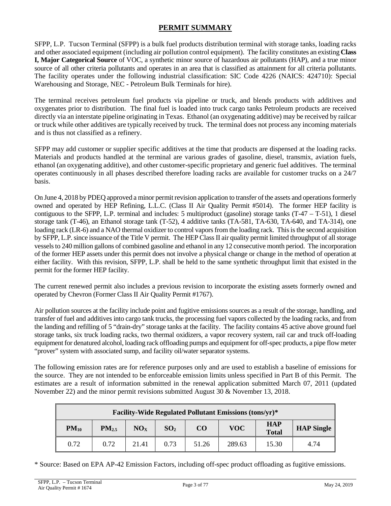# **PERMIT SUMMARY**

<span id="page-2-0"></span>SFPP, L.P. Tucson Terminal (SFPP) is a bulk fuel products distribution terminal with storage tanks, loading racks and other associated equipment (including air pollution control equipment). The facility constitutes an existing **Class I, Major Categorical Source** of VOC, a synthetic minor source of hazardous air pollutants (HAP), and a true minor source of all other criteria pollutants and operates in an area that is classified as attainment for all criteria pollutants. The facility operates under the following industrial classification: SIC Code 4226 (NAICS: 424710): Special Warehousing and Storage, NEC - Petroleum Bulk Terminals for hire).

The terminal receives petroleum fuel products via pipeline or truck, and blends products with additives and oxygenates prior to distribution. The final fuel is loaded into truck cargo tanks Petroleum products are received directly via an interstate pipeline originating in Texas. Ethanol (an oxygenating additive) may be received by railcar or truck while other additives are typically received by truck. The terminal does not process any incoming materials and is thus not classified as a refinery.

SFPP may add customer or supplier specific additives at the time that products are dispensed at the loading racks. Materials and products handled at the terminal are various grades of gasoline, diesel, transmix, aviation fuels, ethanol (an oxygenating additive), and other customer-specific proprietary and generic fuel additives. The terminal operates continuously in all phases described therefore loading racks are available for customer trucks on a 24/7 basis.

On June 4, 2018 by PDEQ approved a minor permit revision application to transfer of the assets and operations formerly owned and operated by HEP Refining, L.L.C. (Class II Air Quality Permit #5014). The former HEP facility is contiguous to the SFPP, L.P. terminal and includes: 5 multiproduct (gasoline) storage tanks (T-47 – T-51), 1 diesel storage tank (T-46), an Ethanol storage tank (T-52), 4 additive tanks (TA-581, TA-630, TA-640, and TA-314), one loading rack (LR-6) and a NAO thermal oxidizer to control vapors from the loading rack. This is the second acquisition by SFPP, L.P. since issuance of the Title V permit. The HEP Class II air quality permit limited throughput of all storage vessels to 240 million gallons of combined gasoline and ethanol in any 12 consecutive month period. The incorporation of the former HEP assets under this permit does not involve a physical change or change in the method of operation at either facility. With this revision, SFPP, L.P. shall be held to the same synthetic throughput limit that existed in the permit for the former HEP facility.

The current renewed permit also includes a previous revision to incorporate the existing assets formerly owned and operated by Chevron (Former Class II Air Quality Permit #1767).

Air pollution sources at the facility include point and fugitive emissions sources as a result of the storage, handling, and transfer of fuel and additives into cargo tank trucks, the processing fuel vapors collected by the loading racks, and from the landing and refilling of 5 "drain-dry" storage tanks at the facility. The facility contains 45 active above ground fuel storage tanks, six truck loading racks, two thermal oxidizers, a vapor recovery system, rail car and truck off-loading equipment for denatured alcohol, loading rack offloading pumps and equipment for off-spec products, a pipe flow meter "prover" system with associated sump, and facility oil/water separator systems.

The following emission rates are for reference purposes only and are used to establish a baseline of emissions for the source. They are not intended to be enforceable emission limits unless specified in Part B of this Permit. The estimates are a result of information submitted in the renewal application submitted March 07, 2011 (updated November 22) and the minor permit revisions submitted August 30 & November 13, 2018.

| <b>Facility-Wide Regulated Pollutant Emissions (tons/yr)*</b> |            |                 |                 |                 |            |                            |                   |  |  |
|---------------------------------------------------------------|------------|-----------------|-----------------|-----------------|------------|----------------------------|-------------------|--|--|
| $PM_{10}$                                                     | $PM_{2.5}$ | NO <sub>x</sub> | SO <sub>2</sub> | CO <sub>1</sub> | <b>VOC</b> | <b>HAP</b><br><b>Total</b> | <b>HAP</b> Single |  |  |
| 0.72                                                          | 0.72       | 21.41           | 0.73            | 51.26           | 289.63     | 15.30                      | 4.74              |  |  |

\* Source: Based on EPA AP-42 Emission Factors, including off-spec product offloading as fugitive emissions.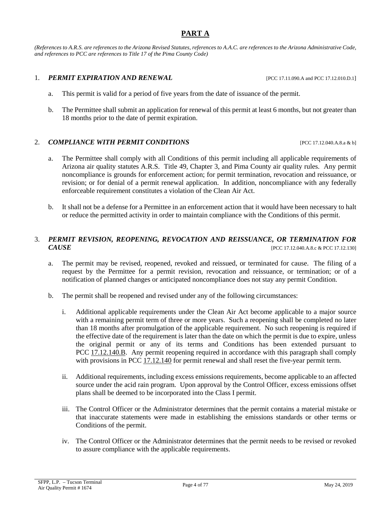# **PART A**

<span id="page-3-0"></span>*(References to A.R.S. are references to the Arizona Revised Statutes, references to A.A.C. are references to the Arizona Administrative Code, and references to PCC are references to Title 17 of the Pima County Code)*

# 1. *PERMIT EXPIRATION AND RENEWAL* [PCC 17.11.090.A and PCC 17.12.010.D.1]

- a. This permit is valid for a period of five years from the date of issuance of the permit.
- b. The Permittee shall submit an application for renewal of this permit at least 6 months, but not greater than 18 months prior to the date of permit expiration.

# 2. *COMPLIANCE WITH PERMIT CONDITIONS* [PCC 17.12.040.A.8.a & b]

- a. The Permittee shall comply with all Conditions of this permit including all applicable requirements of Arizona air quality statutes A.R.S. Title 49, Chapter 3, and Pima County air quality rules. Any permit noncompliance is grounds for enforcement action; for permit termination, revocation and reissuance, or revision; or for denial of a permit renewal application. In addition, noncompliance with any federally enforceable requirement constitutes a violation of the Clean Air Act.
- b. It shall not be a defense for a Permittee in an enforcement action that it would have been necessary to halt or reduce the permitted activity in order to maintain compliance with the Conditions of this permit.

# 3. *PERMIT REVISION, REOPENING, REVOCATION AND REISSUANCE, OR TERMINATION FOR*  **CAUSE EXECUTE 17.12.1301 EXECUTE 17.12.1301 EXECUTE 17.12.1301**

- a. The permit may be revised, reopened, revoked and reissued, or terminated for cause. The filing of a request by the Permittee for a permit revision, revocation and reissuance, or termination; or of a notification of planned changes or anticipated noncompliance does not stay any permit Condition.
- b. The permit shall be reopened and revised under any of the following circumstances:
	- i. Additional applicable requirements under the Clean Air Act become applicable to a major source with a remaining permit term of three or more years. Such a reopening shall be completed no later than 18 months after promulgation of the applicable requirement. No such reopening is required if the effective date of the requirement is later than the date on which the permit is due to expire, unless the original permit or any of its terms and Conditions has been extended pursuant to PCC [17.12.140.B.](https://tinyurl.com/17-12-140-a) Any permit reopening required in accordance with this paragraph shall comply with provisions in [PCC 17.12.140](https://tinyurl.com/17-12-140-a) for permit renewal and shall reset the five-year permit term.
	- ii. Additional requirements, including excess emissions requirements, become applicable to an affected source under the acid rain program. Upon approval by the Control Officer, excess emissions offset plans shall be deemed to be incorporated into the Class I permit.
	- iii. The Control Officer or the Administrator determines that the permit contains a material mistake or that inaccurate statements were made in establishing the emissions standards or other terms or Conditions of the permit.
	- iv. The Control Officer or the Administrator determines that the permit needs to be revised or revoked to assure compliance with the applicable requirements.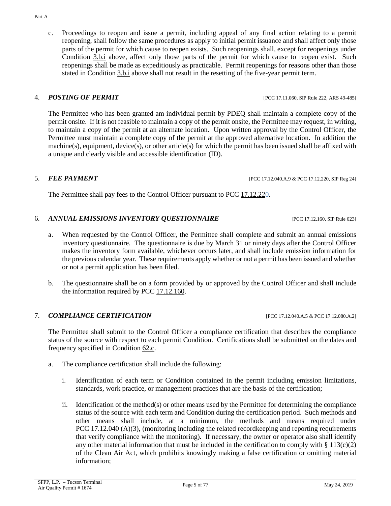c. Proceedings to reopen and issue a permit, including appeal of any final action relating to a permit reopening, shall follow the same procedures as apply to initial permit issuance and shall affect only those parts of the permit for which cause to reopen exists. Such reopenings shall, except for reopenings under Condition 3.b.i above, affect only those parts of the permit for which cause to reopen exist. Such reopenings shall be made as expeditiously as practicable. Permit reopenings for reasons other than those stated in Condition 3.b.i above shall not result in the resetting of the five-year permit term.

The Permittee who has been granted am individual permit by PDEQ shall maintain a complete copy of the permit onsite. If it is not feasible to maintain a copy of the permit onsite, the Permittee may request, in writing, to maintain a copy of the permit at an alternate location. Upon written approval by the Control Officer, the Permittee must maintain a complete copy of the permit at the approved alternative location. In addition the machine(s), equipment, device(s), or other article(s) for which the permit has been issued shall be affixed with a unique and clearly visible and accessible identification (ID).

# 5. *FEE PAYMENT* [PCC 17.12.040.A.9 & PCC 17.12.220, SIP Reg 24]

The Permittee shall pay fees to the Control Officer pursuant to [PCC 17.12.220.](https://tinyurl.com/17-12-220-A)

# 6. *ANNUAL EMISSIONS INVENTORY QUESTIONNAIRE* [PCC 17.12.160, SIP Rule 623]

- a. When requested by the Control Officer, the Permittee shall complete and submit an annual emissions inventory questionnaire. The questionnaire is due by March 31 or ninety days after the Control Officer makes the inventory form available, whichever occurs later, and shall include emission information for the previous calendar year. These requirements apply whether or not a permit has been issued and whether or not a permit application has been filed.
- b. The questionnaire shall be on a form provided by or approved by the Control Officer and shall include the information required by PCC [17.12.160.](https://tinyurl.com/17-12-160-A)

# <span id="page-4-1"></span>7. *COMPLIANCE CERTIFICATION* [PCC 17.12.040.A.5 & PCC 17.12.080.A.2]

The Permittee shall submit to the Control Officer a compliance certification that describes the compliance status of the source with respect to each permit Condition. Certifications shall be submitted on the dates and frequency specified in [Condition 62.c.](#page-52-1)

- <span id="page-4-0"></span>a. The compliance certification shall include the following:
	- i. Identification of each term or Condition contained in the permit including emission limitations, standards, work practice, or management practices that are the basis of the certification;
	- ii. Identification of the method(s) or other means used by the Permittee for determining the compliance status of the source with each term and Condition during the certification period. Such methods and other means shall include, at a minimum, the methods and means required under PCC [17.12.040](https://tinyurl.com/17-12-040-A) (A)(3), (monitoring including the related recordkeeping and reporting requirements that verify compliance with the monitoring). If necessary, the owner or operator also shall identify any other material information that must be included in the certification to comply with  $\S 113(c)(2)$ of the Clean Air Act, which prohibits knowingly making a false certification or omitting material information;

### 4. *POSTING OF PERMIT* **EXECUTE: POSTING OF PERMIT EXECUTE: POSTING AREA**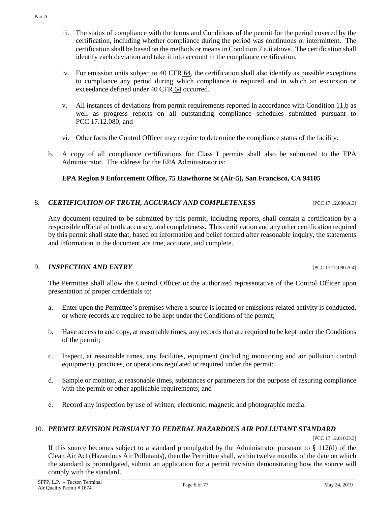Part A

- iii. The status of compliance with the terms and Conditions of the permit for the period covered by the certification, including whether compliance during the period was continuous or intermittent. The certification shall be based on the methods or means i[n Condition 7.a.ii](#page-4-0) above. The certification shall identify each deviation and take it into account in the compliance certification.
- iv. For emission units subject to [40 CFR](https://tinyurl.com/40-CFR-64) 64, the certification shall also identify as possible exceptions to compliance any period during which compliance is required and in which an excursion or exceedance defined under [40 CFR](https://tinyurl.com/40-CFR-64) 64 occurred.
- v. All instances of deviations from permit requirements reported in accordance with [Condition 11.b](#page-7-0) as well as progress reports on all outstanding compliance schedules submitted pursuant to PCC [17.12.080;](https://tinyurl.com/17-12-180-A) and
- vi. Other facts the Control Officer may require to determine the compliance status of the facility.
- b. A copy of all compliance certifications for Class I permits shall also be submitted to the EPA Administrator. The address for the EPA Administrator is:

# **EPA Region 9 Enforcement Office, 75 Hawthorne St (Air-5), San Francisco, CA 94105**

# 8. *CERTIFICATION OF TRUTH, ACCURACY AND COMPLETENESS* [PCC 17.12.080.A.3]

Any document required to be submitted by this permit, including reports, shall contain a certification by a responsible official of truth, accuracy, and completeness. This certification and any other certification required by this permit shall state that, based on information and belief formed after reasonable inquiry, the statements and information in the document are true, accurate, and complete.

# 9. *INSPECTION AND ENTRY* [PCC 17.12.080.A.4]

The Permittee shall allow the Control Officer or the authorized representative of the Control Officer upon presentation of proper credentials to:

- a. Enter upon the Permittee's premises where a source is located or emissions-related activity is conducted, or where records are required to be kept under the Conditions of the permit;
- b. Have access to and copy, at reasonable times, any records that are required to be kept under the Conditions of the permit;
- c. Inspect, at reasonable times, any facilities, equipment (including monitoring and air pollution control equipment), practices, or operations regulated or required under the permit;
- d. Sample or monitor, at reasonable times, substances or parameters for the purpose of assuring compliance with the permit or other applicable requirements; and
- e. Record any inspection by use of written, electronic, magnetic and photographic media.

# 10. *PERMIT REVISION PURSUANT TO FEDERAL HAZARDOUS AIR POLLUTANT STANDARD*

[PCC 17.12.010.D.3]

If this source becomes subject to a standard promulgated by the Administrator pursuant to  $\S 112(d)$  of the Clean Air Act (Hazardous Air Pollutants), then the Permittee shall, within twelve months of the date on which the standard is promulgated, submit an application for a permit revision demonstrating how the source will comply with the standard.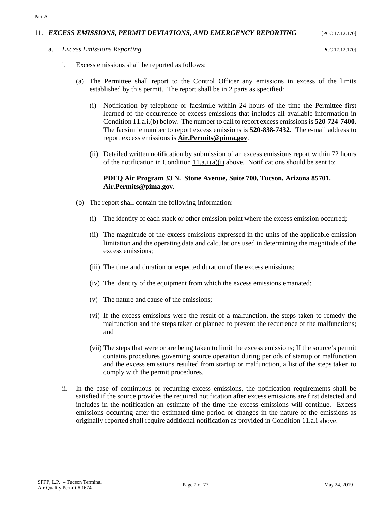# <span id="page-6-4"></span>11. *EXCESS EMISSIONS, PERMIT DEVIATIONS, AND EMERGENCY REPORTING* [PCC 17.12.170]

<span id="page-6-3"></span><span id="page-6-2"></span>a. *Excess Emissions Reporting* [PCC 17.12.170]

Part A

- <span id="page-6-1"></span>i. Excess emissions shall be reported as follows:
	- (a) The Permittee shall report to the Control Officer any emissions in excess of the limits established by this permit. The report shall be in 2 parts as specified:
		- (i) Notification by telephone or facsimile within 24 hours of the time the Permittee first learned of the occurrence of excess emissions that includes all available information in [Condition 11.a.i.\(b\)](#page-6-0) below. The number to call to report excess emissions is **520-724-7400.**  The facsimile number to report excess emissions is **520-838-7432.** The e-mail address to report excess emissions is **[Air.Permits@pima.gov](mailto:Air.Permits@pima.gov)**.
		- (ii) Detailed written notification by submission of an excess emissions report within 72 hours of the notification in Condition  $11.a.i.(a)(i)$  above. Notifications should be sent to:

## **PDEQ Air Program 33 N. Stone Avenue, Suite 700, Tucson, Arizona 85701. [Air.Permits@pima.gov.](mailto:Air.Permits@pima.gov)**

- <span id="page-6-0"></span>(b) The report shall contain the following information:
	- (i) The identity of each stack or other emission point where the excess emission occurred;
	- (ii) The magnitude of the excess emissions expressed in the units of the applicable emission limitation and the operating data and calculations used in determining the magnitude of the excess emissions;
	- (iii) The time and duration or expected duration of the excess emissions;
	- (iv) The identity of the equipment from which the excess emissions emanated;
	- (v) The nature and cause of the emissions;
	- (vi) If the excess emissions were the result of a malfunction, the steps taken to remedy the malfunction and the steps taken or planned to prevent the recurrence of the malfunctions; and
	- (vii) The steps that were or are being taken to limit the excess emissions; If the source's permit contains procedures governing source operation during periods of startup or malfunction and the excess emissions resulted from startup or malfunction, a list of the steps taken to comply with the permit procedures.
- ii. In the case of continuous or recurring excess emissions, the notification requirements shall be satisfied if the source provides the required notification after excess emissions are first detected and includes in the notification an estimate of the time the excess emissions will continue. Excess emissions occurring after the estimated time period or changes in the nature of the emissions as originally reported shall require additional notification as provided in [Condition](#page-6-2) 11.a.i above.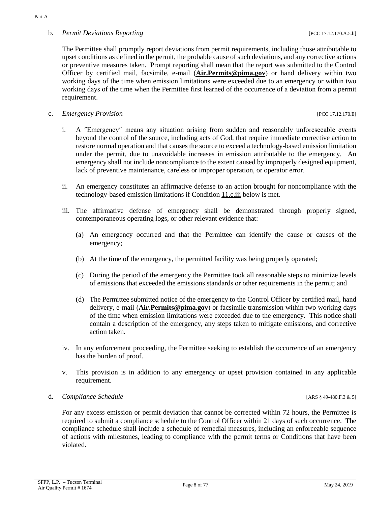<span id="page-7-0"></span>b. *Permit Deviations Reporting*  $[PC 17.12.170.A.5.b]$ 

c. *Emergency Provision* [PCC 17.12.170.E]

- i. A ″Emergency″ means any situation arising from sudden and reasonably unforeseeable events beyond the control of the source, including acts of God, that require immediate corrective action to restore normal operation and that causes the source to exceed a technology-based emission limitation under the permit, due to unavoidable increases in emission attributable to the emergency. An emergency shall not include noncompliance to the extent caused by improperly designed equipment, lack of preventive maintenance, careless or improper operation, or operator error.
- ii. An emergency constitutes an affirmative defense to an action brought for noncompliance with the technology-based emission limitations if [Condition](#page-7-1) 11.c.iii below is met.
- <span id="page-7-1"></span>iii. The affirmative defense of emergency shall be demonstrated through properly signed, contemporaneous operating logs, or other relevant evidence that:
	- (a) An emergency occurred and that the Permittee can identify the cause or causes of the emergency;
	- (b) At the time of the emergency, the permitted facility was being properly operated;
	- (c) During the period of the emergency the Permittee took all reasonable steps to minimize levels of emissions that exceeded the emissions standards or other requirements in the permit; and
	- (d) The Permittee submitted notice of the emergency to the Control Officer by certified mail, hand delivery, e-mail (**[Air.Permits@pima.gov](mailto:Air.Permits@pima.gov)**) or facsimile transmission within two working days of the time when emission limitations were exceeded due to the emergency. This notice shall contain a description of the emergency, any steps taken to mitigate emissions, and corrective action taken.
- iv. In any enforcement proceeding, the Permittee seeking to establish the occurrence of an emergency has the burden of proof.
- v. This provision is in addition to any emergency or upset provision contained in any applicable requirement.

# d. *Compliance Schedule* [ARS § 49-480.F.3 & 5]

For any excess emission or permit deviation that cannot be corrected within 72 hours, the Permittee is required to submit a compliance schedule to the Control Officer within 21 days of such occurrence. The compliance schedule shall include a schedule of remedial measures, including an enforceable sequence of actions with milestones, leading to compliance with the permit terms or Conditions that have been violated.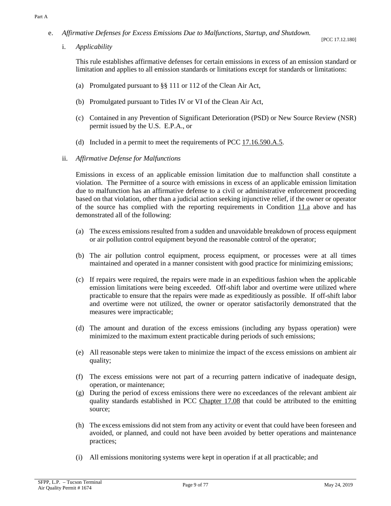<span id="page-8-1"></span>e. *Affirmative Defenses for Excess Emissions Due to Malfunctions, Startup, and Shutdown.*

i. *Applicability*

This rule establishes affirmative defenses for certain emissions in excess of an emission standard or limitation and applies to all emission standards or limitations except for standards or limitations:

- (a) Promulgated pursuant to §§ 111 or 112 of the Clean Air Act,
- (b) Promulgated pursuant to Titles IV or VI of the Clean Air Act,
- (c) Contained in any Prevention of Significant Deterioration (PSD) or New Source Review (NSR) permit issued by the U.S. E.P.A., or
- (d) Included in a permit to meet the requirements of PCC  $17.16.590.A.5$ .
- <span id="page-8-0"></span>ii. *Affirmative Defense for Malfunctions*

Emissions in excess of an applicable emission limitation due to malfunction shall constitute a violation. The Permittee of a source with emissions in excess of an applicable emission limitation due to malfunction has an affirmative defense to a civil or administrative enforcement proceeding based on that violation, other than a judicial action seeking injunctive relief, if the owner or operator of the source has complied with the reporting requirements in [Condition](#page-6-3)  $11.a$  above and has demonstrated all of the following:

- (a) The excess emissions resulted from a sudden and unavoidable breakdown of process equipment or air pollution control equipment beyond the reasonable control of the operator;
- (b) The air pollution control equipment, process equipment, or processes were at all times maintained and operated in a manner consistent with good practice for minimizing emissions;
- (c) If repairs were required, the repairs were made in an expeditious fashion when the applicable emission limitations were being exceeded. Off-shift labor and overtime were utilized where practicable to ensure that the repairs were made as expeditiously as possible. If off-shift labor and overtime were not utilized, the owner or operator satisfactorily demonstrated that the measures were impracticable;
- (d) The amount and duration of the excess emissions (including any bypass operation) were minimized to the maximum extent practicable during periods of such emissions;
- (e) All reasonable steps were taken to minimize the impact of the excess emissions on ambient air quality;
- (f) The excess emissions were not part of a recurring pattern indicative of inadequate design, operation, or maintenance;
- (g) During the period of excess emissions there were no exceedances of the relevant ambient air quality standards established in [PCC Chapter 17.08](https://tinyurl.com/PCC-17-08) that could be attributed to the emitting source;
- (h) The excess emissions did not stem from any activity or event that could have been foreseen and avoided, or planned, and could not have been avoided by better operations and maintenance practices;
- (i) All emissions monitoring systems were kept in operation if at all practicable; and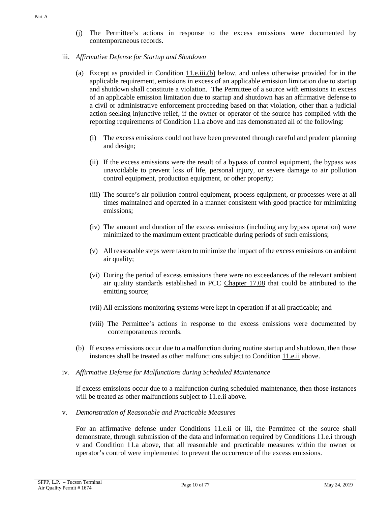# iii. *Affirmative Defense for Startup and Shutdown*

- (a) Except as provided in [Condition](#page-9-0)  $11.e.iii(b)$  below, and unless otherwise provided for in the applicable requirement, emissions in excess of an applicable emission limitation due to startup and shutdown shall constitute a violation. The Permittee of a source with emissions in excess of an applicable emission limitation due to startup and shutdown has an affirmative defense to a civil or administrative enforcement proceeding based on that violation, other than a judicial action seeking injunctive relief, if the owner or operator of the source has complied with the reporting requirements of [Condition 11.a](#page-6-3) above and has demonstrated all of the following:
	- (i) The excess emissions could not have been prevented through careful and prudent planning and design;
	- (ii) If the excess emissions were the result of a bypass of control equipment, the bypass was unavoidable to prevent loss of life, personal injury, or severe damage to air pollution control equipment, production equipment, or other property;
	- (iii) The source's air pollution control equipment, process equipment, or processes were at all times maintained and operated in a manner consistent with good practice for minimizing emissions;
	- (iv) The amount and duration of the excess emissions (including any bypass operation) were minimized to the maximum extent practicable during periods of such emissions;
	- (v) All reasonable steps were taken to minimize the impact of the excess emissions on ambient air quality;
	- (vi) During the period of excess emissions there were no exceedances of the relevant ambient air quality standards established in [PCC Chapter 17.08](https://tinyurl.com/PCC-17-08) that could be attributed to the emitting source;
	- (vii) All emissions monitoring systems were kept in operation if at all practicable; and
	- (viii) The Permittee's actions in response to the excess emissions were documented by contemporaneous records.
- (b) If excess emissions occur due to a malfunction during routine startup and shutdown, then those instances shall be treated as other malfunctions subject to [Condition](#page-8-0) 11.e.ii above.
- <span id="page-9-0"></span>iv. *Affirmative Defense for Malfunctions during Scheduled Maintenance*

If excess emissions occur due to a malfunction during scheduled maintenance, then those instances will be treated as other malfunctions subject to 11.e.ii above.

v. *Demonstration of Reasonable and Practicable Measures*

For an affirmative defense under [Conditions 11.e.ii or iii,](#page-8-0) the Permittee of the source shall demonstrate, through submission of the data and information required by [Conditions 11.e.i through](#page-8-1)  [v](#page-8-1) and [Condition 11.a](#page-6-3) above, that all reasonable and practicable measures within the owner or operator's control were implemented to prevent the occurrence of the excess emissions.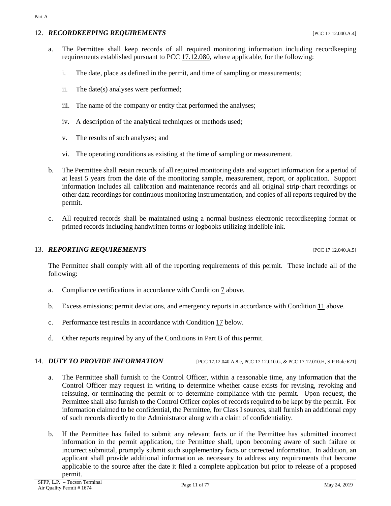### 12. *RECORDKEEPING REQUIREMENTS* [PCC 17.12.040.A.4]

- a. The Permittee shall keep records of all required monitoring information including recordkeeping requirements established pursuant to [PCC 17.12.080,](https://tinyurl.com/PCC-17-12-080) where applicable, for the following:
	- i. The date, place as defined in the permit, and time of sampling or measurements;
	- ii. The date(s) analyses were performed;
	- iii. The name of the company or entity that performed the analyses;
	- iv. A description of the analytical techniques or methods used;
	- v. The results of such analyses; and
	- vi. The operating conditions as existing at the time of sampling or measurement.
- b. The Permittee shall retain records of all required monitoring data and support information for a period of at least 5 years from the date of the monitoring sample, measurement, report, or application. Support information includes all calibration and maintenance records and all original strip-chart recordings or other data recordings for continuous monitoring instrumentation, and copies of all reports required by the permit.
- c. All required records shall be maintained using a normal business electronic recordkeeping format or printed records including handwritten forms or logbooks utilizing indelible ink.

# 13. **REPORTING REQUIREMENTS** [PCC 17.12.040.A.5]

The Permittee shall comply with all of the reporting requirements of this permit. These include all of the following:

- a. Compliance certifications in accordance with [Condition](#page-4-1) 7 above.
- b. Excess emissions; permit deviations, and emergency reports in accordance wit[h Condition](#page-6-4) 11 above.
- c. Performance test results in accordance with [Condition](#page-12-0) 17 below.
- d. Other reports required by any of the Conditions in Part B of this permit.

### 14. *DUTY TO PROVIDE INFORMATION* [PCC 17.12.040.A.8.e, PCC 17.12.010.G, & PCC 17.12.010.H, SIP Rule 621]

- a. The Permittee shall furnish to the Control Officer, within a reasonable time, any information that the Control Officer may request in writing to determine whether cause exists for revising, revoking and reissuing, or terminating the permit or to determine compliance with the permit. Upon request, the Permittee shall also furnish to the Control Officer copies of records required to be kept by the permit. For information claimed to be confidential, the Permittee, for Class I sources, shall furnish an additional copy of such records directly to the Administrator along with a claim of confidentiality.
- b. If the Permittee has failed to submit any relevant facts or if the Permittee has submitted incorrect information in the permit application, the Permittee shall, upon becoming aware of such failure or incorrect submittal, promptly submit such supplementary facts or corrected information. In addition, an applicant shall provide additional information as necessary to address any requirements that become applicable to the source after the date it filed a complete application but prior to release of a proposed permit.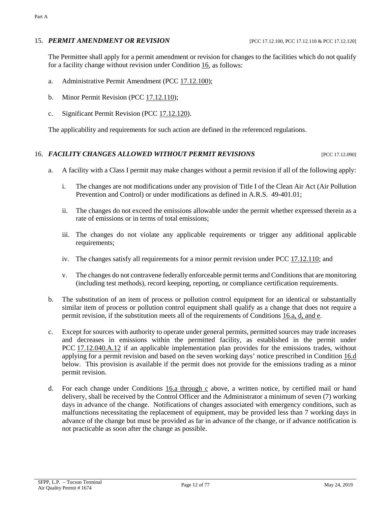## 15. *PERMIT AMENDMENT OR REVISION* [PCC 17.12.100, PCC 17.12.110 & PCC 17.12.120]

The Permittee shall apply for a permit amendment or revision for changes to the facilities which do not qualify for a facility change without revision under [Condition](#page-11-0) 16, as follows:

- a. Administrative Permit Amendment [\(PCC 17.12.100\)](https://tinyurl.com/17-12-100-A);
- <span id="page-11-3"></span>b. Minor Permit Revision [\(PCC 17.12.110\)](https://tinyurl.com/17-12-100-A);
- c. Significant Permit Revision [\(PCC 17.12.120\)](https://tinyurl.com/17-12-120-A).

The applicability and requirements for such action are defined in the referenced regulations.

### <span id="page-11-0"></span>16. **FACILITY CHANGES ALLOWED WITHOUT PERMIT REVISIONS** [PCC 17.12.090]

- <span id="page-11-1"></span>a. A facility with a Class I permit may make changes without a permit revision if all of the following apply:
	- i. The changes are not modifications under any provision of Title I of the Clean Air Act (Air Pollution Prevention and Control) or under modifications as defined in A.R.S. 49-401.01;
	- ii. The changes do not exceed the emissions allowable under the permit whether expressed therein as a rate of emissions or in terms of total emissions;
	- iii. The changes do not violate any applicable requirements or trigger any additional applicable requirements;
	- iv. The changes satisfy all requirements for a minor permit revision under [PCC 17.12.110;](https://tinyurl.com/17-11-110) and
	- v. The changes do not contravene federally enforceable permit terms and Conditions that are monitoring (including test methods), record keeping, reporting, or compliance certification requirements.
- b. The substitution of an item of process or pollution control equipment for an identical or substantially similar item of process or pollution control equipment shall qualify as a change that does not require a permit revision, if the substitution meets all of the requirements o[f Conditions 16.a, d, and e.](#page-11-1)
- c. Except for sources with authority to operate under general permits, permitted sources may trade increases and decreases in emissions within the permitted facility, as established in the permit under PCC [17.12.040.A.12](https://tinyurl.com/17-12-040-A) if an applicable implementation plan provides for the emissions trades, without applying for a permit revision and based on the seven working days' notice prescribed in [Condition](#page-11-2) 16.d below. This provision is available if the permit does not provide for the emissions trading as a minor permit revision.
- <span id="page-11-2"></span>d. For each change under [Conditions 16.a through c](#page-11-1) above, a written notice, by certified mail or hand delivery, shall be received by the Control Officer and the Administrator a minimum of seven (7) working days in advance of the change. Notifications of changes associated with emergency conditions, such as malfunctions necessitating the replacement of equipment, may be provided less than 7 working days in advance of the change but must be provided as far in advance of the change, or if advance notification is not practicable as soon after the change as possible.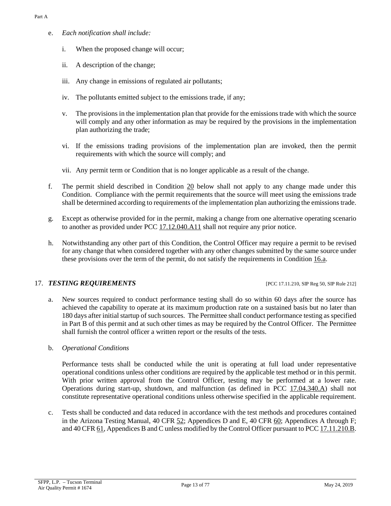- e. *Each notification shall include:*
	- i. When the proposed change will occur;
	- ii. A description of the change;
	- iii. Any change in emissions of regulated air pollutants;
	- iv. The pollutants emitted subject to the emissions trade, if any;
	- v. The provisions in the implementation plan that provide for the emissions trade with which the source will comply and any other information as may be required by the provisions in the implementation plan authorizing the trade;
	- vi. If the emissions trading provisions of the implementation plan are invoked, then the permit requirements with which the source will comply; and
	- vii. Any permit term or Condition that is no longer applicable as a result of the change.
- f. The permit shield described in [Condition](#page-14-0) 20 below shall not apply to any change made under this Condition. Compliance with the permit requirements that the source will meet using the emissions trade shall be determined according to requirements of the implementation plan authorizing the emissions trade.
- g. Except as otherwise provided for in the permit, making a change from one alternative operating scenario to another as provided under [PCC 17.12.040.A11](https://tinyurl.com/17-12-040-A) shall not require any prior notice.
- h. Notwithstanding any other part of this Condition, the Control Officer may require a permit to be revised for any change that when considered together with any other changes submitted by the same source under these provisions over the term of the permit, do not satisfy the requirements in [Condition](#page-11-1) 16.a.

# <span id="page-12-0"></span>17. *TESTING REQUIREMENTS* [PCC 17.11.210, SIP Reg 50, SIP Rule 212]

- a. New sources required to conduct performance testing shall do so within 60 days after the source has achieved the capability to operate at its maximum production rate on a sustained basis but no later than 180 days after initial startup of such sources. The Permittee shall conduct performance testing as specified in Part B of this permit and at such other times as may be required by the Control Officer. The Permittee shall furnish the control officer a written report or the results of the tests.
- b. *Operational Conditions*

Performance tests shall be conducted while the unit is operating at full load under representative operational conditions unless other conditions are required by the applicable test method or in this permit. With prior written approval from the Control Officer, testing may be performed at a lower rate. Operations during start-up, shutdown, and malfunction (as defined in [PCC 17.04.340.A\)](https://tinyurl.com/17-04-340) shall not constitute representative operational conditions unless otherwise specified in the applicable requirement.

c. Tests shall be conducted and data reduced in accordance with the test methods and procedures contained in the Arizona Testing Manual, [40 CFR 52;](https://tinyurl.com/40-CFR-52) Appendices D and E, [40 CFR 60;](https://tinyurl.com/40-CFR-60-INCL) Appendices A through F; an[d 40 CFR 61,](https://tinyurl.com/40-cfr-61) Appendices B and C unless modified by the Control Officer pursuant t[o PCC 17.11.210.B.](https://tinyurl.com/17-12-210-A)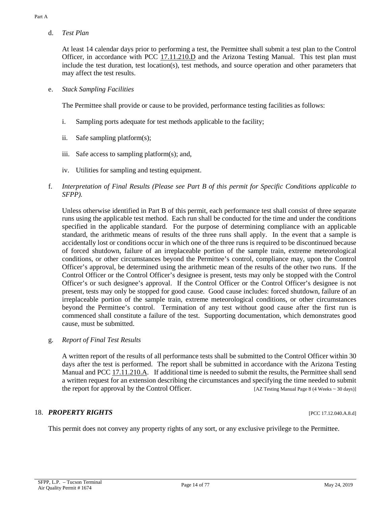d. *Test Plan*

At least 14 calendar days prior to performing a test, the Permittee shall submit a test plan to the Control Officer, in accordance with [PCC 17.11.210.D](https://tinyurl.com/17-12-210-A) and the Arizona Testing Manual. This test plan must include the test duration, test location(s), test methods, and source operation and other parameters that may affect the test results.

e. *Stack Sampling Facilities*

The Permittee shall provide or cause to be provided, performance testing facilities as follows:

- i. Sampling ports adequate for test methods applicable to the facility;
- ii. Safe sampling platform(s);
- iii. Safe access to sampling platform(s); and,
- iv. Utilities for sampling and testing equipment.
- f. *Interpretation of Final Results (Please see Part B of this permit for Specific Conditions applicable to SFPP).*

Unless otherwise identified in Part B of this permit, each performance test shall consist of three separate runs using the applicable test method. Each run shall be conducted for the time and under the conditions specified in the applicable standard. For the purpose of determining compliance with an applicable standard, the arithmetic means of results of the three runs shall apply. In the event that a sample is accidentally lost or conditions occur in which one of the three runs is required to be discontinued because of forced shutdown, failure of an irreplaceable portion of the sample train, extreme meteorological conditions, or other circumstances beyond the Permittee's control, compliance may, upon the Control Officer's approval, be determined using the arithmetic mean of the results of the other two runs. If the Control Officer or the Control Officer's designee is present, tests may only be stopped with the Control Officer's or such designee's approval. If the Control Officer or the Control Officer's designee is not present, tests may only be stopped for good cause. Good cause includes: forced shutdown, failure of an irreplaceable portion of the sample train, extreme meteorological conditions, or other circumstances beyond the Permittee's control. Termination of any test without good cause after the first run is commenced shall constitute a failure of the test. Supporting documentation, which demonstrates good cause, must be submitted.

### g. *Report of Final Test Results*

A written report of the results of all performance tests shall be submitted to the Control Officer within 30 days after the test is performed. The report shall be submitted in accordance with the Arizona Testing Manual and [PCC 17.11.210.A.](https://tinyurl.com/17-12-210-A) If additional time is needed to submit the results, the Permittee shall send a written request for an extension describing the circumstances and specifying the time needed to submit the report for approval by the Control Officer. [AZ Testing Manual Page 8 (4 Weeks ~ 30 days)]

### 18. **PROPERTY RIGHTS** [PCC 17.12.040.A.8.d]

This permit does not convey any property rights of any sort, or any exclusive privilege to the Permittee.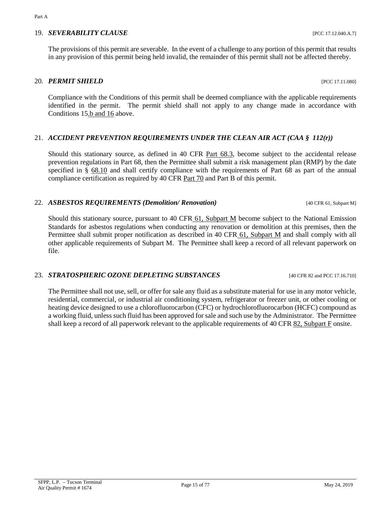# 19. *SEVERABILITY CLAUSE* [PCC 17.12.040.A.7]

The provisions of this permit are severable. In the event of a challenge to any portion of this permit that results in any provision of this permit being held invalid, the remainder of this permit shall not be affected thereby.

## <span id="page-14-0"></span>20. *PERMIT SHIELD* [PCC 17.11.080]

Compliance with the Conditions of this permit shall be deemed compliance with the applicable requirements identified in the permit. The permit shield shall not apply to any change made in accordance with Conditions [15.b and 16](#page-11-3) above.

# 21. *ACCIDENT PREVENTION REQUIREMENTS UNDER THE CLEAN AIR ACT (CAA § 112(r))*

Should this stationary source, as defined in [40 CFR Part 68.3,](https://tinyurl.com/40-cfr-68-incl) become subject to the accidental release prevention regulations in Part 68, then the Permittee shall submit a risk management plan (RMP) by the date specified in § [68.10](https://tinyurl.com/40-cfr-68-incl) and shall certify compliance with the requirements of Part 68 as part of the annual compliance certification as required by [40 CFR Part 70](https://tinyurl.com/40-CFR-70-6) and Part B of this permit.

### 22. *ASBESTOS REQUIREMENTS (Demolition/ Renovation)* [40 CFR 61, Subpart M]

Should this stationary source, pursuant to 40 CFR [61, Subpart M](https://tinyurl.com/40-cfr-61-M) become subject to the National Emission Standards for asbestos regulations when conducting any renovation or demolition at this premises, then the Permittee shall submit proper notification as described in 40 CFR [61, Subpart M](https://tinyurl.com/40-cfr-61-M) and shall comply with all other applicable requirements of Subpart M. The Permittee shall keep a record of all relevant paperwork on file.

### 23. *STRATOSPHERIC OZONE DEPLETING SUBSTANCES* [40 CFR 82 and PCC 17.16.710]

The Permittee shall not use, sell, or offer for sale any fluid as a substitute material for use in any motor vehicle, residential, commercial, or industrial air conditioning system, refrigerator or freezer unit, or other cooling or heating device designed to use a chlorofluorocarbon (CFC) or hydrochlorofluorocarbon (HCFC) compound as a working fluid, unless such fluid has been approved for sale and such use by the Administrator. The Permittee shall keep a record of all paperwork relevant to the applicable requirements of [40 CFR 82, Subpart F](https://tinyurl.com/40-CFR-82-F) onsite.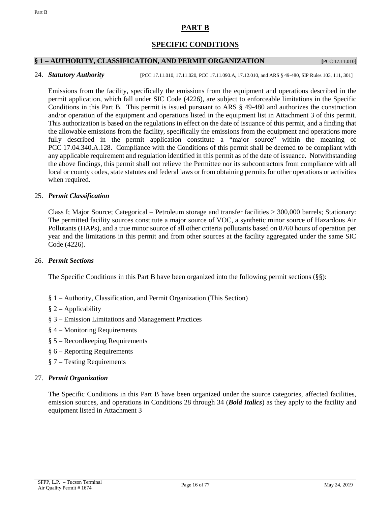# **PART B**

# **SPECIFIC CONDITIONS**

## <span id="page-15-0"></span>**§ 1 – AUTHORITY, CLASSIFICATION, AND PERMIT ORGANIZATION [**PCC 17.11.010]

### 24. *Statutory Authority* [PCC 17.11.010, 17.11.020, PCC 17.11.090.A, 17.12.010, and ARS § 49-480, SIP Rules 103, 111, 301]

Emissions from the facility, specifically the emissions from the equipment and operations described in the permit application, which fall under SIC Code (4226), are subject to enforceable limitations in the Specific Conditions in this Part B. This permit is issued pursuant to ARS § 49-480 and authorizes the construction and/or operation of the equipment and operations listed in the equipment list in Attachment 3 of this permit. This authorization is based on the regulations in effect on the date of issuance of this permit, and a finding that the allowable emissions from the facility, specifically the emissions from the equipment and operations more fully described in the permit application constitute a "major source" within the meaning of PCC [17.04.340.A.128.](https://tinyurl.com/17-04-340) Compliance with the Conditions of this permit shall be deemed to be compliant with any applicable requirement and regulation identified in this permit as of the date of issuance. Notwithstanding the above findings, this permit shall not relieve the Permittee nor its subcontractors from compliance with all local or county codes, state statutes and federal laws or from obtaining permits for other operations or activities when required.

### 25. *Permit Classification*

Class I; Major Source; Categorical – Petroleum storage and transfer facilities > 300,000 barrels; Stationary: The permitted facility sources constitute a major source of VOC, a synthetic minor source of Hazardous Air Pollutants (HAPs), and a true minor source of all other criteria pollutants based on 8760 hours of operation per year and the limitations in this permit and from other sources at the facility aggregated under the same SIC Code (4226).

### 26. *Permit Sections*

The Specific Conditions in this Part B have been organized into the following permit sections (§§):

- § 1 Authority, Classification, and Permit Organization (This Section)
- § 2 Applicability
- § 3 Emission Limitations and Management Practices
- § 4 Monitoring Requirements
- § 5 Recordkeeping Requirements
- § 6 Reporting Requirements
- § 7 Testing Requirements

### 27. *Permit Organization*

The Specific Conditions in this Part B have been organized under the source categories, affected facilities, emission sources, and operations in Conditions 28 through 34 (*Bold Italics*) as they apply to the facility and equipment listed in Attachment 3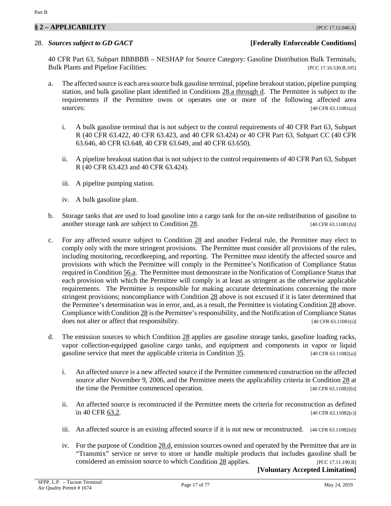# **§ 2 – APPLICABILITY** [PCC 17.12.040.A]

# <span id="page-16-1"></span>28. *Sources subject to GD GACT* **[Federally Enforceable Conditions]**

40 CFR Part 63, Subpart BBBBBB – NESHAP for Source Category: Gasoline Distribution Bulk Terminals, Bulk Plants and Pipeline Facilities: [PCC 17.16.530.B.105]

- <span id="page-16-0"></span>a. The affected source is each area source bulk gasoline terminal, pipeline breakout station, pipeline pumping station, and bulk gasoline plant identified in [Conditions 28.a](#page-16-0) through d. The Permittee is subject to the requirements if the Permittee owns or operates one or more of the following affected area sources: [40 CFR 63.11081(a)]
	- i. A bulk gasoline terminal that is not subject to the control requirements of 40 CFR Part 63, Subpart R (40 CFR 63.422, 40 CFR 63.423, and 40 CFR 63.424) or 40 CFR Part 63, Subpart CC (40 CFR 63.646, 40 CFR 63.648, 40 CFR 63.649, and 40 CFR 63.650).
	- ii. A pipeline breakout station that is not subject to the control requirements of 40 CFR Part 63, Subpart R (40 CFR 63.423 and 40 CFR 63.424).
	- iii. A pipeline pumping station.
	- iv. A bulk gasoline plant.
- b. Storage tanks that are used to load gasoline into a cargo tank for the on-site redistribution of gasoline to another storage tank are subject to [Condition 28.](#page-16-1) [40 CFR 63.11081(h)]
- c. For any affected source subject to [Condition](#page-16-1) 28 and another Federal rule, the Permittee may elect to comply only with the more stringent provisions. The Permittee must consider all provisions of the rules, including monitoring, recordkeeping, and reporting. The Permittee must identify the affected source and provisions with which the Permittee will comply in the Permittee's Notification of Compliance Status required in [Condition](#page-49-1) 56.a. The Permittee must demonstrate in the Notification of Compliance Status that each provision with which the Permittee will comply is at least as stringent as the otherwise applicable requirements. The Permittee is responsible for making accurate determinations concerning the more stringent provisions; noncompliance with [Condition 28](#page-16-1) above is not excused if it is later determined that the Permittee's determination was in error, and, as a result, the Permittee is violating [Condition 28](#page-16-1) above. Compliance wit[h Condition 28](#page-16-1) is the Permittee's responsibility, and the Notification of Compliance Status does not alter or affect that responsibility. [40 CFR 63.11081(i)]
- <span id="page-16-2"></span>d. The emission sources to which [Condition 28](#page-16-1) applies are gasoline storage tanks, gasoline loading racks, vapor collection-equipped gasoline cargo tanks, and equipment and components in vapor or liquid gasoline service that meet the applicable criteria in [Condition](#page-20-1) 35. [40 CFR 63.11082(a)]
	- i. An affected source is a new affected source if the Permittee commenced construction on the affected source after November 9, 2006, and the Permittee meets the applicability criteria in [Condition 28](#page-16-1) at the time the Permittee commenced operation. [40 CFR 63.11082(b)]
	- ii. An affected source is reconstructed if the Permittee meets the criteria for reconstruction as defined in [40 CFR 63.2.](https://tinyurl.com/40-CFR-63-2) [40 CFR 63.11082(c)]
	- iii. An affected source is an existing affected source if it is not new or reconstructed. [40 CFR 63.11082(d)]
	- iv. For the purpose of [Condition](#page-16-2) 28.d, emission sources owned and operated by the Permittee that are in "Transmix" service or serve to store or handle multiple products that includes gasoline shall be considered an emission source to whic[h Condition 28](#page-16-1) applies. [PCC 17.11.190.B] **[Voluntary Accepted Limitation]**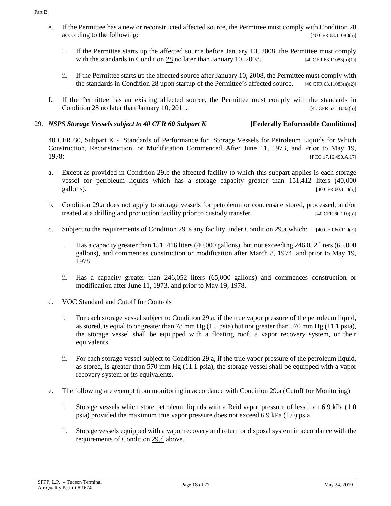- <span id="page-17-4"></span>e. If the Permittee has a new or reconstructed affected source, the Permittee must comply wit[h Condition 28](#page-16-1) according to the following: [40 CFR 63.11083(a)]
	- i. If the Permittee starts up the affected source before January 10, 2008, the Permittee must comply with the standards in [Condition 28](#page-16-1) no later than January 10, 2008. [40 CFR 63.11083(a)(1)]
	- ii. If the Permittee starts up the affected source after January 10, 2008, the Permittee must comply with the standards in [Condition 28](#page-16-1) upon startup of the Permittee's affected source. [40 CFR 63.11083(a)(2)]
- f. If the Permittee has an existing affected source, the Permittee must comply with the standards in [Condition](#page-16-1) 28 no later than January 10, 2011. [40 CFR 63.11083(b)]

# <span id="page-17-2"></span>29. *NSPS Storage Vessels subject to 40 CFR 60 Subpart K* **[Federally Enforceable Conditions]**

40 CFR 60, Subpart K - Standards of Performance for Storage Vessels for Petroleum Liquids for Which Construction, Reconstruction, or Modification Commenced After June 11, 1973, and Prior to May 19, 1978: [PCC 17.16.490.A.17]

- <span id="page-17-1"></span>a. Except as provided in [Condition](#page-17-0) 29.b the affected facility to which this subpart applies is each storage vessel for petroleum liquids which has a storage capacity greater than 151,412 liters (40,000 gallons). [40 CFR 60.110(a)]
- <span id="page-17-0"></span>b. [Condition](#page-17-1) 29.a does not apply to storage vessels for petroleum or condensate stored, processed, and/or treated at a drilling and production facility prior to custody transfer. [40 CFR 60.110(b)]
- c. Subject to the requirements of [Condition](#page-17-2) 29 is any facility under [Condition 29.a](#page-17-1) which:  $[40 \text{ CFR } 60.110(c)]$ 
	- i. Has a capacity greater than 151, 416 liters (40,000 gallons), but not exceeding 246,052 liters (65,000 gallons), and commences construction or modification after March 8, 1974, and prior to May 19, 1978.
	- ii. Has a capacity greater than 246,052 liters (65,000 gallons) and commences construction or modification after June 11, 1973, and prior to May 19, 1978.
- <span id="page-17-3"></span>d. VOC Standard and Cutoff for Controls
	- i. For each storage vessel subject to [Condition 29.a,](#page-17-1) if the true vapor pressure of the petroleum liquid, as stored, is equal to or greater than 78 mm Hg (1.5 psia) but not greater than 570 mm Hg (11.1 psia), the storage vessel shall be equipped with a floating roof, a vapor recovery system, or their equivalents.
	- ii. For each storage vessel subject to [Condition 29.a,](#page-17-1) if the true vapor pressure of the petroleum liquid, as stored, is greater than 570 mm Hg (11.1 psia), the storage vessel shall be equipped with a vapor recovery system or its equivalents.
- e. The following are exempt from monitoring in accordance with [Condition 29.a](#page-17-1) (Cutoff for Monitoring)
	- i. Storage vessels which store petroleum liquids with a Reid vapor pressure of less than 6.9 kPa (1.0 psia) provided the maximum true vapor pressure does not exceed 6.9 kPa (1.0) psia.
	- ii. Storage vessels equipped with a vapor recovery and return or disposal system in accordance with the requirements of [Condition](#page-17-3) 29.d above.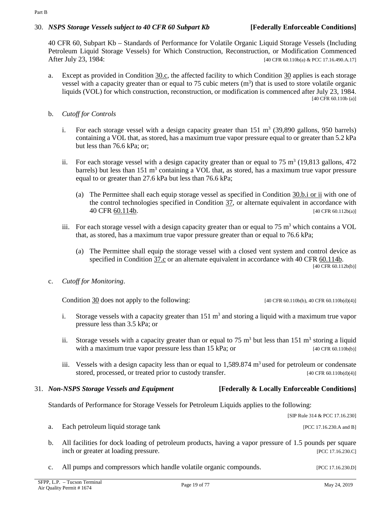# <span id="page-18-1"></span>30. *NSPS Storage Vessels subject to 40 CFR 60 Subpart Kb* **[Federally Enforceable Conditions]**

40 CFR 60, Subpart Kb – Standards of Performance for Volatile Organic Liquid Storage Vessels (Including Petroleum Liquid Storage Vessels) for Which Construction, Reconstruction, or Modification Commenced After July 23, 1984: [40 CFR 60.110b(a) & PCC 17.16.490.A.17]

- a. Except as provided in [Condition](#page-18-0) 30.c, the affected facility to which [Condition](#page-18-1) 30 applies is each storage vessel with a capacity greater than or equal to 75 cubic meters  $(m<sup>3</sup>)$  that is used to store volatile organic liquids (VOL) for which construction, reconstruction, or modification is commenced after July 23, 1984. [40 CFR 60.110b (a)]
- <span id="page-18-2"></span>b. *Cutoff for Controls*
	- i. For each storage vessel with a design capacity greater than  $151 \text{ m}^3$  (39,890 gallons, 950 barrels) containing a VOL that, as stored, has a maximum true vapor pressure equal to or greater than 5.2 kPa but less than 76.6 kPa; or;
	- ii. For each storage vessel with a design capacity greater than or equal to 75 m<sup>3</sup> (19,813 gallons, 472) barrels) but less than  $151 \text{ m}^3$  containing a VOL that, as stored, has a maximum true vapor pressure equal to or greater than 27.6 kPa but less than 76.6 kPa;
		- (a) The Permittee shall each equip storage vessel as specified in Condition  $30.b.i$  or ii with one of the control technologies specified in [Condition](#page-22-0) 37, or alternate equivalent in accordance with [40 CFR 60.114b.](https://tinyurl.com/40-CFR-60-114) [40 CFR 60.112b(a)]
	- iii. For each storage vessel with a design capacity greater than or equal to  $75 \text{ m}^3$  which contains a VOL that, as stored, has a maximum true vapor pressure greater than or equal to 76.6 kPa;
		- (a) The Permittee shall equip the storage vessel with a closed vent system and control device as specified in [Condition](#page-24-0) 37.c or an alternate equivalent in accordance with [40 CFR 60.114b.](https://tinyurl.com/40-CFR-60-114) [40 CFR 60.112b(b)]

# <span id="page-18-0"></span>c. *Cutoff for Monitoring*.

[Condition 30](#page-18-1) does not apply to the following:  $[40 \text{ CFR } 60.110b(b), 40 \text{ CFR } 60.110b(d)(4)]$ 

- i. Storage vessels with a capacity greater than  $151 \text{ m}^3$  and storing a liquid with a maximum true vapor pressure less than 3.5 kPa; or
- ii. Storage vessels with a capacity greater than or equal to 75  $\text{m}^3$  but less than 151  $\text{m}^3$  storing a liquid with a maximum true vapor pressure less than  $15$  kPa; or [40 CFR 60.110b(b)]
- iii. Vessels with a design capacity less than or equal to  $1,589.874$  m<sup>3</sup> used for petroleum or condensate stored, processed, or treated prior to custody transfer. [40 CFR 60.110b(d)(4)]

# <span id="page-18-3"></span>31. *Non-NSPS Storage Vessels and Equipment* **[Federally & Locally Enforceable Conditions]**

Standards of Performance for Storage Vessels for Petroleum Liquids applies to the following:

[SIP Rule 314 & PCC 17.16.230]

a. Each petroleum liquid storage tank [PCC 17.16.230.A and B]

- b. All facilities for dock loading of petroleum products, having a vapor pressure of 1.5 pounds per square inch or greater at loading pressure. [PCC 17.16.230.C]
- c. All pumps and compressors which handle volatile organic compounds. [PCC 17.16.230.D]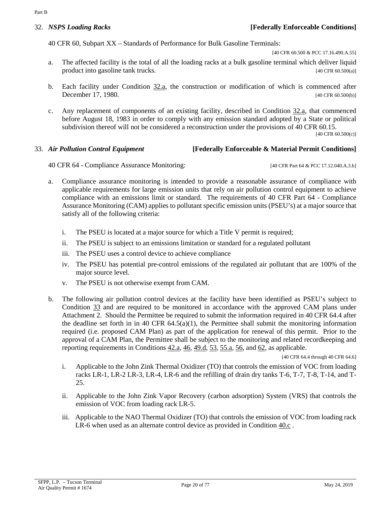<span id="page-19-2"></span>40 CFR 60, Subpart XX – Standards of Performance for Bulk Gasoline Terminals:

[40 CFR 60.500 & PCC 17.16.490.A.55]

- <span id="page-19-0"></span>a. The affected facility is the total of all the loading racks at a bulk gasoline terminal which deliver liquid product into gasoline tank trucks. [40 CFR 60.500(a)]
- b. Each facility under [Condition](#page-19-0) 32.a, the construction or modification of which is commenced after December 17, 1980. [40 CFR 60.500(b)]
- c. Any replacement of components of an existing facility, described in [Condition 32.a,](#page-19-0) that commenced before August 18, 1983 in order to comply with any emission standard adopted by a State or political subdivision thereof will not be considered a reconstruction under the provisions of 40 CFR 60.15.

[40 CFR 60.500(c)]

# <span id="page-19-1"></span>33. *Air Pollution Control Equipment* **[Federally Enforceable & Material Permit Conditions]**

40 CFR 64 - Compliance Assurance Monitoring: [40 CFR Part 64 & PCC 17.12.040.A.3.b]

- a. Compliance assurance monitoring is intended to provide a reasonable assurance of compliance with applicable requirements for large emission units that rely on air pollution control equipment to achieve compliance with an emissions limit or standard. The requirements of 40 CFR Part 64 - Compliance Assurance Monitoring (CAM) applies to pollutant specific emission units (PSEU's) at a major source that satisfy all of the following criteria:
	- i. The PSEU is located at a major source for which a Title V permit is required;
	- ii. The PSEU is subject to an emissions limitation or standard for a regulated pollutant
	- iii. The PSEU uses a control device to achieve compliance
	- iv. The PSEU has potential pre-control emissions of the regulated air pollutant that are 100% of the major source level.
	- v. The PSEU is not otherwise exempt from CAM.
- <span id="page-19-4"></span>b. The following air pollution control devices at the facility have been identified as PSEU's subject to [Condition](#page-19-1) 33 and are required to be monitored in accordance with the approved CAM plans under Attachment 2. Should the Permittee be required to submit the information required in 40 CFR 64.4 after the deadline set forth in in 40 CFR  $64.5(a)(1)$ , the Permittee shall submit the monitoring information required (i.e. proposed CAM Plan) as part of the application for renewal of this permit. Prior to the approval of a CAM Plan, the Permittee shall be subject to the monitoring and related recordkeeping and reporting requirements i[n Conditions](#page-30-1) 42.a, [46,](#page-36-0) [49.d,](#page-40-0) [53,](#page-45-0) [55.a,](#page-48-0) [56,](#page-49-2) and [62,](#page-52-2) as applicable.

[40 CFR 64.4 through 40 CFR 64.6]

- <span id="page-19-6"></span>i. Applicable to the John Zink Thermal Oxidizer (TO) that controls the emission of VOC from loading racks LR-1, LR-2 LR-3, LR-4, LR-6 and the refilling of drain dry tanks T-6, T-7, T-8, T-14, and T-25.
- <span id="page-19-5"></span>ii. Applicable to the John Zink Vapor Recovery (carbon adsorption) System (VRS) that controls the emission of VOC from loading rack LR-5.
- <span id="page-19-7"></span><span id="page-19-3"></span>iii. Applicable to the NAO Thermal Oxidizer (TO) that controls the emission of VOC from loading rack LR-6 when used as an alternate control device as provided in [Condition 40.c](#page-27-0) .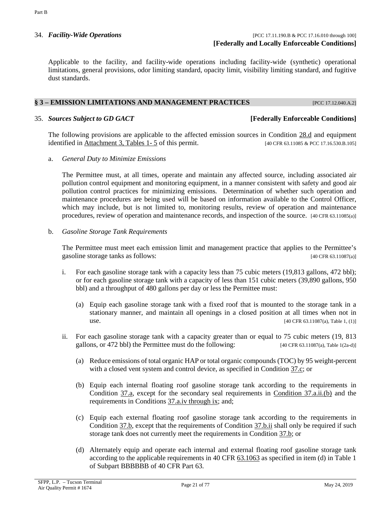34. *Facility-Wide Operations* [PCC 17.11.190.B & PCC 17.16.010 through 100] **[Federally and Locally Enforceable Conditions]**

Applicable to the facility, and facility-wide operations including facility-wide (synthetic) operational limitations, general provisions, odor limiting standard, opacity limit, visibility limiting standard, and fugitive dust standards.

### <span id="page-20-0"></span>**§ 3 – EMISSION LIMITATIONS AND MANAGEMENT PRACTICES** [PCC 17.12.040.A.2]

### <span id="page-20-1"></span>35. *Sources Subject to GD GACT* **[Federally Enforceable Conditions]**

The following provisions are applicable to the affected emission sources in [Condition](#page-16-2) 28.d and equipment identified in [Attachment 3, Tables 1-](#page-71-0) 5 of this permit. [40 CFR 63.11085 & PCC 17.16.530.B.105]

a. *General Duty to Minimize Emissions*

The Permittee must, at all times, operate and maintain any affected source, including associated air pollution control equipment and monitoring equipment, in a manner consistent with safety and good air pollution control practices for minimizing emissions. Determination of whether such operation and maintenance procedures are being used will be based on information available to the Control Officer, which may include, but is not limited to, monitoring results, review of operation and maintenance procedures, review of operation and maintenance records, and inspection of the source. [40 CFR 63.11085(a)]

b. *Gasoline Storage Tank Requirements*

The Permittee must meet each emission limit and management practice that applies to the Permittee's gasoline storage tanks as follows: [40 CFR 63.11087(a)]

- i. For each gasoline storage tank with a capacity less than 75 cubic meters (19,813 gallons, 472 bbl); or for each gasoline storage tank with a capacity of less than 151 cubic meters (39,890 gallons, 950 bbl) and a throughput of 480 gallons per day or less the Permittee must:
	- (a) Equip each gasoline storage tank with a fixed roof that is mounted to the storage tank in a stationary manner, and maintain all openings in a closed position at all times when not in use. [40 CFR 63.11087(a), Table 1, (1)]
- <span id="page-20-2"></span>ii. For each gasoline storage tank with a capacity greater than or equal to 75 cubic meters (19, 813 gallons, or 472 bbl) the Permittee must do the following: [40 CFR 63.11087(a), Table 1(2a-d)]
	- (a) Reduce emissions of total organic HAP or total organic compounds (TOC) by 95 weight-percent with a closed vent system and control device, as specified i[n Condition](#page-24-0) 37.c; or
	- (b) Equip each internal floating roof gasoline storage tank according to the requirements in [Condition 37.a,](#page-22-1) except for the secondary seal requirements in [Condition 37.a.ii.\(b\)](#page-23-0) and the requirements in [Conditions 37.a.iv through ix;](#page-23-1) and;
	- (c) Equip each external floating roof gasoline storage tank according to the requirements in [Condition](#page-23-2) 37.b, except that the requirements of [Condition](#page-24-1) 37.b.ii shall only be required if such storage tank does not currently meet the requirements in [Condition 37.b;](#page-23-2) or
	- (d) Alternately equip and operate each internal and external floating roof gasoline storage tank according to the applicable requirements in [40 CFR 63.1063](https://tinyurl.com/40-CFR-63-1063) as specified in item (d) in Table 1 of Subpart BBBBBB of 40 CFR Part 63.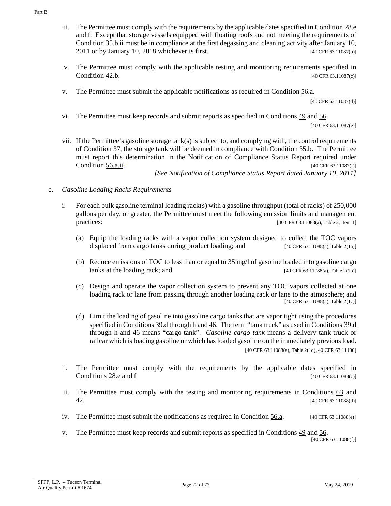- iii. The Permittee must comply with the requirements by the applicable dates specified in [Condition](#page-17-4) 28.e [and f.](#page-17-4) Except that storage vessels equipped with floating roofs and not meeting the requirements of Condition 35.b.ii must be in compliance at the first degassing and cleaning activity after January 10,  $2011$  or by January 10,  $2018$  whichever is first. [40 CFR 63.11087(b)]
- iv. The Permittee must comply with the applicable testing and monitoring requirements specified in [Condition](#page-32-0) 42.b. [40 CFR 63.11087(c)]
- v. The Permittee must submit the applicable notifications as required in [Condition](#page-49-1) 56.a.

[40 CFR 63.11087(d)]

vi. The Permittee must keep records and submit reports as specified in [Conditions 49](#page-39-1) and [56.](#page-49-2)

[40 CFR 63.11087(e)]

vii. If the Permittee's gasoline storage tank(s) is subject to, and complying with, the control requirements of [Condition](#page-22-0) 37, the storage tank will be deemed in compliance with [Condition](#page-20-1) 35.b. The Permittee must report this determination in the Notification of Compliance Status Report required under [Condition](#page-49-1) 56.a.ii. [40 CFR 63.11087(f)]

*[See Notification of Compliance Status Report dated January 10, 2011]*

- <span id="page-21-1"></span><span id="page-21-0"></span>c. *Gasoline Loading Racks Requirements*
	- i. For each bulk gasoline terminal loading rack(s) with a gasoline throughput (total of racks) of 250,000 gallons per day, or greater, the Permittee must meet the following emission limits and management practices: [40 CFR 63.11088(a), Table 2, Item 1]
		- (a) Equip the loading racks with a vapor collection system designed to collect the TOC vapors displaced from cargo tanks during product loading; and  $[40 \text{ CFR } 63.11088(a), \text{Table 2(1a)}]$
		- (b) Reduce emissions of TOC to less than or equal to 35 mg/l of gasoline loaded into gasoline cargo tanks at the loading rack; and [40 CFR 63.11088(a), Table 2(1b)]
		- (c) Design and operate the vapor collection system to prevent any TOC vapors collected at one loading rack or lane from passing through another loading rack or lane to the atmosphere; and [40 CFR 63.11088(a), Table 2(1c)]
		- (d) Limit the loading of gasoline into gasoline cargo tanks that are vapor tight using the procedures specified i[n Conditions 39.d through h](#page-26-0) an[d 46.](#page-36-0) The term "tank truck" as used in [Conditions](#page-26-0) 39.d [through h](#page-26-0) and [46](#page-36-0) means "cargo tank". *Gasoline cargo tank* means a delivery tank truck or railcar which is loading gasoline or which has loaded gasoline on the immediately previous load. [40 CFR 63.11088(a), Table 2(1d), 40 CFR 63.11100]
	- ii. The Permittee must comply with the requirements by the applicable dates specified in [Conditions](#page-17-4) 28.e and f  $[40 \text{ CFR } 63.11088(c)]$
	- iii. The Permittee must comply with the testing and monitoring requirements in [Conditions 63](#page-53-0) and  $\frac{42}{10}$  (40 CFR 63.11088(d)]
	- iv. The Permittee must submit the notifications as required in [Condition](#page-49-1)  $\underline{56.}a$ . [40 CFR 63.11088(e)]
	- v. The Permittee must keep records and submit reports as specified i[n Conditions 49](#page-39-1) and [56.](#page-49-2) [40 CFR 63.11088(f)]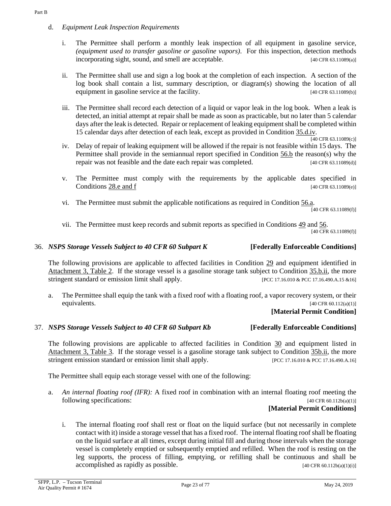- d. *Equipment Leak Inspection Requirements*
	- i. The Permittee shall perform a monthly leak inspection of all equipment in gasoline service, *(equipment used to transfer gasoline or gasoline vapors)*. For this inspection, detection methods incorporating sight, sound, and smell are acceptable. [40 CFR 63.11089(a)]
	- ii. The Permittee shall use and sign a log book at the completion of each inspection. A section of the log book shall contain a list, summary description, or diagram(s) showing the location of all equipment in gasoline service at the facility. [40 CFR 63.11089(b)]
	- iii. The Permittee shall record each detection of a liquid or vapor leak in the log book. When a leak is detected, an initial attempt at repair shall be made as soon as practicable, but no later than 5 calendar days after the leak is detected. Repair or replacement of leaking equipment shall be completed within 15 calendar days after detection of each leak, except as provided i[n Condition](#page-22-2) 35.d.iv.

 $\frac{1}{140}$  CFR 63.11089(c)]

- <span id="page-22-2"></span>iv. Delay of repair of leaking equipment will be allowed if the repair is not feasible within 15 days. The Permittee shall provide in the semiannual report specified in [Condition](#page-49-3) 56.b the reason(s) why the repair was not feasible and the date each repair was completed. [40 CFR 63.11089(d)]
- v. The Permittee must comply with the requirements by the applicable dates specified in [Conditions](#page-17-4)  $28 \text{.e and } f$  [40 CFR 63.11089(e)]
- vi. The Permittee must submit the applicable notifications as required in [Condition](#page-49-1) 56.a.

[40 CFR 63.11089(f)]

vii. The Permittee must keep records and submit reports as specified i[n Conditions 49](#page-39-1) and [56.](#page-49-2) [40 CFR 63.11089(f)]

# 36. *NSPS Storage Vessels Subject to 40 CFR 60 Subpart K* **[Federally Enforceable Conditions]**

The following provisions are applicable to affected facilities in [Condition](#page-17-2) 29 and equipment identified in [Attachment 3, Table 2.](#page-72-0) If the storage vessel is a gasoline storage tank subject to [Condition](#page-20-1) 35.b.ii, the more stringent standard or emission limit shall apply. [PCC 17.16.010 & PCC 17.16.490.A.15 &16]

a. The Permittee shall equip the tank with a fixed roof with a floating roof, a vapor recovery system, or their equivalents.  $[40 \text{ CFR } 60.112(a)(1)]$ 

# **[Material Permit Condition]**

### <span id="page-22-0"></span>37. *NSPS Storage Vessels Subject to 40 CFR 60 Subpart Kb* **[Federally Enforceable Conditions]**

The following provisions are applicable to affected facilities in [Condition](#page-18-1) 30 and equipment listed in [Attachment 3, Table 3.](#page-73-0) If the storage vessel is a gasoline storage tank subject to [Condition](#page-20-1) 35b.ii, the more stringent emission standard or emission limit shall apply. [PCC 17.16.010 & PCC 17.16.490.A.16]

The Permittee shall equip each storage vessel with one of the following:

<span id="page-22-1"></span>a. *An internal floating roof (IFR):* A fixed roof in combination with an internal floating roof meeting the following specifications: [40 CFR 60.112b(a)(1)]

# **[Material Permit Conditions]**

i. The internal floating roof shall rest or float on the liquid surface (but not necessarily in complete contact with it) inside a storage vessel that has a fixed roof. The internal floating roof shall be floating on the liquid surface at all times, except during initial fill and during those intervals when the storage vessel is completely emptied or subsequently emptied and refilled. When the roof is resting on the leg supports, the process of filling, emptying, or refilling shall be continuous and shall be  $accomplished$  as rapidly as possible.  $[40 \text{ CFR } 60.112b(a)(1)(i)]$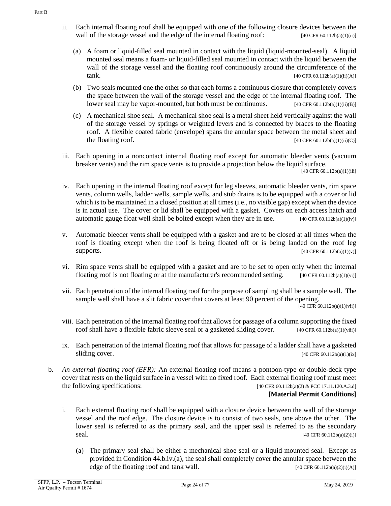- <span id="page-23-0"></span>ii. Each internal floating roof shall be equipped with one of the following closure devices between the wall of the storage vessel and the edge of the internal floating roof:  $[40 \text{ CFR } 60.112b(a)(1)(ii)]$ 
	- (a) A foam or liquid-filled seal mounted in contact with the liquid (liquid-mounted-seal). A liquid mounted seal means a foam- or liquid-filled seal mounted in contact with the liquid between the wall of the storage vessel and the floating roof continuously around the circumference of the  $tanh.$  [40 CFR 60.112b(a)(1)(ii)(A)]
	- (b) Two seals mounted one the other so that each forms a continuous closure that completely covers the space between the wall of the storage vessel and the edge of the internal floating roof. The lower seal may be vapor-mounted, but both must be continuous. [40 CFR 60.112b(a)(1)(ii)(B)]
	- (c) A mechanical shoe seal. A mechanical shoe seal is a metal sheet held vertically against the wall of the storage vessel by springs or weighted levers and is connected by braces to the floating roof. A flexible coated fabric (envelope) spans the annular space between the metal sheet and the floating roof.  $[40 \text{ CFR } 60.112b(a)(1)(ii)(C)]$
- iii. Each opening in a noncontact internal floating roof except for automatic bleeder vents (vacuum breaker vents) and the rim space vents is to provide a projection below the liquid surface.

[40 CFR 60.112b(a)(1)(iii]

- <span id="page-23-1"></span>iv. Each opening in the internal floating roof except for leg sleeves, automatic bleeder vents, rim space vents, column wells, ladder wells, sample wells, and stub drains is to be equipped with a cover or lid which is to be maintained in a closed position at all times (i.e., no visible gap) except when the device is in actual use. The cover or lid shall be equipped with a gasket. Covers on each access hatch and automatic gauge float well shall be bolted except when they are in use.  $[40 \text{ CFR } 60.112b(a)(1)(iv)]$
- v. Automatic bleeder vents shall be equipped with a gasket and are to be closed at all times when the roof is floating except when the roof is being floated off or is being landed on the roof leg supports.  $[40 \text{ CFR } 60.112b(a)(1)(v)]$
- vi. Rim space vents shall be equipped with a gasket and are to be set to open only when the internal floating roof is not floating or at the manufacturer's recommended setting.  $[40 \text{ CFR } 60.112b(a)(1)(vi)]$
- vii. Each penetration of the internal floating roof for the purpose of sampling shall be a sample well. The sample well shall have a slit fabric cover that covers at least 90 percent of the opening.

 $[40 \text{ CFR } 60.112b(a)(1)(vii)]$ 

- viii. Each penetration of the internal floating roof that allows for passage of a column supporting the fixed roof shall have a flexible fabric sleeve seal or a gasketed sliding cover. [40 CFR 60.112b(a)(1)(viii)]
- ix. Each penetration of the internal floating roof that allows for passage of a ladder shall have a gasketed sliding cover.  $[40 \text{ CFR } 60.112b(a)(1)(ix)]$
- <span id="page-23-2"></span>b. *An external floating roof (EFR):* An external floating roof means a pontoon-type or double-deck type cover that rests on the liquid surface in a vessel with no fixed roof. Each external floating roof must meet the following specifications:  $[40 \text{ CFR } 60.112b(a)(2) \& \text{PCC } 17.11.120.A.3.d]$

# **[Material Permit Conditions]**

- i. Each external floating roof shall be equipped with a closure device between the wall of the storage vessel and the roof edge. The closure device is to consist of two seals, one above the other. The lower seal is referred to as the primary seal, and the upper seal is referred to as the secondary seal.  $[40 \text{ CFR } 60.112b(a)(2)(i)]$ 
	- (a) The primary seal shall be either a mechanical shoe seal or a liquid-mounted seal. Except as provided in Condition [44.b.iv.\(a\),](#page-35-0) the seal shall completely cover the annular space between the edge of the floating roof and tank wall.  $[40 \text{ CFR } 60.112b(a)(2)(i)(A)]$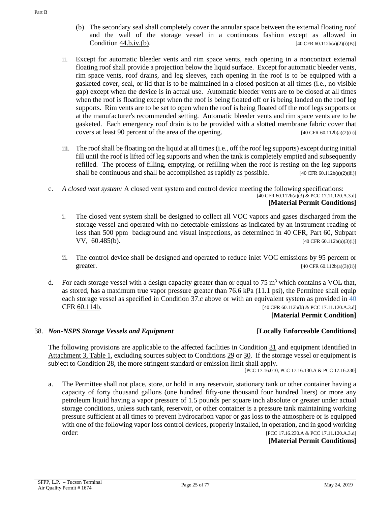- (b) The secondary seal shall completely cover the annular space between the external floating roof and the wall of the storage vessel in a continuous fashion except as allowed in Condition  $44.b.iv.(b).$  [40 CFR 60.112b(a)(2)(i)(B)]
- <span id="page-24-1"></span>ii. Except for automatic bleeder vents and rim space vents, each opening in a noncontact external floating roof shall provide a projection below the liquid surface. Except for automatic bleeder vents, rim space vents, roof drains, and leg sleeves, each opening in the roof is to be equipped with a gasketed cover, seal, or lid that is to be maintained in a closed position at all times (i.e., no visible gap) except when the device is in actual use. Automatic bleeder vents are to be closed at all times when the roof is floating except when the roof is being floated off or is being landed on the roof leg supports. Rim vents are to be set to open when the roof is being floated off the roof legs supports or at the manufacturer's recommended setting. Automatic bleeder vents and rim space vents are to be gasketed. Each emergency roof drain is to be provided with a slotted membrane fabric cover that covers at least 90 percent of the area of the opening. [40 CFR 60.112b(a)(2)(ii)]
- iii. The roof shall be floating on the liquid at all times (i.e., off the roof leg supports) except during initial fill until the roof is lifted off leg supports and when the tank is completely emptied and subsequently refilled. The process of filling, emptying, or refilling when the roof is resting on the leg supports shall be continuous and shall be accomplished as rapidly as possible.  $[40 \text{ CFR } 60.112b(a)(2)(iii)]$
- <span id="page-24-0"></span>c. *A closed vent system:* A closed vent system and control device meeting the following specifications: [40 CFR 60.112b(a)(3) & PCC 17.11.120.A.3.d] **[Material Permit Conditions]**
	- i. The closed vent system shall be designed to collect all VOC vapors and gases discharged from the storage vessel and operated with no detectable emissions as indicated by an instrument reading of less than 500 ppm background and visual inspections, as determined in 40 CFR, Part 60, Subpart **VV, 60.485(b).** [40 CFR 60.112b(a)(3)(i)]
	- ii. The control device shall be designed and operated to reduce inlet VOC emissions by 95 percent or  $\text{greater.}$  [40 CFR 60.112b(a)(3)(ii)]
- d. For each storage vessel with a design capacity greater than or equal to 75  $\text{m}^3$  which contains a VOL that, as stored, has a maximum true vapor pressure greater than 76.6 kPa (11.1 psi), the Permittee shall equip each storage vessel as specified in Condition 37.c above or with an equivalent system as provided in [40](https://tinyurl.com/40-CFR-60-114)  CFR [60.114b.](https://tinyurl.com/40-CFR-60-114) [40 CFR 60.112b(b) & PCC 17.11.120.A.3.d]

### **[Material Permit Condition]**

### 38. *Non-NSPS Storage Vessels and Equipment* **[Locally Enforceable Conditions]**

The following provisions are applicable to the affected facilities in [Condition](#page-18-3) 31 and equipment identified in [Attachment 3, Table 1,](#page-73-0) excluding sources subject to [Conditions 29](#page-17-2) or [30.](#page-18-1) If the storage vessel or equipment is subject to [Condition](#page-16-1) 28, the more stringent standard or emission limit shall apply.

[PCC 17.16.010, PCC 17.16.130.A & PCC 17.16.230]

a. The Permittee shall not place, store, or hold in any reservoir, stationary tank or other container having a capacity of forty thousand gallons (one hundred fifty-one thousand four hundred liters) or more any petroleum liquid having a vapor pressure of 1.5 pounds per square inch absolute or greater under actual storage conditions, unless such tank, reservoir, or other container is a pressure tank maintaining working pressure sufficient at all times to prevent hydrocarbon vapor or gas loss to the atmosphere or is equipped with one of the following vapor loss control devices, properly installed, in operation, and in good working order: [PCC 17.16.230.A & PCC 17.11.120.A.3.d]

# **[Material Permit Conditions]**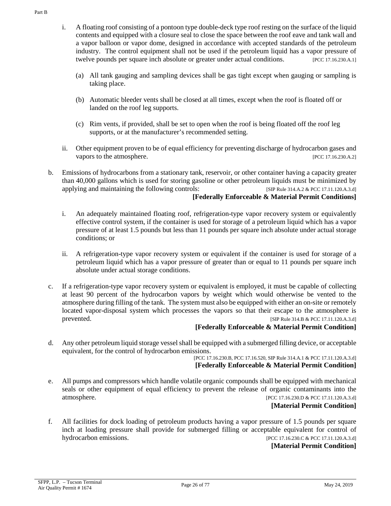- i. A floating roof consisting of a pontoon type double-deck type roof resting on the surface of the liquid contents and equipped with a closure seal to close the space between the roof eave and tank wall and a vapor balloon or vapor dome, designed in accordance with accepted standards of the petroleum industry. The control equipment shall not be used if the petroleum liquid has a vapor pressure of twelve pounds per square inch absolute or greater under actual conditions. [PCC 17.16.230.A.1]
	- (a) All tank gauging and sampling devices shall be gas tight except when gauging or sampling is taking place.
	- (b) Automatic bleeder vents shall be closed at all times, except when the roof is floated off or landed on the roof leg supports.
	- (c) Rim vents, if provided, shall be set to open when the roof is being floated off the roof leg supports, or at the manufacturer's recommended setting.
- ii. Other equipment proven to be of equal efficiency for preventing discharge of hydrocarbon gases and vapors to the atmosphere. [PCC 17.16.230.A.2]
- b. Emissions of hydrocarbons from a stationary tank, reservoir, or other container having a capacity greater than 40,000 gallons which is used for storing gasoline or other petroleum liquids must be minimized by applying and maintaining the following controls: [SIP Rule 314.A.2 & PCC 17.11.120.A.3.d] **[Federally Enforceable & Material Permit Conditions]**
	- i. An adequately maintained floating roof, refrigeration-type vapor recovery system or equivalently effective control system, if the container is used for storage of a petroleum liquid which has a vapor pressure of at least 1.5 pounds but less than 11 pounds per square inch absolute under actual storage conditions; or
	- ii. A refrigeration-type vapor recovery system or equivalent if the container is used for storage of a petroleum liquid which has a vapor pressure of greater than or equal to 11 pounds per square inch absolute under actual storage conditions.
- c. If a refrigeration-type vapor recovery system or equivalent is employed, it must be capable of collecting at least 90 percent of the hydrocarbon vapors by weight which would otherwise be vented to the atmosphere during filling of the tank. The system must also be equipped with either an on-site or remotely located vapor-disposal system which processes the vapors so that their escape to the atmosphere is prevented. [SIP Rule 314.B & PCC 17.11.120.A.3.d]

# **[Federally Enforceable & Material Permit Condition]**

d. Any other petroleum liquid storage vessel shall be equipped with a submerged filling device, or acceptable equivalent, for the control of hydrocarbon emissions.

[PCC 17.16.230.B, PCC 17.16.520, SIP Rule 314.A.1 & PCC 17.11.120.A.3.d] **[Federally Enforceable & Material Permit Condition]**

e. All pumps and compressors which handle volatile organic compounds shall be equipped with mechanical seals or other equipment of equal efficiency to prevent the release of organic contaminants into the atmosphere. [PCC 17.16.230.D & PCC 17.11.120.A.3.d]

### **[Material Permit Condition]**

f. All facilities for dock loading of petroleum products having a vapor pressure of 1.5 pounds per square inch at loading pressure shall provide for submerged filling or acceptable equivalent for control of hydrocarbon emissions. [PCC 17.16.230.C & PCC 17.11.120.A.3.d]

# **[Material Permit Condition]**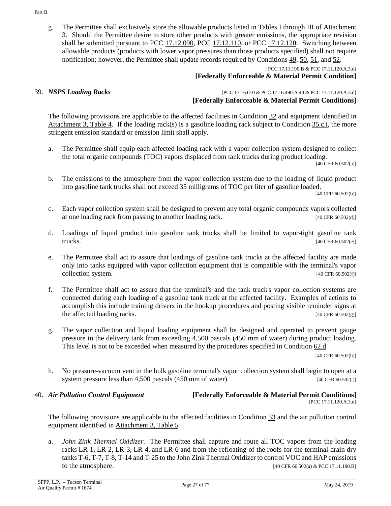g. The Permittee shall exclusively store the allowable products listed in Tables I through III of Attachment 3. Should the Permittee desire to store other products with greater emissions, the appropriate revision shall be submitted pursuant to [PCC 17.12.090,](https://tinyurl.com/17-12-090-A) [PCC 17.12.110,](https://tinyurl.com/17-12-100-A) or [PCC 17.12.120.](https://tinyurl.com/17-12-120-A) Switching between allowable products (products with lower vapor pressures than those products specified) shall not require notification; however, the Permittee shall update records required by [Conditions 49,](#page-39-1) [50,](#page-41-0) [51,](#page-41-1) and [52.](#page-44-0)

[PCC 17.11.190.B & PCC 17.11.120.A.3.d]

## **[Federally Enforceable & Material Permit Condition]**

39. *NSPS Loading Racks* [PCC 17.16.010 & PCC 17.16.490.A.40 & PCC 17.11.120.A.3.d] **[Federally Enforceable & Material Permit Conditions]**

The following provisions are applicable to the affected facilities in [Condition](#page-19-2) 32 and equipment identified in [Attachment 3, Table 4.](#page-74-0) If the loading rack(s) is a gasoline loading rack subject to [Condition](#page-21-0) 35.c.i, the more stringent emission standard or emission limit shall apply.

a. The Permittee shall equip each affected loading rack with a vapor collection system designed to collect the total organic compounds (TOC) vapors displaced from tank trucks during product loading.

[40 CFR 60.502(a)]

<span id="page-26-1"></span>b. The emissions to the atmosphere from the vapor collection system due to the loading of liquid product into gasoline tank trucks shall not exceed 35 milligrams of TOC per liter of gasoline loaded.

[40 CFR 60.502(b)]

- c. Each vapor collection system shall be designed to prevent any total organic compounds vapors collected at one loading rack from passing to another loading rack. [40 CFR 60.502(d)]
- <span id="page-26-0"></span>d. Loadings of liquid product into gasoline tank trucks shall be limited to vapor-tight gasoline tank **trucks.** [40 CFR 60.502(e)]
- e. The Permittee shall act to assure that loadings of gasoline tank trucks at the affected facility are made only into tanks equipped with vapor collection equipment that is compatible with the terminal's vapor collection system. [40 CFR 60.502(f)]
- f. The Permittee shall act to assure that the terminal's and the tank truck's vapor collection systems are connected during each loading of a gasoline tank truck at the affected facility. Examples of actions to accomplish this include training drivers in the hookup procedures and posting visible reminder signs at the affected loading racks. [40 CFR 60.502(g)]
- g. The vapor collection and liquid loading equipment shall be designed and operated to prevent gauge pressure in the delivery tank from exceeding 4,500 pascals (450 mm of water) during product loading. This level is not to be exceeded when measured by the procedures specified in [Condition](#page-55-0) 62.d.

[40 CFR 60.502(h)]

h. No pressure-vacuum vent in the bulk gasoline terminal's vapor collection system shall begin to open at a system pressure less than 4,500 pascals (450 mm of water). [40 CFR 60.502(i)]

### 40. *Air Pollution Control Equipment* **[Federally Enforceable & Material Permit Conditions]** [PCC 17.11.120.A.3.d]

The following provisions are applicable to the affected facilities in [Condition](#page-19-1) 33 and the air pollution control equipment identified in [Attachment 3, Table 5.](#page-74-1)

a. *John Zink Thermal Oxidizer.* The Permittee shall capture and route all TOC vapors from the loading racks LR-1, LR-2, LR-3, LR-4, and LR-6 and from the refloating of the roofs for the terminal drain dry tanks T-6, T-7, T-8, T-14 and T-25 to the John Zink Thermal Oxidizer to control VOC and HAP emissions to the atmosphere. [40 CFR 60.502(a) & PCC 17.11.190.B]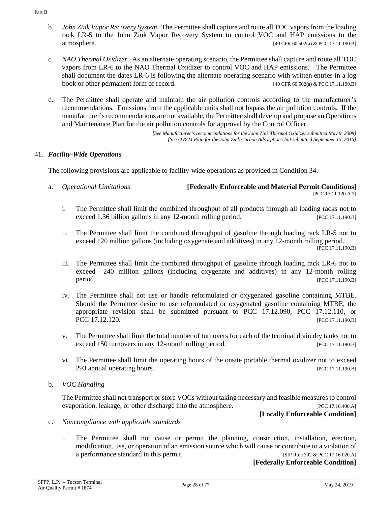- <span id="page-27-0"></span>b. *John Zink Vapor Recovery System.* The Permittee shall capture and route all TOC vapors from the loading rack LR-5 to the John Zink Vapor Recovery System to control VOC and HAP emissions to the atmosphere. [40 CFR 60.502(a) & PCC 17.11.190.B]
	- c. *NAO Thermal Oxidizer.* As an alternate operating scenario, the Permittee shall capture and route all TOC vapors from LR-6 to the NAO Thermal Oxidizer to control VOC and HAP emissions. The Permittee shall document the dates LR-6 is following the alternate operating scenario with written entries in a log book or other permanent form of record. [40 CFR 60.502(a) & PCC 17.11.190.B]
	- d. The Permittee shall operate and maintain the air pollution controls according to the manufacturer's recommendations. Emissions from the applicable units shall not bypass the air pollution controls. If the manufacturer's recommendations are not available, the Permittee shall develop and propose an Operations and Maintenance Plan for the air pollution controls for approval by the Control Officer.

*[See Manufacturer's recommendations for the John Zink Thermal Oxidizer submitted May 9, 2008] [See O & M Plan for the John Zink Carbon Adsorption Unit submitted September 15, 2015]*

# 41. *Facility-Wide Operations*

The following provisions are applicable to facility-wide operations as provided in [Condition](#page-19-3) 34.

- a. *Operational Limitations* **[Federally Enforceable and Material Permit Conditions]** [PCC 17.11.120.A.3]
	- i. The Permittee shall limit the combined throughput of all products through all loading racks not to exceed 1.36 billion gallons in any 12-month rolling period. [PCC 17.11.190.B]
	- ii. The Permittee shall limit the combined throughput of gasoline through loading rack LR-5 not to exceed 120 million gallons (including oxygenate and additives) in any 12-month rolling period. [PCC 17.11.190.B]
	- iii. The Permittee shall limit the combined throughput of gasoline through loading rack LR-6 not to exceed 240 million gallons (including oxygenate and additives) in any 12-month rolling **period.** [PCC 17.11.190.B]
	- iv. The Permittee shall not use or handle reformulated or oxygenated gasoline containing MTBE. Should the Permittee desire to use reformulated or oxygenated gasoline containing MTBE, the appropriate revision shall be submitted pursuant to [PCC 17.12.090,](https://tinyurl.com/17-12-090-A) [PCC 17.12.110,](https://tinyurl.com/17-12-100-A) or PCC [17.12.120.](https://tinyurl.com/17-12-120-A) [PCC 17.11.190.B]
	- v. The Permittee shall limit the total number of turnovers for each of the terminal drain dry tanks not to exceed 150 turnovers in any 12-month rolling period. [PCC 17.11.190.B]
	- vi. The Permittee shall limit the operating hours of the onsite portable thermal oxidizer not to exceed 293 annual operating hours. **Example 2018** and the set of the set of the set of the set of the set of the set of the set of the set of the set of the set of the set of the set of the set of the set of the set of the set of
- b. *VOC Handling*

The Permittee shall not transport or store VOCs without taking necessary and feasible measures to control evaporation, leakage, or other discharge into the atmosphere. [PCC 17.16.400.A]

- c. *Noncompliance with applicable standards*
	- i. The Permittee shall not cause or permit the planning, construction, installation, erection, modification, use, or operation of an emission source which will cause or contribute to a violation of a performance standard in this permit. [SIP Rule 302 & PCC 17.16.020.A]

**[Federally Enforceable Condition]**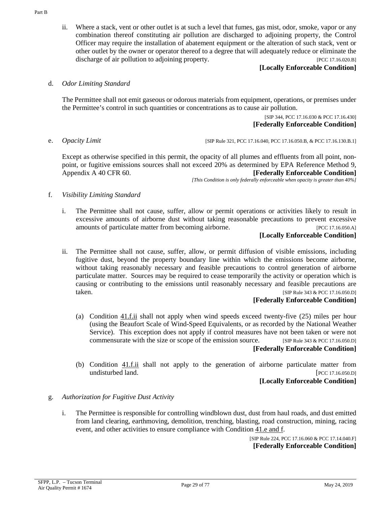ii. Where a stack, vent or other outlet is at such a level that fumes, gas mist, odor, smoke, vapor or any combination thereof constituting air pollution are discharged to adjoining property, the Control Officer may require the installation of abatement equipment or the alteration of such stack, vent or other outlet by the owner or operator thereof to a degree that will adequately reduce or eliminate the discharge of air pollution to adjoining property. [PCC 17.16.020.B]

**[Locally Enforceable Condition]**

d. *Odor Limiting Standard*

The Permittee shall not emit gaseous or odorous materials from equipment, operations, or premises under the Permittee's control in such quantities or concentrations as to cause air pollution.

> [SIP 344, PCC 17.16.030 & PCC 17.16.430] **[Federally Enforceable Condition]**

<span id="page-28-1"></span>e. *Opacity Limit* [SIP Rule 321, PCC 17.16.040, PCC 17.16.050.B, & PCC 17.16.130.B.1]

Except as otherwise specified in this permit, the opacity of all plumes and effluents from all point, nonpoint, or fugitive emissions sources shall not exceed 20% as determined by EPA Reference Method 9, Appendix A 40 CFR 60. **[Federally Enforceable Condition]**

*[This Condition is only federally enforceable when opacity is greater than 40%]*

- f. *Visibility Limiting Standard*
	- i. The Permittee shall not cause, suffer, allow or permit operations or activities likely to result in excessive amounts of airborne dust without taking reasonable precautions to prevent excessive amounts of particulate matter from becoming airborne. [PCC 17.16.050.A]

# **[Locally Enforceable Condition]**

<span id="page-28-0"></span>ii. The Permittee shall not cause, suffer, allow, or permit diffusion of visible emissions, including fugitive dust, beyond the property boundary line within which the emissions become airborne, without taking reasonably necessary and feasible precautions to control generation of airborne particulate matter. Sources may be required to cease temporarily the activity or operation which is causing or contributing to the emissions until reasonably necessary and feasible precautions are taken. [SIP Rule 343 & PCC 17.16.050.D]

### **[Federally Enforceable Condition]**

- (a) [Condition](#page-28-0) 41.f.ii shall not apply when wind speeds exceed twenty-five (25) miles per hour (using the Beaufort Scale of Wind-Speed Equivalents, or as recorded by the National Weather Service). This exception does not apply if control measures have not been taken or were not commensurate with the size or scope of the emission source. [SIP Rule 343 & PCC 17.16.050.D] **[Federally Enforceable Condition]**
- (b) Condition  $41.f.i.i$  shall not apply to the generation of airborne particulate matter from undisturbed land. [PCC 17.16.050.D]

# **[Locally Enforceable Condition]**

- <span id="page-28-2"></span>g. *Authorization for Fugitive Dust Activity*
	- i. The Permittee is responsible for controlling windblown dust, dust from haul roads, and dust emitted from land clearing, earthmoving, demolition, trenching, blasting, road construction, mining, racing event, and other activities to ensure compliance with [Condition](#page-28-1) 41.e and f.

[SIP Rule 224, PCC 17.16.060 & PCC 17.14.040.F] **[Federally Enforceable Condition]**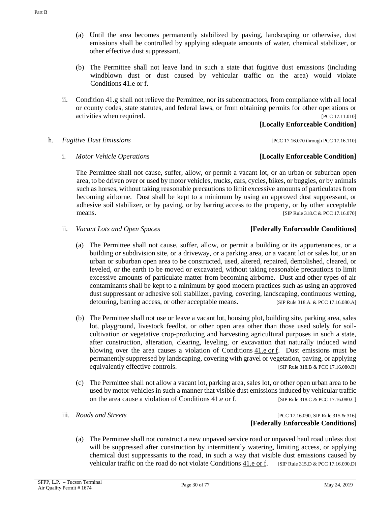- (a) Until the area becomes permanently stabilized by paving, landscaping or otherwise, dust emissions shall be controlled by applying adequate amounts of water, chemical stabilizer, or other effective dust suppressant.
- (b) The Permittee shall not leave land in such a state that fugitive dust emissions (including windblown dust or dust caused by vehicular traffic on the area) would violate [Conditions](#page-28-1) 41.e or f.
- ii. [Condition](#page-28-2) 41.g shall not relieve the Permittee, nor its subcontractors, from compliance with all local or county codes, state statutes, and federal laws, or from obtaining permits for other operations or activities when required. [PCC 17.11.010]

# **[Locally Enforceable Condition]**

- h. *Fugitive Dust Emissions* [PCC 17.16.070 through PCC 17.16.110]
	- i. *Motor Vehicle Operations* **[Locally Enforceable Condition]**

The Permittee shall not cause, suffer, allow, or permit a vacant lot, or an urban or suburban open area, to be driven over or used by motor vehicles, trucks, cars, cycles, bikes, or buggies, or by animals such as horses, without taking reasonable precautions to limit excessive amounts of particulates from becoming airborne. Dust shall be kept to a minimum by using an approved dust suppressant, or adhesive soil stabilizer, or by paving, or by barring access to the property, or by other acceptable means. [SIP Rule 318.C & PCC 17.16.070]

ii. *Vacant Lots and Open Spaces* **[Federally Enforceable Conditions]**

- (a) The Permittee shall not cause, suffer, allow, or permit a building or its appurtenances, or a building or subdivision site, or a driveway, or a parking area, or a vacant lot or sales lot, or an urban or suburban open area to be constructed, used, altered, repaired, demolished, cleared, or leveled, or the earth to be moved or excavated, without taking reasonable precautions to limit excessive amounts of particulate matter from becoming airborne. Dust and other types of air contaminants shall be kept to a minimum by good modern practices such as using an approved dust suppressant or adhesive soil stabilizer, paving, covering, landscaping, continuous wetting, detouring, barring access, or other acceptable means. [SIP Rule 318.A. & PCC 17.16.080.A]
- (b) The Permittee shall not use or leave a vacant lot, housing plot, building site, parking area, sales lot, playground, livestock feedlot, or other open area other than those used solely for soilcultivation or vegetative crop-producing and harvesting agricultural purposes in such a state, after construction, alteration, clearing, leveling, or excavation that naturally induced wind blowing over the area causes a violation of [Conditions](#page-28-1) 41.e or f. Dust emissions must be permanently suppressed by landscaping, covering with gravel or vegetation, paving, or applying equivalently effective controls. [SIP Rule 318.B & PCC 17.16.080.B]
- (c) The Permittee shall not allow a vacant lot, parking area, sales lot, or other open urban area to be used by motor vehicles in such a manner that visible dust emissions induced by vehicular traffic on the area cause a violation of [Conditions](#page-28-1) 41.e or f. [SIP Rule 318.C & PCC 17.16.080.C]
- 

iii. *Roads and Streets PCC 17.16.090, SIP Rule 315 & 316* **[Federally Enforceable Conditions]**

(a) The Permittee shall not construct a new unpaved service road or unpaved haul road unless dust will be suppressed after construction by intermittently watering, limiting access, or applying chemical dust suppressants to the road, in such a way that visible dust emissions caused by vehicular traffic on the road do not violate [Conditions](#page-28-1) 41.e or f. [SIP Rule 315.D & PCC 17.16.090.D]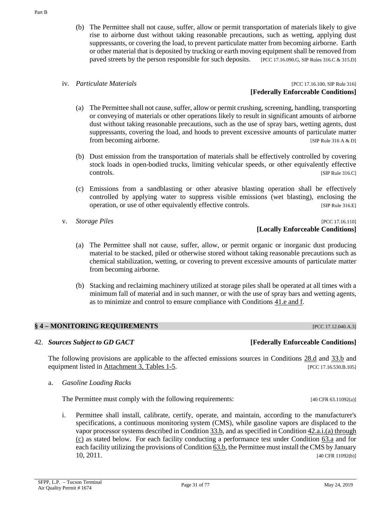(b) The Permittee shall not cause, suffer, allow or permit transportation of materials likely to give rise to airborne dust without taking reasonable precautions, such as wetting, applying dust suppressants, or covering the load, to prevent particulate matter from becoming airborne. Earth or other material that is deposited by trucking or earth moving equipment shall be removed from paved streets by the person responsible for such deposits. [PCC 17.16.090.G, SIP Rules 316.C & 315.D]

iv. *Particulate Materials Particulate Materials PCC 17.16.100, SIP Rule 316* **[Federally Enforceable Conditions]**

- (a) The Permittee shall not cause, suffer, allow or permit crushing, screening, handling, transporting or conveying of materials or other operations likely to result in significant amounts of airborne dust without taking reasonable precautions, such as the use of spray bars, wetting agents, dust suppressants, covering the load, and hoods to prevent excessive amounts of particulate matter from becoming airborne. [SIP Rule 316 A & D]
- (b) Dust emission from the transportation of materials shall be effectively controlled by covering stock loads in open-bodied trucks, limiting vehicular speeds, or other equivalently effective controls. [SIP Rule 316.C]
- (c) Emissions from a sandblasting or other abrasive blasting operation shall be effectively controlled by applying water to suppress visible emissions (wet blasting), enclosing the operation, or use of other equivalently effective controls. [SIP Rule 316.E]
- 

### v. *Storage Piles* [PCC 17.16.110] **[Locally Enforceable Conditions]**

- (a) The Permittee shall not cause, suffer, allow, or permit organic or inorganic dust producing material to be stacked, piled or otherwise stored without taking reasonable precautions such as chemical stabilization, wetting, or covering to prevent excessive amounts of particulate matter from becoming airborne.
- (b) Stacking and reclaiming machinery utilized at storage piles shall be operated at all times with a minimum fall of material and in such manner, or with the use of spray bars and wetting agents, as to minimize and control to ensure compliance with [Conditions 41.e and f.](#page-28-1)

# <span id="page-30-0"></span>**§ 4 – MONITORING REQUIREMENTS** [PCC 17.12.040.A.3]

# <span id="page-30-2"></span>42. *Sources Subject to GD GACT* **[Federally Enforceable Conditions]**

The following provisions are applicable to the affected emissions sources in [Conditions 28.d](#page-16-2) and [33.b](#page-19-4) and equipment listed i[n Attachment 3, Tables 1-5.](#page-71-0) [PCC 17.16.530.B.105]

<span id="page-30-1"></span>a. *Gasoline Loading Racks*

The Permittee must comply with the following requirements: [40 CFR 63.11092(a)]

<span id="page-30-3"></span>i. Permittee shall install, calibrate, certify, operate, and maintain, according to the manufacturer's specifications, a continuous monitoring system (CMS), while gasoline vapors are displaced to the vapor processor systems described in [Condition](#page-19-4) 33.b, and as specified in Condition [42.a.i.\(a\) through](#page-31-0)  [\(c\)](#page-31-0) as stated below. For each facility conducting a performance test under [Condition 63.a](#page-53-1) and for each facility utilizing the provisions o[f Condition](#page-53-2) 63.b, the Permittee must install the CMS by January 10, 2011. [40 CFR 11092(b)]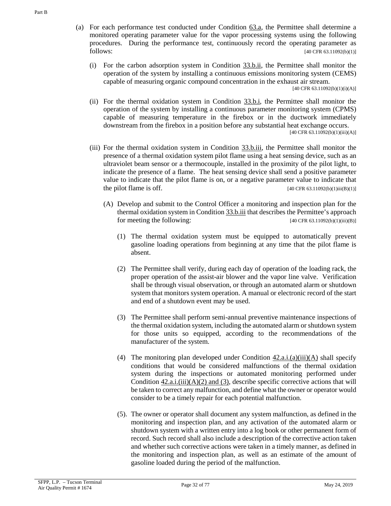- <span id="page-31-0"></span>(a) For each performance test conducted under [Condition](#page-53-1) 63.a, the Permittee shall determine a monitored operating parameter value for the vapor processing systems using the following procedures. During the performance test, continuously record the operating parameter as  $f_{40}$  CFR 63.11092(b)(1)]
	- (i) For the carbon adsorption system in [Condition](#page-19-5) 33.b.ii, the Permittee shall monitor the operation of the system by installing a continuous emissions monitoring system (CEMS) capable of measuring organic compound concentration in the exhaust air stream.

[40 CFR 63.11092(b)(1)(i)(A)]

- (ii) For the thermal oxidation system in [Condition](#page-19-6) 33.b.i, the Permittee shall monitor the operation of the system by installing a continuous parameter monitoring system (CPMS) capable of measuring temperature in the firebox or in the ductwork immediately downstream from the firebox in a position before any substantial heat exchange occurs.  $[40 \text{ CFR } 63.11092(b)(1)(iii)(A)]$
- <span id="page-31-2"></span><span id="page-31-1"></span>(iii) For the thermal oxidation system in [Condition](#page-19-7) 33.b.iii, the Permittee shall monitor the presence of a thermal oxidation system pilot flame using a heat sensing device, such as an ultraviolet beam sensor or a thermocouple, installed in the proximity of the pilot light, to indicate the presence of a flame. The heat sensing device shall send a positive parameter value to indicate that the pilot flame is on, or a negative parameter value to indicate that the pilot flame is off.  $[40 \text{ CFR } 63.11092(b)(1)ii(B)(1)]$ 
	- (A) Develop and submit to the Control Officer a monitoring and inspection plan for the thermal oxidation system i[n Condition 33.b.iii](#page-19-7) that describes the Permittee's approach for meeting the following:  $[40 \text{ CFR } 63.11092(b)(1)(iii)(B)]$ 
		- (1) The thermal oxidation system must be equipped to automatically prevent gasoline loading operations from beginning at any time that the pilot flame is absent.
		- (2) The Permittee shall verify, during each day of operation of the loading rack, the proper operation of the assist-air blower and the vapor line valve. Verification shall be through visual observation, or through an automated alarm or shutdown system that monitors system operation. A manual or electronic record of the start and end of a shutdown event may be used.
		- (3) The Permittee shall perform semi-annual preventive maintenance inspections of the thermal oxidation system, including the automated alarm or shutdown system for those units so equipped, according to the recommendations of the manufacturer of the system.
		- (4) The monitoring plan developed under Condition  $42.a.i.(a)(iii)(A)$  shall specify conditions that would be considered malfunctions of the thermal oxidation system during the inspections or automated monitoring performed under Condition  $42.a.i.(iii)(A)(2)$  and (3), describe specific corrective actions that will be taken to correct any malfunction, and define what the owner or operator would consider to be a timely repair for each potential malfunction.
		- (5). The owner or operator shall document any system malfunction, as defined in the monitoring and inspection plan, and any activation of the automated alarm or shutdown system with a written entry into a log book or other permanent form of record. Such record shall also include a description of the corrective action taken and whether such corrective actions were taken in a timely manner, as defined in the monitoring and inspection plan, as well as an estimate of the amount of gasoline loaded during the period of the malfunction.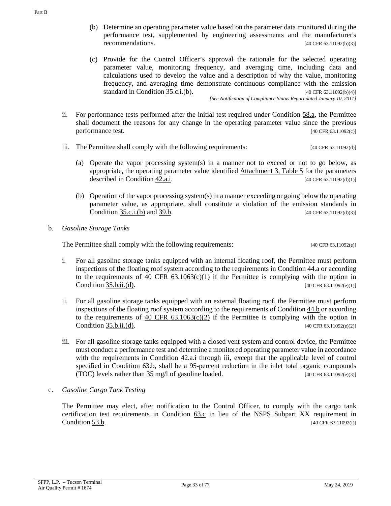- (b) Determine an operating parameter value based on the parameter data monitored during the performance test, supplemented by engineering assessments and the manufacturer's recommendations. [40 CFR 63.11092(b)(3)]
- (c) Provide for the Control Officer's approval the rationale for the selected operating parameter value, monitoring frequency, and averaging time, including data and calculations used to develop the value and a description of why the value, monitoring frequency, and averaging time demonstrate continuous compliance with the emission standard in [Condition](#page-21-1) 35.c.i.(b). [40 CFR 63.11092(b)(4)]

*[See Notification of Compliance Status Report dated January 10, 2011]*

- ii. For performance tests performed after the initial test required under [Condition](#page-53-1) 58.a, the Permittee shall document the reasons for any change in the operating parameter value since the previous performance test. [40 CFR 63.11092(c)]
- iii. The Permittee shall comply with the following requirements: [40 CFR 63.11092(d)]
	- (a) Operate the vapor processing system(s) in a manner not to exceed or not to go below, as appropriate, the operating parameter value identified **Attachment 3**, Table 5 for the parameters described in [Condition](#page-30-3) 42.a.i.  $[40 \text{ CFR } 63.11092 \text{ (d)}(1)]$
	- (b) Operation of the vapor processing system(s) in a manner exceeding or going below the operating parameter value, as appropriate, shall constitute a violation of the emission standards in [Condition 35.c.i.\(b\)](#page-21-1) and [39.b.](#page-26-1) [40 CFR 63.11092(d)(3)]
- <span id="page-32-0"></span>b. *Gasoline Storage Tanks*

The Permittee shall comply with the following requirements: [40 CFR 63.11092(e)]

- i. For all gasoline storage tanks equipped with an internal floating roof, the Permittee must perform inspections of the floating roof system according to the requirements in [Condition](#page-33-0) 44.a or according to the requirements of 40 CFR  $63.1063(c)(1)$  if the Permittee is complying with the option in Condition [35.b.ii.\(d\).](#page-20-2) [40 CFR 63.11092(e)(1)]
- ii. For all gasoline storage tanks equipped with an external floating roof, the Permittee must perform inspections of the floating roof system according to the requirements of [Condition](#page-34-0) 44.b or according to the requirements of 40 CFR  $63.1063(c)(2)$  if the Permittee is complying with the option in Condition [35.b.ii.\(d\).](#page-20-2) [40 CFR 63.11092(e)(2)]
- iii. For all gasoline storage tanks equipped with a closed vent system and control device, the Permittee must conduct a performance test and determine a monitored operating parameter value in accordance with the requirements in Condition 42.a.i through iii, except that the applicable level of control specified in [Condition](#page-53-2) 63.b, shall be a 95-percent reduction in the inlet total organic compounds (TOC) levels rather than  $35 \text{ mg/l}$  of gasoline loaded. [40 CFR 63.11092(e)(3)]
- c. *Gasoline Cargo Tank Testing*

The Permittee may elect, after notification to the Control Officer, to comply with the cargo tank certification test requirements in [Condition](#page-53-3) 63.c in lieu of the NSPS Subpart XX requirement in [Condition](#page-46-0) 53.b. [40 CFR 63.11092(f)]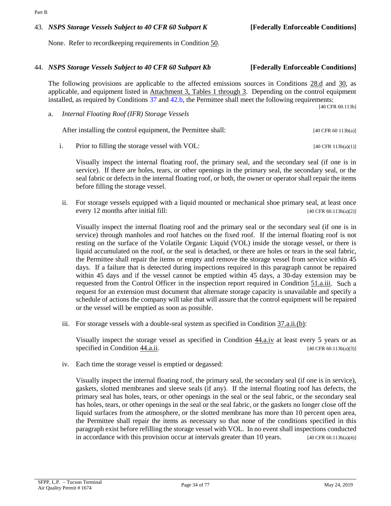After installing the control equipment, the Permittee shall: [40 CFR 60 113b(a)]

<span id="page-33-3"></span>i. Prior to filling the storage vessel with VOL:  $[40 \text{ CFR } 113b(a)(1)]$ 

Visually inspect the internal floating roof, the primary seal, and the secondary seal (if one is in service). If there are holes, tears, or other openings in the primary seal, the secondary seal, or the seal fabric or defects in the internal floating roof, or both, the owner or operator shall repair the items before filling the storage vessel.

<span id="page-33-2"></span>ii. For storage vessels equipped with a liquid mounted or mechanical shoe primary seal, at least once every 12 months after initial fill: [40 CFR 60.113b(a)(2)]

Visually inspect the internal floating roof and the primary seal or the secondary seal (if one is in service) through manholes and roof hatches on the fixed roof. If the internal floating roof is not resting on the surface of the Volatile Organic Liquid (VOL) inside the storage vessel, or there is liquid accumulated on the roof, or the seal is detached, or there are holes or tears in the seal fabric, the Permittee shall repair the items or empty and remove the storage vessel from service within 45 days. If a failure that is detected during inspections required in this paragraph cannot be repaired within 45 days and if the vessel cannot be emptied within 45 days, a 30-day extension may be requested from the Control Officer in the inspection report required in [Condition](#page-42-0) 51.a.iii. Such a request for an extension must document that alternate storage capacity is unavailable and specify a schedule of actions the company will take that will assure that the control equipment will be repaired or the vessel will be emptied as soon as possible.

iii. For storage vessels with a double-seal system as specified i[n Condition](#page-23-0) 37.a.ii.(b):

Visually inspect the storage vessel as specified in [Condition](#page-33-1) 44.a.iv at least every 5 years or as specified in [Condition](#page-33-2) 44.a.ii.  $[40 \text{ CFR } 60.113b(a)(3)]$ 

<span id="page-33-1"></span>iv. Each time the storage vessel is emptied or degassed:

Visually inspect the internal floating roof, the primary seal, the secondary seal (if one is in service), gaskets, slotted membranes and sleeve seals (if any). If the internal floating roof has defects, the primary seal has holes, tears, or other openings in the seal or the seal fabric, or the secondary seal has holes, tears, or other openings in the seal or the seal fabric, or the gaskets no longer close off the liquid surfaces from the atmosphere, or the slotted membrane has more than 10 percent open area, the Permittee shall repair the items as necessary so that none of the conditions specified in this paragraph exist before refilling the storage vessel with VOL. In no event shall inspections conducted in accordance with this provision occur at intervals greater than 10 years.  $[40 \text{ CFR } 60.113b(a/4)]$ 

44. *NSPS Storage Vessels Subject to 40 CFR 60 Subpart Kb* **[Federally Enforceable Conditions]**

The following provisions are applicable to the affected emissions sources in [Conditions 28.d](#page-16-2) and [30,](#page-18-1) as applicable, and equipment listed in [Attachment 3, Tables 1 through 3.](#page-71-0) Depending on the control equipment

None. Refer to recordkeeping requirements in [Condition](#page-41-0) 50.

<span id="page-33-0"></span>a. *Internal Floating Roof (IFR) Storage Vessels*

installed, as required by Conditions [37](#page-22-0) and [42.b,](#page-32-0) the Permittee shall meet the following requirements: [40 CFR 60.113b]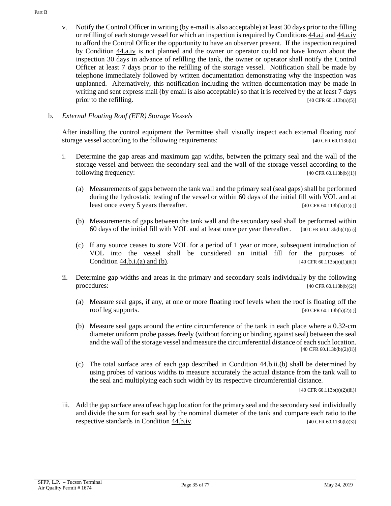v. Notify the Control Officer in writing (by e-mail is also acceptable) at least 30 days prior to the filling or refilling of each storage vessel for which an inspection is required b[y Conditions 44.a.i](#page-33-3) and [44.a.iv](#page-33-1) to afford the Control Officer the opportunity to have an observer present. If the inspection required by [Condition](#page-33-1) 44.a.iv is not planned and the owner or operator could not have known about the inspection 30 days in advance of refilling the tank, the owner or operator shall notify the Control Officer at least 7 days prior to the refilling of the storage vessel. Notification shall be made by telephone immediately followed by written documentation demonstrating why the inspection was unplanned. Alternatively, this notification including the written documentation may be made in writing and sent express mail (by email is also acceptable) so that it is received by the at least 7 days prior to the refilling.  $[40 \text{ CFR } 60.113 \text{ b} (a)(5)]$ 

# <span id="page-34-0"></span>b. *External Floating Roof (EFR) Storage Vessels*

After installing the control equipment the Permittee shall visually inspect each external floating roof storage vessel according to the following requirements: [40 CFR 60.113b(b)]

- <span id="page-34-3"></span><span id="page-34-1"></span>i. Determine the gap areas and maximum gap widths, between the primary seal and the wall of the storage vessel and between the secondary seal and the wall of the storage vessel according to the following frequency:  $[40 \text{ CFR } 60.113b(b)(1)]$ 
	- (a) Measurements of gaps between the tank wall and the primary seal (seal gaps) shall be performed during the hydrostatic testing of the vessel or within 60 days of the initial fill with VOL and at least once every 5 years thereafter. [40 CFR 60.113b(b)(1)(i)]
	- (b) Measurements of gaps between the tank wall and the secondary seal shall be performed within 60 days of the initial fill with VOL and at least once per year thereafter.  $[40 \text{ CFR } 60.113b(b)(1)(ii)]$
	- (c) If any source ceases to store VOL for a period of 1 year or more, subsequent introduction of VOL into the vessel shall be considered an initial fill for the purposes of [Condition](#page-34-1) 44.b.i.(a) and (b).  $[40 \text{ CFR } 60.113b(b)(1)(iii)]$
- ii. Determine gap widths and areas in the primary and secondary seals individually by the following procedures: [40 CFR 60.113b(b)(2)]
	- (a) Measure seal gaps, if any, at one or more floating roof levels when the roof is floating off the roof leg supports. [40 CFR 60.113b(b)(2)(i)]
	- (b) Measure seal gaps around the entire circumference of the tank in each place where a 0.32-cm diameter uniform probe passes freely (without forcing or binding against seal) between the seal and the wall of the storage vessel and measure the circumferential distance of each such location. [40 CFR 60.113b(b)(2)(ii)]
	- (c) The total surface area of each gap described in Condition 44.b.ii.(b) shall be determined by using probes of various widths to measure accurately the actual distance from the tank wall to the seal and multiplying each such width by its respective circumferential distance.

[40 CFR 60.113b(b)(2)(iii)]

<span id="page-34-2"></span>iii. Add the gap surface area of each gap location for the primary seal and the secondary seal individually and divide the sum for each seal by the nominal diameter of the tank and compare each ratio to the respective standards in [Condition](#page-35-2) 44.b.iv. [40 CFR 60.113b(b)(3)]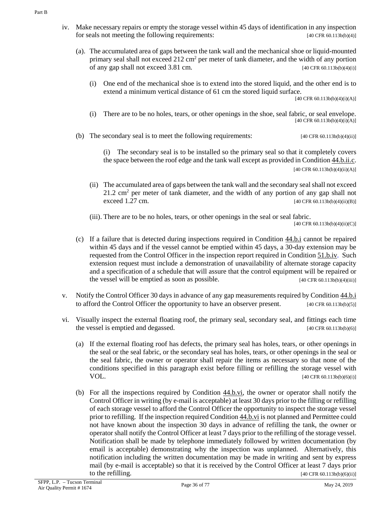- <span id="page-35-2"></span><span id="page-35-0"></span>iv. Make necessary repairs or empty the storage vessel within 45 days of identification in any inspection for seals not meeting the following requirements: [40 CFR 60.113b(b)(4)]
	- (a). The accumulated area of gaps between the tank wall and the mechanical shoe or liquid-mounted primary seal shall not exceed 212 cm<sup>2</sup> per meter of tank diameter, and the width of any portion of any gap shall not exceed 3.81 cm. [40 CFR 60.113b(b)(4)(i)]
		- (i) One end of the mechanical shoe is to extend into the stored liquid, and the other end is to extend a minimum vertical distance of 61 cm the stored liquid surface.

[40 CFR 60.113b(b)(4)(i)(A)]

- (i) There are to be no holes, tears, or other openings in the shoe, seal fabric, or seal envelope. [40 CFR 60.113b(b)(4)(i)(A)]
- <span id="page-35-1"></span>(b) The secondary seal is to meet the following requirements:  $[40 \text{ CFR } 60.113b(b)(4)(ii)]$

(i) The secondary seal is to be installed so the primary seal so that it completely covers the space between the roof edge and the tank wall except as provided i[n Condition 44.b.ii.c.](#page-34-2)  $[40 \text{ CFR } 60.113b(b)(4)(ii)(A)]$ 

(ii) The accumulated area of gaps between the tank wall and the secondary seal shall not exceed  $21.2 \text{ cm}^2$  per meter of tank diameter, and the width of any portion of any gap shall not exceed  $1.27 \text{ cm.}$  [40 CFR 60.113b(b)(4)(ii)(B)]

(iii). There are to be no holes, tears, or other openings in the seal or seal fabric.

[40 CFR 60.113b(b)(4)(ii)(C)]

- (c) If a failure that is detected during inspections required in [Condition](#page-34-3) 44.b.i cannot be repaired within 45 days and if the vessel cannot be emptied within 45 days, a 30-day extension may be requested from the Control Officer in the inspection report required i[n Condition](#page-43-0) 51.b.iv. Such extension request must include a demonstration of unavailability of alternate storage capacity and a specification of a schedule that will assure that the control equipment will be repaired or the vessel will be emptied as soon as possible.  $[40 \text{ CFR } 60.113b(b)(4)(iii)]$
- v. Notify the Control Officer 30 days in advance of any gap measurements required b[y Condition](#page-34-3) 44.b.i to afford the Control Officer the opportunity to have an observer present.  $[40 \text{ CFR } 60.113b(b)(5)]$
- <span id="page-35-3"></span>vi. Visually inspect the external floating roof, the primary seal, secondary seal, and fittings each time the vessel is emptied and degassed. [40 CFR 60.113b(b)(6)]
	- (a) If the external floating roof has defects, the primary seal has holes, tears, or other openings in the seal or the seal fabric, or the secondary seal has holes, tears, or other openings in the seal or the seal fabric, the owner or operator shall repair the items as necessary so that none of the conditions specified in this paragraph exist before filling or refilling the storage vessel with **VOL.** [40 CFR 60.113b(b)(6)(i)]
	- (b) For all the inspections required by [Condition](#page-35-3) 44.b.vi, the owner or operator shall notify the Control Officer in writing (by e-mail is acceptable) at least 30 days prior to the filling or refilling of each storage vessel to afford the Control Officer the opportunity to inspect the storage vessel prior to refilling. If the inspection require[d Condition 44.b.vi](#page-35-3) is not planned and Permittee could not have known about the inspection 30 days in advance of refilling the tank, the owner or operator shall notify the Control Officer at least 7 days prior to the refilling of the storage vessel. Notification shall be made by telephone immediately followed by written documentation (by email is acceptable) demonstrating why the inspection was unplanned. Alternatively, this notification including the written documentation may be made in writing and sent by express mail (by e-mail is acceptable) so that it is received by the Control Officer at least 7 days prior to the refilling.  $[40 \text{ CFR } 60.113b(b)(6)(ii)]$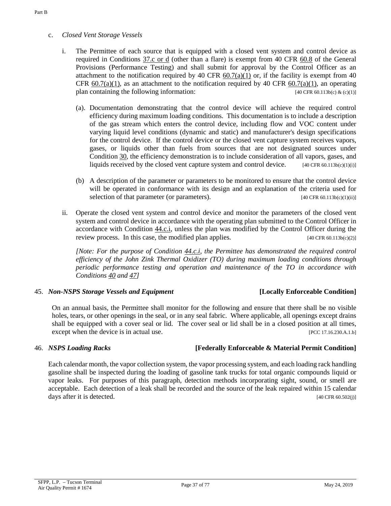# <span id="page-36-0"></span>c. *Closed Vent Storage Vessels*

- i. The Permittee of each source that is equipped with a closed vent system and control device as required in [Conditions 37.c or d](#page-24-0) (other than a flare) is exempt from [40 CFR 60.8](https://tinyurl.com/40-cfr-60-8-incl) of the General Provisions (Performance Testing) and shall submit for approval by the Control Officer as an attachment to the notification required by 40 CFR  $60.7(a)(1)$  or, if the facility is exempt from 40 CFR  $60.7(a)(1)$ , as an attachment to the notification required by 40 CFR  $60.7(a)(1)$ , an operating plan containing the following information: [40 CFR 60.113b(c) & (c)(1)]
	- (a). Documentation demonstrating that the control device will achieve the required control efficiency during maximum loading conditions. This documentation is to include a description of the gas stream which enters the control device, including flow and VOC content under varying liquid level conditions (dynamic and static) and manufacturer's design specifications for the control device. If the control device or the closed vent capture system receives vapors, gases, or liquids other than fuels from sources that are not designated sources under [Condition](#page-18-0) 30, the efficiency demonstration is to include consideration of all vapors, gases, and liquids received by the closed vent capture system and control device.  $[40 \text{ CFR } 60.113b(c)(1)(i)]$
	- (b) A description of the parameter or parameters to be monitored to ensure that the control device will be operated in conformance with its design and an explanation of the criteria used for selection of that parameter (or parameters). [40 CFR 60.113b(c)(1)(ii)]
- ii. Operate the closed vent system and control device and monitor the parameters of the closed vent system and control device in accordance with the operating plan submitted to the Control Officer in accordance with [Condition](#page-36-0) 44.c.i, unless the plan was modified by the Control Officer during the review process. In this case, the modified plan applies.  $[40 \text{ CFR } 60.113 \text{b(c)}(2)]$

*[Note: For the purpose of [Condition 44.c.i,](#page-36-0) the Permittee has demonstrated the required control efficiency of the John Zink Thermal Oxidizer (TO) during maximum loading conditions through periodic performance testing and operation and maintenance of the TO in accordance with [Conditions 40](#page-26-0) and [47\]](#page-37-0)*

# <span id="page-36-2"></span>45. *Non-NSPS Storage Vessels and Equipment* **[Locally Enforceable Condition]**

On an annual basis, the Permittee shall monitor for the following and ensure that there shall be no visible holes, tears, or other openings in the seal, or in any seal fabric. Where applicable, all openings except drains shall be equipped with a cover seal or lid. The cover seal or lid shall be in a closed position at all times, except when the device is in actual use. [PCC 17.16.230.A.1.b]

# <span id="page-36-1"></span>46. *NSPS Loading Racks* **[Federally Enforceable & Material Permit Condition]**

Each calendar month, the vapor collection system, the vapor processing system, and each loading rack handling gasoline shall be inspected during the loading of gasoline tank trucks for total organic compounds liquid or vapor leaks. For purposes of this paragraph, detection methods incorporating sight, sound, or smell are acceptable. Each detection of a leak shall be recorded and the source of the leak repaired within 15 calendar days after it is detected. [40 CFR 60.502(j)]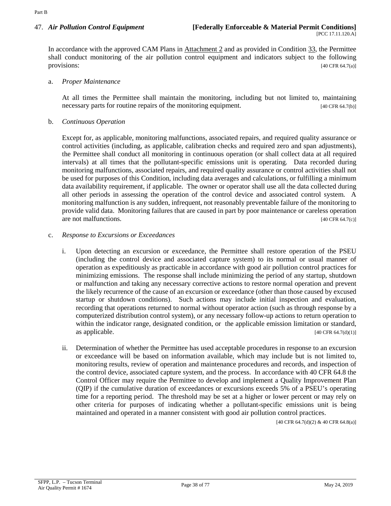<span id="page-37-0"></span>In accordance with the approved CAM Plans in [Attachment 2](#page-60-0) and as provided in [Condition](#page-19-0) 33, the Permittee shall conduct monitoring of the air pollution control equipment and indicators subject to the following provisions: [40 CFR 64.7(a)]

#### a. *Proper Maintenance*

At all times the Permittee shall maintain the monitoring, including but not limited to, maintaining necessary parts for routine repairs of the monitoring equipment. [40 CFR 64.7(b)]

#### b. *Continuous Operation*

Except for, as applicable, monitoring malfunctions, associated repairs, and required quality assurance or control activities (including, as applicable, calibration checks and required zero and span adjustments), the Permittee shall conduct all monitoring in continuous operation (or shall collect data at all required intervals) at all times that the pollutant-specific emissions unit is operating. Data recorded during monitoring malfunctions, associated repairs, and required quality assurance or control activities shall not be used for purposes of this Condition, including data averages and calculations, or fulfilling a minimum data availability requirement, if applicable. The owner or operator shall use all the data collected during all other periods in assessing the operation of the control device and associated control system. A monitoring malfunction is any sudden, infrequent, not reasonably preventable failure of the monitoring to provide valid data. Monitoring failures that are caused in part by poor maintenance or careless operation are not malfunctions. [40 CFR 64.7(c)]

#### <span id="page-37-2"></span>c. *Response to Excursions or Exceedances*

- i. Upon detecting an excursion or exceedance, the Permittee shall restore operation of the PSEU (including the control device and associated capture system) to its normal or usual manner of operation as expeditiously as practicable in accordance with good air pollution control practices for minimizing emissions. The response shall include minimizing the period of any startup, shutdown or malfunction and taking any necessary corrective actions to restore normal operation and prevent the likely recurrence of the cause of an excursion or exceedance (other than those caused by excused startup or shutdown conditions). Such actions may include initial inspection and evaluation, recording that operations returned to normal without operator action (such as through response by a computerized distribution control system), or any necessary follow-up actions to return operation to within the indicator range, designated condition, or the applicable emission limitation or standard, as applicable.  $[40 \text{ CFR } 64.7(d)(1)]$
- <span id="page-37-1"></span>ii. Determination of whether the Permittee has used acceptable procedures in response to an excursion or exceedance will be based on information available, which may include but is not limited to, monitoring results, review of operation and maintenance procedures and records, and inspection of the control device, associated capture system, and the process. In accordance with 40 CFR 64.8 the Control Officer may require the Permittee to develop and implement a Quality Improvement Plan (QIP) if the cumulative duration of exceedances or excursions exceeds 5% of a PSEU's operating time for a reporting period. The threshold may be set at a higher or lower percent or may rely on other criteria for purposes of indicating whether a pollutant-specific emissions unit is being maintained and operated in a manner consistent with good air pollution control practices.

[40 CFR 64.7(d)(2) & 40 CFR 64.8(a)]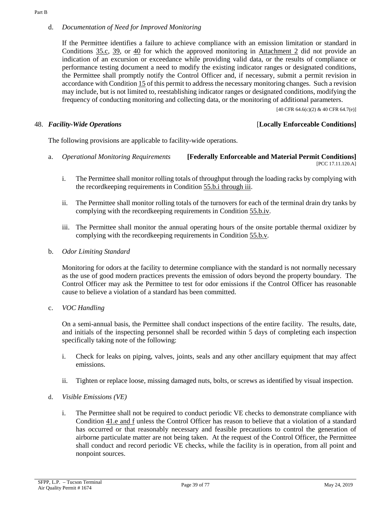### <span id="page-38-1"></span>d. *Documentation of Need for Improved Monitoring*

If the Permittee identifies a failure to achieve compliance with an emission limitation or standard in [Conditions 35.c,](#page-21-0) [39,](#page-26-1) or [40](#page-26-0) for which the approved monitoring in [Attachment 2](#page-60-0) did not provide an indication of an excursion or exceedance while providing valid data, or the results of compliance or performance testing document a need to modify the existing indicator ranges or designated conditions, the Permittee shall promptly notify the Control Officer and, if necessary, submit a permit revision in accordance wit[h Condition](#page-11-0) 15 of this permit to address the necessary monitoring changes. Such a revision may include, but is not limited to, reestablishing indicator ranges or designated conditions, modifying the frequency of conducting monitoring and collecting data, or the monitoring of additional parameters.

 $[40 \text{ CFR } 64.6 \text{(c)}(2) \& 40 \text{ CFR } 64.7 \text{(e)}]$ 

# 48. *Facility-Wide Operations* [**Locally Enforceable Conditions]**

The following provisions are applicable to facility-wide operations.

- a. *Operational Monitoring Requirements* **[Federally Enforceable and Material Permit Conditions]** [PCC 17.11.120.A]
	- i. The Permittee shall monitor rolling totals of throughput through the loading racks by complying with the recordkeeping requirements in [Condition 55.b.i through iii.](#page-48-0)
	- ii. The Permittee shall monitor rolling totals of the turnovers for each of the terminal drain dry tanks by complying with the recordkeeping requirements in [Condition](#page-48-0) 55.b.iv.
	- iii. The Permittee shall monitor the annual operating hours of the onsite portable thermal oxidizer by complying with the recordkeeping requirements in [Condition](#page-48-0) 55.b.v.
- b. *Odor Limiting Standard*

Monitoring for odors at the facility to determine compliance with the standard is not normally necessary as the use of good modern practices prevents the emission of odors beyond the property boundary. The Control Officer may ask the Permittee to test for odor emissions if the Control Officer has reasonable cause to believe a violation of a standard has been committed.

<span id="page-38-0"></span>c. *VOC Handling*

On a semi-annual basis, the Permittee shall conduct inspections of the entire facility. The results, date, and initials of the inspecting personnel shall be recorded within 5 days of completing each inspection specifically taking note of the following:

- i. Check for leaks on piping, valves, joints, seals and any other ancillary equipment that may affect emissions.
- ii. Tighten or replace loose, missing damaged nuts, bolts, or screws as identified by visual inspection.
- d. *Visible Emissions (VE)*
	- i. The Permittee shall not be required to conduct periodic VE checks to demonstrate compliance with Condition [41.e and f](#page-28-0) unless the Control Officer has reason to believe that a violation of a standard has occurred or that reasonably necessary and feasible precautions to control the generation of airborne particulate matter are not being taken. At the request of the Control Officer, the Permittee shall conduct and record periodic VE checks, while the facility is in operation, from all point and nonpoint sources.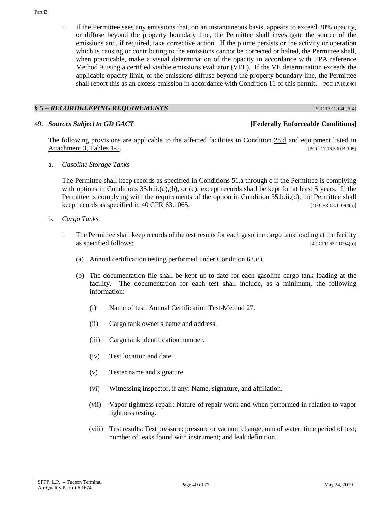ii. If the Permittee sees any emissions that, on an instantaneous basis, appears to exceed 20% opacity, or diffuse beyond the property boundary line, the Permittee shall investigate the source of the emissions and, if required, take corrective action. If the plume persists or the activity or operation which is causing or contributing to the emissions cannot be corrected or halted, the Permittee shall, when practicable, make a visual determination of the opacity in accordance with EPA reference Method 9 using a certified visible emissions evaluator (VEE). If the VE determination exceeds the applicable opacity limit, or the emissions diffuse beyond the property boundary line, the Permittee shall report this as an excess emission in accordance with [Condition](#page-6-0) 11 of this permit. [PCC 17.16.040]

# **§ 5 –** *RECORDKEEPING REQUIREMENTS* [PCC 17.12.040.A.4]

#### 49. *Sources Subject to GD GACT* **[Federally Enforceable Conditions]**

The following provisions are applicable to the affected facilities in [Condition](#page-16-0) 28.d and equipment listed in [Attachment 3, Tables 1-5.](#page-71-0) *PCC 17.16.530.B.105* 

a. *Gasoline Storage Tanks*

The Permittee shall keep records as specified in [Conditions 51.a through c](#page-42-0) if the Permittee is complying with options in Conditions [35.b.ii.\(a\),\(b\), or \(c\),](#page-20-0) except records shall be kept for at least 5 years. If the Permittee is complying with the requirements of the option in [Condition](#page-20-1) 35.b.ii.(d), the Permittee shall keep records as specified in 40 CFR  $\overline{63.1065}$ . [40 CFR 63.11094(a)]

- <span id="page-39-1"></span><span id="page-39-0"></span>b. *Cargo Tanks*
	- i The Permittee shall keep records of the test results for each gasoline cargo tank loading at the facility as specified follows: [40 CFR 63.11094(b)]
		- (a) Annual certification testing performed under [Condition 63.c.i.](#page-53-0)
		- (b) The documentation file shall be kept up-to-date for each gasoline cargo tank loading at the facility. The documentation for each test shall include, as a minimum, the following information:
			- (i) Name of test: Annual Certification Test-Method 27.
			- (ii) Cargo tank owner's name and address.
			- (iii) Cargo tank identification number.
			- (iv) Test location and date.
			- (v) Tester name and signature.
			- (vi) Witnessing inspector, if any: Name, signature, and affiliation.
			- (vii) Vapor tightness repair: Nature of repair work and when performed in relation to vapor tightness testing.
			- (viii) Test results: Test pressure; pressure or vacuum change, mm of water; time period of test; number of leaks found with instrument; and leak definition.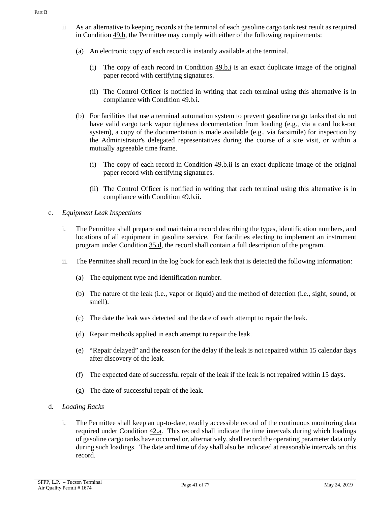- <span id="page-40-0"></span>ii As an alternative to keeping records at the terminal of each gasoline cargo tank test result as required in [Condition](#page-39-0) 49.b, the Permittee may comply with either of the following requirements:
	- (a) An electronic copy of each record is instantly available at the terminal.
		- (i) The copy of each record in [Condition](#page-39-1) 49.b.i is an exact duplicate image of the original paper record with certifying signatures.
		- (ii) The Control Officer is notified in writing that each terminal using this alternative is in compliance with [Condition 49.b.i.](#page-39-1)
	- (b) For facilities that use a terminal automation system to prevent gasoline cargo tanks that do not have valid cargo tank vapor tightness documentation from loading (e.g., via a card lock-out system), a copy of the documentation is made available (e.g., via facsimile) for inspection by the Administrator's delegated representatives during the course of a site visit, or within a mutually agreeable time frame.
		- (i) The copy of each record in [Condition](#page-40-0)  $\frac{49 \cdot b \cdot i}{2}$  is an exact duplicate image of the original paper record with certifying signatures.
		- (ii) The Control Officer is notified in writing that each terminal using this alternative is in compliance with [Condition 49.b.ii.](#page-40-0)
- c. *Equipment Leak Inspections*
	- i. The Permittee shall prepare and maintain a record describing the types, identification numbers, and locations of all equipment in gasoline service. For facilities electing to implement an instrument program under [Condition](#page-22-0) 35.d, the record shall contain a full description of the program.
	- ii. The Permittee shall record in the log book for each leak that is detected the following information:
		- (a) The equipment type and identification number.
		- (b) The nature of the leak (i.e., vapor or liquid) and the method of detection (i.e., sight, sound, or smell).
		- (c) The date the leak was detected and the date of each attempt to repair the leak.
		- (d) Repair methods applied in each attempt to repair the leak.
		- (e) "Repair delayed" and the reason for the delay if the leak is not repaired within 15 calendar days after discovery of the leak.
		- (f) The expected date of successful repair of the leak if the leak is not repaired within 15 days.
		- (g) The date of successful repair of the leak.
- d. *Loading Racks*
	- i. The Permittee shall keep an up-to-date, readily accessible record of the continuous monitoring data required under [Condition](#page-30-0) 42.a. This record shall indicate the time intervals during which loadings of gasoline cargo tanks have occurred or, alternatively, shall record the operating parameter data only during such loadings. The date and time of day shall also be indicated at reasonable intervals on this record.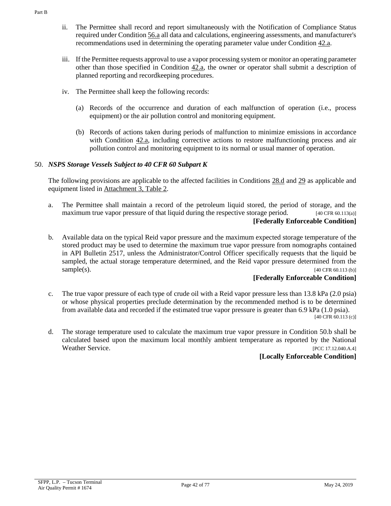- ii. The Permittee shall record and report simultaneously with the Notification of Compliance Status required under [Condition](#page-49-0) 56.a all data and calculations, engineering assessments, and manufacturer's recommendations used in determining the operating parameter value under [Condition 42.a.](#page-30-1)
- iii. If the Permittee requests approval to use a vapor processing system or monitor an operating parameter other than those specified in [Condition 42.a,](#page-30-1) the owner or operator shall submit a description of planned reporting and recordkeeping procedures.
- iv. The Permittee shall keep the following records:
	- (a) Records of the occurrence and duration of each malfunction of operation (i.e., process equipment) or the air pollution control and monitoring equipment.
	- (b) Records of actions taken during periods of malfunction to minimize emissions in accordance with [Condition 42.a,](#page-30-1) including corrective actions to restore malfunctioning process and air pollution control and monitoring equipment to its normal or usual manner of operation.

# 50. *NSPS Storage Vessels Subject to 40 CFR 60 Subpart K*

The following provisions are applicable to the affected facilities in [Conditions 28.d](#page-16-0) and [29](#page-17-0) as applicable and equipment listed in [Attachment 3, Table 2.](#page-72-0)

- a. The Permittee shall maintain a record of the petroleum liquid stored, the period of storage, and the maximum true vapor pressure of that liquid during the respective storage period.  $[40 \text{ CFR } 60.113(a)]$ **[Federally Enforceable Condition]**
- b. Available data on the typical Reid vapor pressure and the maximum expected storage temperature of the stored product may be used to determine the maximum true vapor pressure from nomographs contained in API Bulletin 2517, unless the Administrator/Control Officer specifically requests that the liquid be sampled, the actual storage temperature determined, and the Reid vapor pressure determined from the  $sample(s)$ . [40 CFR 60.113 (b)]

# **[Federally Enforceable Condition]**

- c. The true vapor pressure of each type of crude oil with a Reid vapor pressure less than 13.8 kPa (2.0 psia) or whose physical properties preclude determination by the recommended method is to be determined from available data and recorded if the estimated true vapor pressure is greater than 6.9 kPa (1.0 psia). [40 CFR 60.113 (c)]
- d. The storage temperature used to calculate the maximum true vapor pressure in Condition 50.b shall be calculated based upon the maximum local monthly ambient temperature as reported by the National Weather Service. [PCC 17.12.040.A.4]

# **[Locally Enforceable Condition]**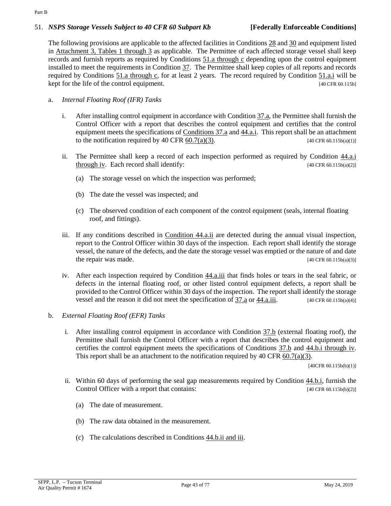#### Part B

### 51. *NSPS Storage Vessels Subject to 40 CFR 60 Subpart Kb* **[Federally Enforceable Conditions]**

The following provisions are applicable to the affected facilities in [Conditions 28](#page-16-1) and [30](#page-18-0) and equipment listed in [Attachment 3, Tables 1 through 3](#page-71-0) as applicable. The Permittee of each affected storage vessel shall keep records and furnish reports as required by [Conditions 51.a through c](#page-42-0) depending upon the control equipment installed to meet the requirements in [Condition](#page-22-1) 37. The Permittee shall keep copies of all reports and records required by [Conditions 51.a through c,](#page-42-0) for at least 2 years. The record required by [Condition](#page-42-1) 51.a.i will be kept for the life of the control equipment.  $[40 \text{ CFR } 60.115b]$ 

## <span id="page-42-1"></span><span id="page-42-0"></span>a. *Internal Floating Roof (IFR) Tanks*

- i. After installing control equipment in accordance with [Condition 37.a,](#page-22-2) the Permittee shall furnish the Control Officer with a report that describes the control equipment and certifies that the control equipment meets the specifications of [Conditions 37.a](#page-22-2) and [44.a.i.](#page-33-0) This report shall be an attachment to the notification required by 40 CFR  $60.7(a)(3)$ . [40 CFR  $60.115b(a)(1)$ ]
- ii. The Permittee shall keep a record of each inspection performed as required by [Condition](#page-33-0) 44.a.i [through iv.](#page-33-0) Each record shall identify:  $[40 \text{ CFR } 60.115b(a)(2)]$ 
	- (a) The storage vessel on which the inspection was performed;
	- (b) The date the vessel was inspected; and
	- (c) The observed condition of each component of the control equipment (seals, internal floating roof, and fittings).
- iii. If any conditions described in [Condition](#page-33-1) 44.a.ii are detected during the annual visual inspection, report to the Control Officer within 30 days of the inspection. Each report shall identify the storage vessel, the nature of the defects, and the date the storage vessel was emptied or the nature of and date the repair was made.  $[40 \text{ CFR } 60.115b(a)(3)]$
- iv. After each inspection required by [Condition](#page-33-2) 44.a.iii that finds holes or tears in the seal fabric, or defects in the internal floating roof, or other listed control equipment defects, a report shall be provided to the Control Officer within 30 days of the inspection. The report shall identify the storage vessel and the reason it did not meet the specification of [37.a](#page-22-2) or [44.a.iii.](#page-33-2)  $[40 \text{ CFR } 60.115b(a)(4)]$

## b. *External Floating Roof (EFR) Tanks*

i. After installing control equipment in accordance with [Condition 37.b](#page-23-0) (external floating roof), the Permittee shall furnish the Control Officer with a report that describes the control equipment and certifies the control equipment meets the specifications of [Conditions 37.b](#page-23-0) and [44.b.i through iv.](#page-34-0) This report shall be an attachment to the notification required by 40 CFR  $60.7(a)(3)$ .

[40CFR 60.115b(b)(1)]

- <span id="page-42-2"></span>ii. Within 60 days of performing the seal gap measurements required by [Condition](#page-34-0) 44.b.i, furnish the Control Officer with a report that contains: [40 CFR 60.115b(b)(2)]
	- (a) The date of measurement.
	- (b) The raw data obtained in the measurement.
	- (c) The calculations described in Conditions [44.b.ii and iii.](#page-34-1)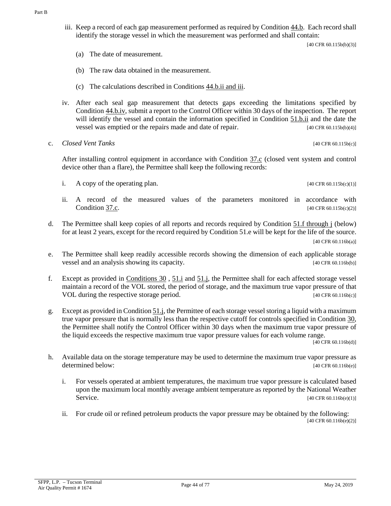iii. Keep a record of each gap measurement performed as required b[y Condition](#page-34-2) 44.b. Each record shall identify the storage vessel in which the measurement was performed and shall contain:

[40 CFR 60.115b(b)(3)]

- (a) The date of measurement.
- (b) The raw data obtained in the measurement.
- (c) The calculations described in Conditions [44.b.ii and iii.](#page-34-3)
- iv. After each seal gap measurement that detects gaps exceeding the limitations specified by [Condition](#page-35-0) 44.b.iv, submit a report to the Control Officer within 30 days of the inspection. The report will identify the vessel and contain the information specified in [Condition](#page-42-2) 51.b.ii and the date the vessel was emptied or the repairs made and date of repair. [40 CFR 60.115b(b)(4)]
- c. *Closed Vent Tanks* [40 CFR 60.115b(c)]

After installing control equipment in accordance with [Condition](#page-24-0) 37.c (closed vent system and control device other than a flare), the Permittee shall keep the following records:

i. A copy of the operating plan.  $[40 \text{ CFR } 60.115 \text{b(c)(1)}]$ 

- ii. A record of the measured values of the parameters monitored in accordance with [Condition](#page-24-0) 37.c. [40 CFR 60.115b(c)(2)]
- d. The Permittee shall keep copies of all reports and records required by Condition 51.f through j (below) for at least 2 years, except for the record required by Condition 51.e will be kept for the life of the source. [40 CFR 60.116b(a)]
- e. The Permittee shall keep readily accessible records showing the dimension of each applicable storage vessel and an analysis showing its capacity. [40 CFR 60.116b(b)]
- <span id="page-43-1"></span>f. Except as provided in [Conditions 30](#page-18-0) , [51.i](#page-44-0) and [51.j,](#page-44-0) the Permittee shall for each affected storage vessel maintain a record of the VOL stored, the period of storage, and the maximum true vapor pressure of that VOL during the respective storage period. [40 CFR 60.116b(c)]
- g. Except as provided i[n Condition](#page-44-0) 51.j, the Permittee of each storage vessel storing a liquid with a maximum true vapor pressure that is normally less than the respective cutoff for controls specified in [Condition](#page-18-0) 30, the Permittee shall notify the Control Officer within 30 days when the maximum true vapor pressure of the liquid exceeds the respective maximum true vapor pressure values for each volume range.

[40 CFR 60.116b(d)]

- <span id="page-43-0"></span>h. Available data on the storage temperature may be used to determine the maximum true vapor pressure as determined below: [40 CFR 60.116b(e)]
	- i. For vessels operated at ambient temperatures, the maximum true vapor pressure is calculated based upon the maximum local monthly average ambient temperature as reported by the National Weather Service. [40 CFR 60.116b(e)(1)]
	- ii. For crude oil or refined petroleum products the vapor pressure may be obtained by the following: [40 CFR 60.116b(e)(2)]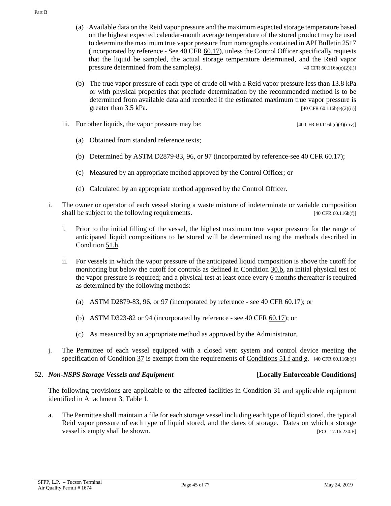- (a) Available data on the Reid vapor pressure and the maximum expected storage temperature based on the highest expected calendar-month average temperature of the stored product may be used to determine the maximum true vapor pressure from nomographs contained in API Bulletin 2517 (incorporated by reference - See 40 CFR  $60.17$ ), unless the Control Officer specifically requests that the liquid be sampled, the actual storage temperature determined, and the Reid vapor pressure determined from the sample(s). [40 CFR 60.116b(e)(2)(i)]
- (b) The true vapor pressure of each type of crude oil with a Reid vapor pressure less than 13.8 kPa or with physical properties that preclude determination by the recommended method is to be determined from available data and recorded if the estimated maximum true vapor pressure is greater than  $3.5 \text{ kPa}$ . [40 CFR 60.116b(e)(2)(ii)]
- iii. For other liquids, the vapor pressure may be:  $[40 \text{ CFR } 60.116 \text{ (e)}(3) \text{ (i-iv)}]$ 
	- (a) Obtained from standard reference texts;
	- (b) Determined by ASTM D2879-83, 96, or 97 (incorporated by reference-see 40 CFR 60.17);
	- (c) Measured by an appropriate method approved by the Control Officer; or
	- (d) Calculated by an appropriate method approved by the Control Officer.
- <span id="page-44-0"></span>i. The owner or operator of each vessel storing a waste mixture of indeterminate or variable composition shall be subject to the following requirements. [40 CFR 60.116b(f)]
	- i. Prior to the initial filling of the vessel, the highest maximum true vapor pressure for the range of anticipated liquid compositions to be stored will be determined using the methods described in [Condition](#page-43-0) 51.h.
	- ii. For vessels in which the vapor pressure of the anticipated liquid composition is above the cutoff for monitoring but below the cutoff for controls as defined in [Condition](#page-18-1) 30.b, an initial physical test of the vapor pressure is required; and a physical test at least once every 6 months thereafter is required as determined by the following methods:
		- (a) ASTM D2879-83, 96, or 97 (incorporated by reference see 40 CFR  $60.17$ ); or
		- (b) ASTM D323-82 or 94 (incorporated by reference see [40 CFR 60.17\)](https://tinyurl.com/40-CFR-60-17); or
		- (c) As measured by an appropriate method as approved by the Administrator.
- j. The Permittee of each vessel equipped with a closed vent system and control device meeting the specification of Condition  $37$  is exempt from the requirements of [Conditions](#page-43-1) 51.f and g. [40 CFR 60.116b(f)]

### <span id="page-44-1"></span>52. *Non-NSPS Storage Vessels and Equipment* **[Locally Enforceable Conditions]**

The following provisions are applicable to the affected facilities in [Condition](#page-18-2) 31 and applicable equipment identified in [Attachment 3, Table 1.](#page-71-0)

a. The Permittee shall maintain a file for each storage vessel including each type of liquid stored, the typical Reid vapor pressure of each type of liquid stored, and the dates of storage. Dates on which a storage vessel is empty shall be shown. [PCC 17.16.230.E]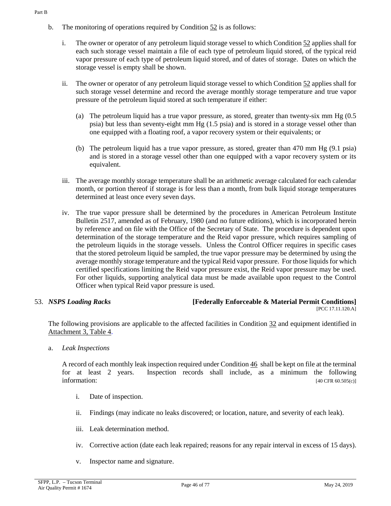- i. The owner or operator of any petroleum liquid storage vessel to whic[h Condition 52](#page-44-1) applies shall for each such storage vessel maintain a file of each type of petroleum liquid stored, of the typical reid vapor pressure of each type of petroleum liquid stored, and of dates of storage. Dates on which the storage vessel is empty shall be shown.
- ii. The owner or operator of any petroleum liquid storage vessel to whic[h Condition 52](#page-44-1) applies shall for such storage vessel determine and record the average monthly storage temperature and true vapor pressure of the petroleum liquid stored at such temperature if either:
	- (a) The petroleum liquid has a true vapor pressure, as stored, greater than twenty-six mm Hg (0.5 psia) but less than seventy-eight mm Hg (1.5 psia) and is stored in a storage vessel other than one equipped with a floating roof, a vapor recovery system or their equivalents; or
	- (b) The petroleum liquid has a true vapor pressure, as stored, greater than 470 mm Hg (9.1 psia) and is stored in a storage vessel other than one equipped with a vapor recovery system or its equivalent.
- iii. The average monthly storage temperature shall be an arithmetic average calculated for each calendar month, or portion thereof if storage is for less than a month, from bulk liquid storage temperatures determined at least once every seven days.
- iv. The true vapor pressure shall be determined by the procedures in American Petroleum Institute Bulletin 2517, amended as of February, 1980 (and no future editions), which is incorporated herein by reference and on file with the Office of the Secretary of State. The procedure is dependent upon determination of the storage temperature and the Reid vapor pressure, which requires sampling of the petroleum liquids in the storage vessels. Unless the Control Officer requires in specific cases that the stored petroleum liquid be sampled, the true vapor pressure may be determined by using the average monthly storage temperature and the typical Reid vapor pressure. For those liquids for which certified specifications limiting the Reid vapor pressure exist, the Reid vapor pressure may be used. For other liquids, supporting analytical data must be made available upon request to the Control Officer when typical Reid vapor pressure is used.

# 53. *NSPS Loading Racks* **[Federally Enforceable & Material Permit Conditions]**

[PCC 17.11.120.A]

The following provisions are applicable to the affected facilities in [Condition](#page-19-1) 32 and equipment identified in [Attachment 3, Table 4.](#page-74-0)

a. *Leak Inspections*

A record of each monthly leak inspection required unde[r Condition](#page-36-1) 46 shall be kept on file at the terminal for at least 2 years. Inspection records shall include, as a minimum the following  $[40 \text{ CFR } 60.505(c)]$ 

- i. Date of inspection.
- ii. Findings (may indicate no leaks discovered; or location, nature, and severity of each leak).
- iii. Leak determination method.
- iv. Corrective action (date each leak repaired; reasons for any repair interval in excess of 15 days).
- v. Inspector name and signature.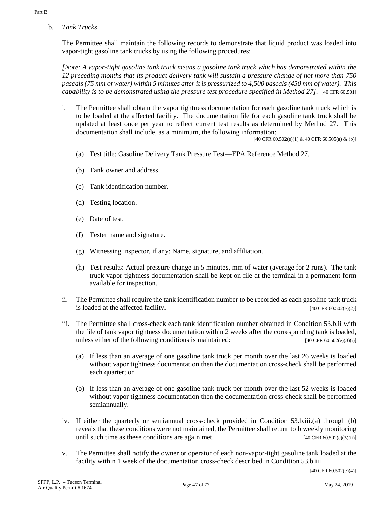b. *Tank Trucks*

The Permittee shall maintain the following records to demonstrate that liquid product was loaded into vapor-tight gasoline tank trucks by using the following procedures:

<span id="page-46-2"></span>*[Note: A vapor-tight gasoline tank truck means a gasoline tank truck which has demonstrated within the 12 preceding months that its product delivery tank will sustain a pressure change of not more than 750 pascals (75 mm of water) within 5 minutes after it is pressurized to 4,500 pascals (450 mm of water). This capability is to be demonstrated using the pressure test procedure specified in Method 27].* [40 CFR 60.501]

<span id="page-46-4"></span>i. The Permittee shall obtain the vapor tightness documentation for each gasoline tank truck which is to be loaded at the affected facility. The documentation file for each gasoline tank truck shall be updated at least once per year to reflect current test results as determined by Method 27. This documentation shall include, as a minimum, the following information:

[40 CFR 60.502(e)(1) & 40 CFR 60.505(a) & (b)]

- (a) Test title: Gasoline Delivery Tank Pressure Test—EPA Reference Method 27.
- (b) Tank owner and address.
- (c) Tank identification number.
- (d) Testing location.
- (e) Date of test.
- (f) Tester name and signature.
- (g) Witnessing inspector, if any: Name, signature, and affiliation.
- (h) Test results: Actual pressure change in 5 minutes, mm of water (average for 2 runs). The tank truck vapor tightness documentation shall be kept on file at the terminal in a permanent form available for inspection.
- <span id="page-46-0"></span>ii. The Permittee shall require the tank identification number to be recorded as each gasoline tank truck is loaded at the affected facility.  $[40 \text{ CFR } 60.502 \text{ (e)}(2)]$
- <span id="page-46-1"></span>iii. The Permittee shall cross-check each tank identification number obtained in [Condition](#page-46-0) 53.b.ii with the file of tank vapor tightness documentation within 2 weeks after the corresponding tank is loaded, unless either of the following conditions is maintained:  $[40 \text{ CFR } 60.502 \text{ (e)}(3) \text{ (i)}]$ 
	- (a) If less than an average of one gasoline tank truck per month over the last 26 weeks is loaded without vapor tightness documentation then the documentation cross-check shall be performed each quarter; or
	- (b) If less than an average of one gasoline tank truck per month over the last 52 weeks is loaded without vapor tightness documentation then the documentation cross-check shall be performed semiannually.
- iv. If either the quarterly or semiannual cross-check provided in Condition [53.b.iii.\(a\) through \(b\)](#page-46-1) reveals that these conditions were not maintained, the Permittee shall return to biweekly monitoring until such time as these conditions are again met.  $[40 \text{ CFR } 60.502 \text{ (e)}(3) \text{ (ii)}]$
- <span id="page-46-3"></span>v. The Permittee shall notify the owner or operator of each non-vapor-tight gasoline tank loaded at the facility within 1 week of the documentation cross-check described in [Condition](#page-46-1) 53.b.iii.

[40 CFR 60.502(e)(4)]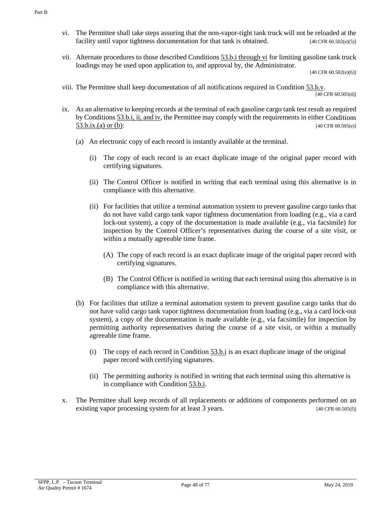- vi. The Permittee shall take steps assuring that the non-vapor-tight tank truck will not be reloaded at the facility until vapor tightness documentation for that tank is obtained. [40 CFR 60.502(e)(5)]
- vii. Alternate procedures to those described [Conditions 53.b.i through vi](#page-46-2) for limiting gasoline tank truck loadings may be used upon application to, and approval by, the Administrator.

[40 CFR 60.502(e)(6)]

viii. The Permittee shall keep documentation of all notifications required in [Condition](#page-46-3) 53.b.v.

 $\sqrt{[40 \text{ CFR } 60.505 \text{ (d)}]}$ 

- <span id="page-47-0"></span>ix. As an alternative to keeping records at the terminal of each gasoline cargo tank test result as required by Conditions [53.b.i, ii, and iv,](#page-46-4) the Permittee may comply with the requirements in eithe[r Conditions](#page-47-0) [53.b.ix.\(a\) or \(b\):](#page-47-0) [40 CFR 60.505(e)]
	- (a) An electronic copy of each record is instantly available at the terminal.
		- (i) The copy of each record is an exact duplicate image of the original paper record with certifying signatures.
		- (ii) The Control Officer is notified in writing that each terminal using this alternative is in compliance with this alternative.
		- (ii) For facilities that utilize a terminal automation system to prevent gasoline cargo tanks that do not have valid cargo tank vapor tightness documentation from loading (e.g., via a card lock-out system), a copy of the documentation is made available (e.g., via facsimile) for inspection by the Control Officer's representatives during the course of a site visit, or within a mutually agreeable time frame.
			- (A) The copy of each record is an exact duplicate image of the original paper record with certifying signatures.
			- (B) The Control Officer is notified in writing that each terminal using this alternative is in compliance with this alternative.
	- (b) For facilities that utilize a terminal automation system to prevent gasoline cargo tanks that do not have valid cargo tank vapor tightness documentation from loading (e.g., via a card lock-out system), a copy of the documentation is made available (e.g., via facsimile) for inspection by permitting authority representatives during the course of a site visit, or within a mutually agreeable time frame.
		- (i) The copy of each record in [Condition](#page-46-4) 53.b.i is an exact duplicate image of the original paper record with certifying signatures.
		- (ii) The permitting authority is notified in writing that each terminal using this alternative is in compliance with [Condition 53.b.i.](#page-46-4)
- x. The Permittee shall keep records of all replacements or additions of components performed on an existing vapor processing system for at least 3 years. [40 CFR 60.505(f)]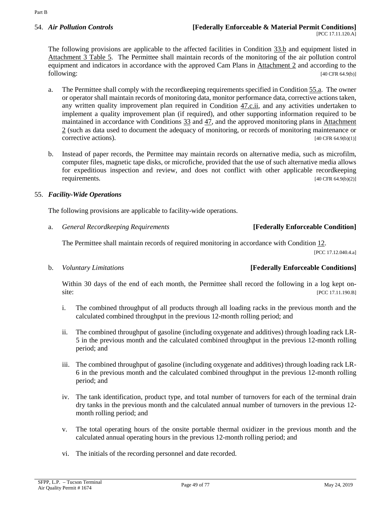The following provisions are applicable to the affected facilities in [Condition](#page-19-2) 33.b and equipment listed in [Attachment 3 Table 5.](#page-74-1) The Permittee shall maintain records of the monitoring of the air pollution control equipment and indicators in accordance with the approved Cam Plans in [Attachment 2](#page-60-0) and according to the following: [40 CFR 64.9(b)]

- a. The Permittee shall comply with the recordkeeping requirements specified i[n Condition](#page-48-1) 55.a. The owner or operator shall maintain records of monitoring data, monitor performance data, corrective actions taken, any written quality improvement plan required in [Condition](#page-37-1)  $47.c.i.$  and any activities undertaken to implement a quality improvement plan (if required), and other supporting information required to be maintained in accordance with [Conditions](#page-19-0) 33 and [47,](#page-37-0) and the approved monitoring plans in [Attachment](#page-60-0)  [2](#page-60-0) (such as data used to document the adequacy of monitoring, or records of monitoring maintenance or corrective actions). [40 CFR 64.9(b)(1)]
- b. Instead of paper records, the Permittee may maintain records on alternative media, such as microfilm, computer files, magnetic tape disks, or microfiche, provided that the use of such alternative media allows for expeditious inspection and review, and does not conflict with other applicable recordkeeping requirements.  $[40 \text{ CFR } 64.9 \text{ (b)}(2)]$

# 55. *Facility-Wide Operations*

The following provisions are applicable to facility-wide operations.

<span id="page-48-1"></span>a. *General Recordkeeping Requirements* **[Federally Enforceable Condition]**

The Permittee shall maintain records of required monitoring in accordance wit[h Condition](#page-10-0) 12.

[PCC 17.12.040.4.a]

# <span id="page-48-0"></span>b. *Voluntary Limitations* **[Federally Enforceable Conditions]**

Within 30 days of the end of each month, the Permittee shall record the following in a log kept onsite: [PCC 17.11.190.B]

- i. The combined throughput of all products through all loading racks in the previous month and the calculated combined throughput in the previous 12-month rolling period; and
- ii. The combined throughput of gasoline (including oxygenate and additives) through loading rack LR-5 in the previous month and the calculated combined throughput in the previous 12-month rolling period; and
- iii. The combined throughput of gasoline (including oxygenate and additives) through loading rack LR-6 in the previous month and the calculated combined throughput in the previous 12-month rolling period; and
- iv. The tank identification, product type, and total number of turnovers for each of the terminal drain dry tanks in the previous month and the calculated annual number of turnovers in the previous 12 month rolling period; and
- v. The total operating hours of the onsite portable thermal oxidizer in the previous month and the calculated annual operating hours in the previous 12-month rolling period; and
- vi. The initials of the recording personnel and date recorded.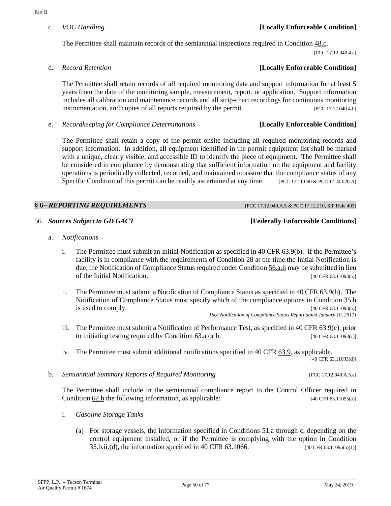# c. *VOC Handling* **[Locally Enforceable Condition]**

The Permittee shall maintain records of the semiannual inspections required i[n Condition](#page-38-0) 48.c.

[PCC 17.12.040.4.a]

The Permittee shall retain records of all required monitoring data and support information for at least 5 years from the date of the monitoring sample, measurement, report, or application. Support information includes all calibration and maintenance records and all strip-chart recordings for continuous monitoring instrumentation, and copies of all reports required by the permit. [PCC 17.12.040.4.b]

e. *Recordkeeping for Compliance Determinations* **[Locally Enforceable Condition]**

The Permittee shall retain a copy of the permit onsite including all required monitoring records and support information. In addition, all equipment identified in the permit equipment list shall be marked with a unique, clearly visible, and accessible ID to identify the piece of equipment. The Permittee shall be considered in compliance by demonstrating that sufficient information on the equipment and facility operations is periodically collected, recorded, and maintained to assure that the compliance status of any Specific Condition of this permit can be readily ascertained at any time. [PCC 17.11.060 & PCC 17.24.020.A]

# **§ 6–** *REPORTING REQUIREMENTS* [PCC 17.12.040.A.5 & PCC 17.12.210, SIP Rule 403]

56. *Sources Subject to GD GACT* **[Federally Enforceable Conditions]**

- <span id="page-49-0"></span>a. *Notifications*
	- i. The Permittee must submit an Initial Notification as specified in 40 CFR  $\underline{63.9(b)}$ . If the Permittee's facility is in compliance with the requirements of [Condition](#page-16-1) 28 at the time the Initial Notification is due, the Notification of Compliance Status required under [Condition 56.a.ii](#page-49-1) may be submitted in lieu of the Initial Notification. [40 CFR 63.11093(a)]
	- ii. The Permittee must submit a Notification of Compliance Status as specified in 4[0 CFR 63.9\(h\).](https://tinyurl.com/40-CFR-63-9) The Notification of Compliance Status must specify which of the compliance options in [Condition](#page-20-2) 35.b is used to comply.  $[40 \text{ CFR } 63.11093(a)]$

*[See Notification of Compliance Status Report dated January 10, 2011]*

- <span id="page-49-1"></span>iii. The Permittee must submit a Notification of Performance Test, as specified in [40 CFR 63.9\(e\),](https://tinyurl.com/40-CFR-63-9) prior to initiating testing required by [Condition](#page-53-1) 63.a or b.  $[40 \text{ CFR } 63.11093(c)]$
- iv. The Permittee must submit additional notifications specified i[n 40 CFR 63.9,](https://tinyurl.com/40-CFR-63-9) as applicable. [40 CFR 63.11093(d)]
- <span id="page-49-2"></span>b. *Semiannual Summary Reports of Required Monitoring* [PCC 17.12.040.A.5.a]

The Permittee shall include in the semiannual compliance report to the Control Officer required in [Condition](#page-52-0) 62.b the following information, as applicable: [40 CFR 63.11095(a)]

- i. *Gasoline Storage Tanks*
	- (a) For storage vessels, the information specified in [Conditions 51.a through c,](#page-42-0) depending on the control equipment installed, or if the Permittee is complying with the option in [Condition](#page-20-1) [35.b.ii.\(d\),](#page-20-1) the information specified in [40 CFR 63.1066.](https://tinyurl.com/40-CFR-63-1066) [40 CFR 63.11095(a)(1)]

# d. *Record Retention* **[Locally Enforceable Condition]**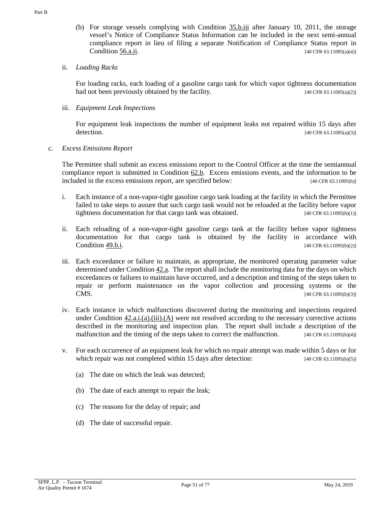(b) For storage vessels complying with [Condition](#page-21-1) 35.b.iii after January 10, 2011, the storage vessel's Notice of Compliance Status Information can be included in the next semi-annual compliance report in lieu of filing a separate Notification of Compliance Status report in [Condition](#page-49-1) 56.a.ii.  $[40 \text{ CFR } 63.11095(a/4)]$ 

# ii. *Loading Racks*

For loading racks, each loading of a gasoline cargo tank for which vapor tightness documentation had not been previously obtained by the facility. [40 CFR 63.11095(a)(2)]

# iii. *Equipment Leak Inspections*

For equipment leak inspections the number of equipment leaks not repaired within 15 days after detection. [40 CFR 63.11095(a)(3)]

# c. *Excess Emissions Report*

The Permittee shall submit an excess emissions report to the Control Officer at the time the semiannual compliance report is submitted in [Condition](#page-52-0) 62.b. Excess emissions events, and the information to be included in the excess emissions report, are specified below: [40 CFR 63.11095(b)]

- i. Each instance of a non-vapor-tight gasoline cargo tank loading at the facility in which the Permittee failed to take steps to assure that such cargo tank would not be reloaded at the facility before vapor tightness documentation for that cargo tank was obtained. [40 CFR 63.11095(b)(1)]
- ii. Each reloading of a non-vapor-tight gasoline cargo tank at the facility before vapor tightness documentation for that cargo tank is obtained by the facility in accordance with [Condition](#page-39-1) 49.b.i. [40 CFR 63.11095(b)(2)]
- iii. Each exceedance or failure to maintain, as appropriate, the monitored operating parameter value determined under [Condition](#page-30-0) 42.a. The report shall include the monitoring data for the days on which exceedances or failures to maintain have occurred, and a description and timing of the steps taken to repair or perform maintenance on the vapor collection and processing systems or the **CMS.** [40 CFR 63.11095(b)(3)]
- iv. Each instance in which malfunctions discovered during the monitoring and inspections required under Condition [42.a.i.\(a\).\(iii\).\(A\)](#page-31-0) were not resolved according to the necessary corrective actions described in the monitoring and inspection plan. The report shall include a description of the malfunction and the timing of the steps taken to correct the malfunction. [40 CFR 63.11095(b)(4)]
- v. For each occurrence of an equipment leak for which no repair attempt was made within 5 days or for which repair was not completed within 15 days after detection: [40 CFR 63.11095(b)(5)]
	- (a) The date on which the leak was detected;
	- (b) The date of each attempt to repair the leak;
	- (c) The reasons for the delay of repair; and
	- (d) The date of successful repair.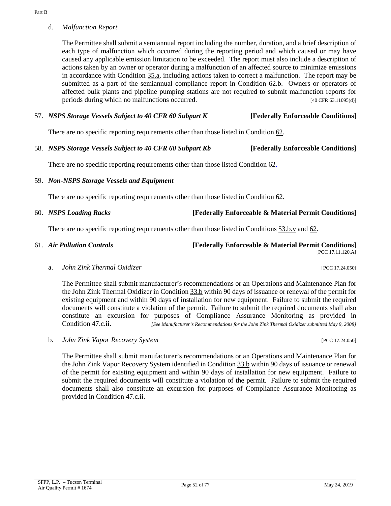Part B

The Permittee shall submit a semiannual report including the number, duration, and a brief description of each type of malfunction which occurred during the reporting period and which caused or may have caused any applicable emission limitation to be exceeded. The report must also include a description of actions taken by an owner or operator during a malfunction of an affected source to minimize emissions in accordance with [Condition](#page-20-3) 35.a, including actions taken to correct a malfunction. The report may be submitted as a part of the semiannual compliance report in [Condition](#page-52-0) 62.b. Owners or operators of affected bulk plants and pipeline pumping stations are not required to submit malfunction reports for periods during which no malfunctions occurred. [40 CFR 63.11095(d)]

# 57. *NSPS Storage Vessels Subject to 40 CFR 60 Subpart K* **[Federally Enforceable Conditions]**

There are no specific reporting requirements other than those listed in [Condition 62.](#page-52-1)

58. *NSPS Storage Vessels Subject to 40 CFR 60 Subpart Kb* **[Federally Enforceable Conditions]**

There are no specific reporting requirements other than those liste[d Condition 62.](#page-52-1)

59. *Non-NSPS Storage Vessels and Equipment*

There are no specific reporting requirements other than those listed in [Condition 62.](#page-52-1)

60. *NSPS Loading Racks* **[Federally Enforceable & Material Permit Conditions]**

There are no specific reporting requirements other than those listed in [Conditions 53.b.v](#page-46-3) and [62.](#page-52-1)

61. *Air Pollution Controls* **[Federally Enforceable & Material Permit Conditions]**

[PCC 17.11.120.A]

a. *John Zink Thermal Oxidizer* [PCC 17.24.050]

The Permittee shall submit manufacturer's recommendations or an Operations and Maintenance Plan for the John Zink Thermal Oxidizer i[n Condition](#page-19-2) 33.b within 90 days of issuance or renewal of the permit for existing equipment and within 90 days of installation for new equipment. Failure to submit the required documents will constitute a violation of the permit. Failure to submit the required documents shall also constitute an excursion for purposes of Compliance Assurance Monitoring as provided in [Condition](#page-37-1) 47.c.ii. *[See Manufacturer's Recommendations for the John Zink Thermal Oxidizer submitted May 9, 2008]*

b. *John Zink Vapor Recovery System* [PCC 17.24.050]

The Permittee shall submit manufacturer's recommendations or an Operations and Maintenance Plan for the John Zink Vapor Recovery System identified in [Condition](#page-19-2) 33.b within 90 days of issuance or renewal of the permit for existing equipment and within 90 days of installation for new equipment. Failure to submit the required documents will constitute a violation of the permit. Failure to submit the required documents shall also constitute an excursion for purposes of Compliance Assurance Monitoring as provided in [Condition](#page-37-1) 47.c.ii.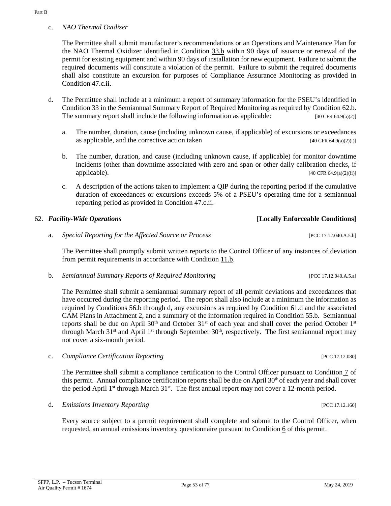c. *NAO Thermal Oxidizer*

The Permittee shall submit manufacturer's recommendations or an Operations and Maintenance Plan for the NAO Thermal Oxidizer identified in [Condition](#page-19-2) 33.b within 90 days of issuance or renewal of the permit for existing equipment and within 90 days of installation for new equipment. Failure to submit the required documents will constitute a violation of the permit. Failure to submit the required documents shall also constitute an excursion for purposes of Compliance Assurance Monitoring as provided in [Condition](#page-37-1) 47.c.ii.

- <span id="page-52-2"></span>d. The Permittee shall include at a minimum a report of summary information for the PSEU's identified in [Condition](#page-19-0) 33 in the Semiannual Summary Report of Required Monitoring as required by [Condition 62.b.](#page-52-0)  The summary report shall include the following information as applicable:  $[40 \text{ CFR } 64.9(a)(2)]$ 
	- a. The number, duration, cause (including unknown cause, if applicable) of excursions or exceedances as applicable, and the corrective action taken  $[40 \text{ CFR } 64.9(a)(2)(i)]$
	- b. The number, duration, and cause (including unknown cause, if applicable) for monitor downtime incidents (other than downtime associated with zero and span or other daily calibration checks, if applicable).  $[40 \text{ CFR } 64.9(a)(2)(ii)]$
	- c. A description of the actions taken to implement a QIP during the reporting period if the cumulative duration of exceedances or excursions exceeds 5% of a PSEU's operating time for a semiannual reporting period as provided in [Condition 47.c.ii.](#page-37-1)

# <span id="page-52-1"></span>62. *Facility-Wide Operations* **[Locally Enforceable Conditions]**

a. *Special Reporting for the Affected Source or Process* [PCC 17.12.040.A.5.b]

The Permittee shall promptly submit written reports to the Control Officer of any instances of deviation from permit requirements in accordance with [Condition](#page-7-0) 11.b.

<span id="page-52-0"></span>b. *Semiannual Summary Reports of Required Monitoring* [PCC 17.12.040.A.5.a]

The Permittee shall submit a semiannual summary report of all permit deviations and exceedances that have occurred during the reporting period. The report shall also include at a minimum the information as required by [Conditions 56.b through d,](#page-49-2) any excursions as required by [Condition](#page-52-2) 61.d and the associated CAM Plans in [Attachment 2,](#page-60-0) and a summary of the information required i[n Condition](#page-48-0) 55.b. Semiannual reports shall be due on April 30<sup>th</sup> and October 31<sup>st</sup> of each year and shall cover the period October 1<sup>st</sup> through March 31<sup>st</sup> and April 1<sup>st</sup> through September 30<sup>th</sup>, respectively. The first semiannual report may not cover a six-month period.

c. *Compliance Certification Reporting* [PCC 17.12.080]

The Permittee shall submit a compliance certification to the Control Officer pursuant to [Condition](#page-4-0) 7 of this permit. Annual compliance certification reports shall be due on April 30<sup>th</sup> of each year and shall cover the period April 1<sup>st</sup> through March 31<sup>st</sup>. The first annual report may not cover a 12-month period.

d. *Emissions Inventory Reporting* [PCC 17.12.160]

Every source subject to a permit requirement shall complete and submit to the Control Officer, when requested, an annual emissions inventory questionnaire pursuant to [Condition](#page-4-1) 6 of this permit.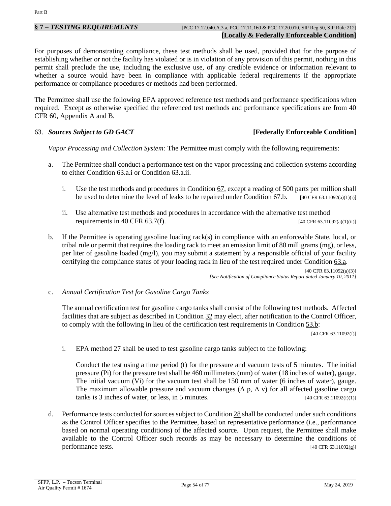For purposes of demonstrating compliance, these test methods shall be used, provided that for the purpose of establishing whether or not the facility has violated or is in violation of any provision of this permit, nothing in this permit shall preclude the use, including the exclusive use, of any credible evidence or information relevant to whether a source would have been in compliance with applicable federal requirements if the appropriate performance or compliance procedures or methods had been performed.

The Permittee shall use the following EPA approved reference test methods and performance specifications when required. Except as otherwise specified the referenced test methods and performance specifications are from 40 CFR 60, Appendix A and B.

### 63. *Sources Subject to GD GACT* **[Federally Enforceable Condition]**

*Vapor Processing and Collection System:* The Permittee must comply with the following requirements:

- <span id="page-53-2"></span><span id="page-53-1"></span>a. The Permittee shall conduct a performance test on the vapor processing and collection systems according to either Condition 63.a.i or Condition 63.a.ii.
	- i. Use the test methods and procedures in [Condition](#page-54-0) 67, except a reading of 500 parts per million shall be used to determine the level of leaks to be repaired under Condition [67.b.](#page-54-1) [40 CFR 63.11092(a)(1)(i)]
	- ii. Use alternative test methods and procedures in accordance with the alternative test method requirements i[n 40 CFR 63.7\(f\).](https://tinyurl.com/40-CFR-63-7)  $[40 \text{ CFR } 63.11092(a)(1)(ii)]$
- b. If the Permittee is operating gasoline loading rack(s) in compliance with an enforceable State, local, or tribal rule or permit that requires the loading rack to meet an emission limit of 80 milligrams (mg), or less, per liter of gasoline loaded (mg/l), you may submit a statement by a responsible official of your facility certifying the compliance status of your loading rack in lieu of the test required under [Condition](#page-53-1) 63.a.

[40 CFR 63.11092(a)(3)] *[See Notification of Compliance Status Report dated January 10, 2011]*

<span id="page-53-0"></span>c. *Annual Certification Test for Gasoline Cargo Tanks*

The annual certification test for gasoline cargo tanks shall consist of the following test methods. Affected facilities that are subject as described in [Condition](#page-19-1) 32 may elect, after notification to the Control Officer, to comply with the following in lieu of the certification test requirements in [Condition](#page-46-2) 53.b:

[40 CFR 63.11092(f)]

i. EPA method 27 shall be used to test gasoline cargo tanks subject to the following:

Conduct the test using a time period (t) for the pressure and vacuum tests of 5 minutes. The initial pressure (Pi) for the pressure test shall be 460 millimeters (mm) of water (18 inches of water), gauge. The initial vacuum (Vi) for the vacuum test shall be 150 mm of water (6 inches of water), gauge. The maximum allowable pressure and vacuum changes ( $\Delta$  p,  $\Delta$  v) for all affected gasoline cargo tanks is 3 inches of water, or less, in 5 minutes.  $[40 \text{ CFR } 63.11092(f)(1)]$ 

d. Performance tests conducted for sources subject t[o Condition](#page-16-1) 28 shall be conducted under such conditions as the Control Officer specifies to the Permittee, based on representative performance (i.e., performance based on normal operating conditions) of the affected source. Upon request, the Permittee shall make available to the Control Officer such records as may be necessary to determine the conditions of performance tests. [40 CFR 63.11092(g)]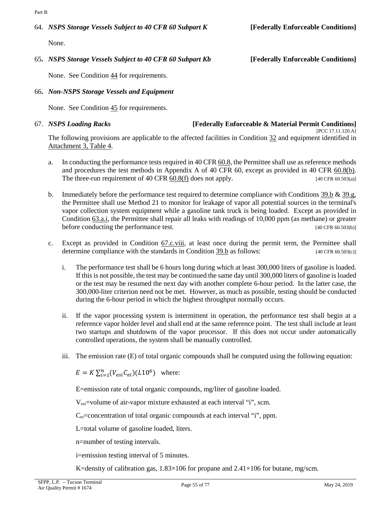# 64. *NSPS Storage Vessels Subject to 40 CFR 60 Subpart K* **[Federally Enforceable Conditions]**

None.

# 65**.** *NSPS Storage Vessels Subject to 40 CFR 60 Subpart Kb* **[Federally Enforceable Conditions]**

None. See [Condition](#page-33-3) 44 for requirements.

# 66**.** *Non-NSPS Storage Vessels and Equipment*

None. See [Condition](#page-36-2) 45 for requirements.

#### <span id="page-54-0"></span>67. *NSPS Loading Racks* **[Federally Enforceable & Material Permit Conditions]** [PCC 17.11.120.A]

The following provisions are applicable to the affected facilities in [Condition](#page-19-1) 32 and equipment identified in [Attachment 3, Table 4.](#page-74-0)

- a. In conducting the performance tests required in [40 CFR 60.8,](https://tinyurl.com/40-CFR-60-8) the Permittee shall use as reference methods and procedures the test methods in Appendix A of 40 CFR 60, except as provided in [40 CFR 60.8\(b\).](https://tinyurl.com/40-CFR-60-8)  The three-run requirement of 40 CFR  $60.8(f)$  does not apply. [40 CFR  $60.503(a)$ ]
- <span id="page-54-1"></span>b. Immediately before the performance test required to determine compliance with [Conditions](#page-26-2)  $39.b \& 39.g$ , the Permittee shall use Method 21 to monitor for leakage of vapor all potential sources in the terminal's vapor collection system equipment while a gasoline tank truck is being loaded. Except as provided in [Condition](#page-53-2) 63.a.i, the Permittee shall repair all leaks with readings of 10,000 ppm (as methane) or greater before conducting the performance test. [40 CFR 60.503(b)]
- c. Except as provided in [Condition](#page-55-0) 67.c.viii, at least once during the permit term, the Permittee shall determine compliance with the standards in [Condition](#page-26-2) 39.b as follows:  $[40 \text{ CFR } 60.503(c)]$ 
	- i. The performance test shall be 6 hours long during which at least 300,000 liters of gasoline is loaded. If this is not possible, the test may be continued the same day until 300,000 liters of gasoline is loaded or the test may be resumed the next day with another complete 6-hour period. In the latter case, the 300,000-liter criterion need not be met. However, as much as possible, testing should be conducted during the 6-hour period in which the highest throughput normally occurs.
	- ii. If the vapor processing system is intermittent in operation, the performance test shall begin at a reference vapor holder level and shall end at the same reference point. The test shall include at least two startups and shutdowns of the vapor processor. If this does not occur under automatically controlled operations, the system shall be manually controlled.
	- iii. The emission rate (E) of total organic compounds shall be computed using the following equation:

 $E = K \sum_{i=1}^{n} (V_{esi} C_{ei}) (L10^6)$  where:

E=emission rate of total organic compounds, mg/liter of gasoline loaded.

Vesi=volume of air-vapor mixture exhausted at each interval "i", scm.

 $C_{ei}$ =concentration of total organic compounds at each interval "i", ppm.

L=total volume of gasoline loaded, liters.

n=number of testing intervals.

i=emission testing interval of 5 minutes.

K=density of calibration gas,  $1.83\times106$  for propane and  $2.41\times106$  for butane, mg/scm.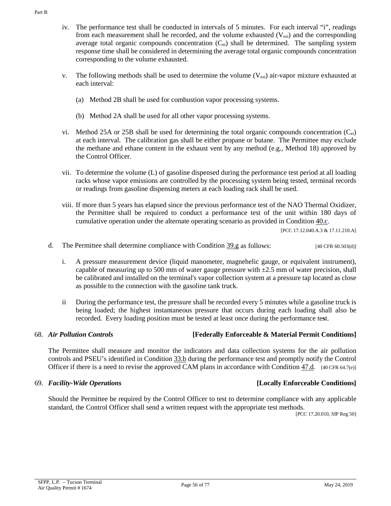- iv. The performance test shall be conducted in intervals of 5 minutes. For each interval "i", readings from each measurement shall be recorded, and the volume exhausted  $(V_{\text{esi}})$  and the corresponding average total organic compounds concentration  $(C_{ei})$  shall be determined. The sampling system response time shall be considered in determining the average total organic compounds concentration corresponding to the volume exhausted.
- v. The following methods shall be used to determine the volume  $(V_{esi})$  air-vapor mixture exhausted at each interval:
	- (a) Method 2B shall be used for combustion vapor processing systems.
	- (b) Method 2A shall be used for all other vapor processing systems.
- vi. Method 25A or 25B shall be used for determining the total organic compounds concentration  $(C_{ei})$ at each interval. The calibration gas shall be either propane or butane. The Permittee may exclude the methane and ethane content in the exhaust vent by any method (e.g., Method 18) approved by the Control Officer.
- vii. To determine the volume (L) of gasoline dispensed during the performance test period at all loading racks whose vapor emissions are controlled by the processing system being tested, terminal records or readings from gasoline dispensing meters at each loading rack shall be used.
- <span id="page-55-0"></span>viii. If more than 5 years has elapsed since the previous performance test of the NAO Thermal Oxidizer, the Permittee shall be required to conduct a performance test of the unit within 180 days of cumulative operation under the alternate operating scenario as provided in [Condition](#page-27-0) 40.c.

[PCC 17.12.040.A.3 & 17.11.210.A]

- d. The Permittee shall determine compliance with [Condition](#page-26-3) 39.g as follows: [40 CFR 60.503(d)]
	- i. A pressure measurement device (liquid manometer, magnehelic gauge, or equivalent instrument), capable of measuring up to 500 mm of water gauge pressure with  $\pm 2.5$  mm of water precision, shall be calibrated and installed on the terminal's vapor collection system at a pressure tap located as close as possible to the connection with the gasoline tank truck.
	- ii During the performance test, the pressure shall be recorded every 5 minutes while a gasoline truck is being loaded; the highest instantaneous pressure that occurs during each loading shall also be recorded. Every loading position must be tested at least once during the performance te**s**t.

# 68. *Air Pollution Controls* **[Federally Enforceable & Material Permit Conditions]**

The Permittee shall measure and monitor the indicators and data collection systems for the air pollution controls and PSEU's identified i[n Condition 33.b](#page-19-2) during the performance test and promptly notify the Control Officer if there is a need to revise the approved CAM plans in accordance with [Condition](#page-38-1) 47.d. [40 CFR 64.7(e)]

# 69. *Facility-Wide Operations* **[Locally Enforceable Conditions]**

Should the Permittee be required by the Control Officer to test to determine compliance with any applicable standard, the Control Officer shall send a written request with the appropriate test methods.

[PCC 17.20.010, SIP Reg 50]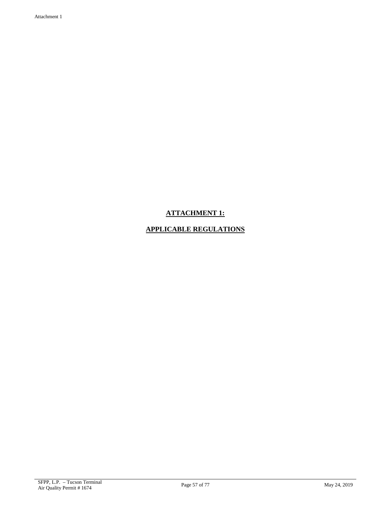# **ATTACHMENT 1:**

# **APPLICABLE REGULATIONS**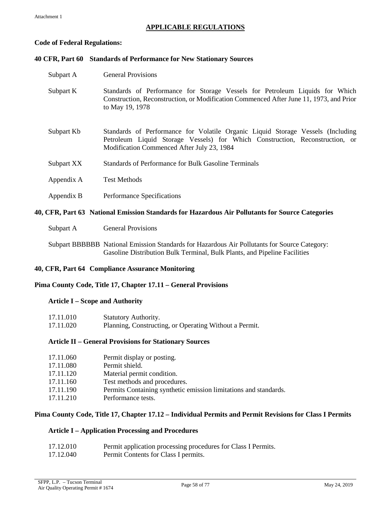# **APPLICABLE REGULATIONS**

### **Code of Federal Regulations:**

# **40 CFR, Part 60 Standards of Performance for New Stationary Sources**

| Subpart A  | <b>General Provisions</b>                                                                                                                                                                                     |
|------------|---------------------------------------------------------------------------------------------------------------------------------------------------------------------------------------------------------------|
| Subpart K  | Standards of Performance for Storage Vessels for Petroleum Liquids for Which<br>Construction, Reconstruction, or Modification Commenced After June 11, 1973, and Prior<br>to May 19, 1978                     |
| Subpart Kb | Standards of Performance for Volatile Organic Liquid Storage Vessels (Including<br>Petroleum Liquid Storage Vessels) for Which Construction, Reconstruction, or<br>Modification Commenced After July 23, 1984 |
| Subpart XX | Standards of Performance for Bulk Gasoline Terminals                                                                                                                                                          |
| Appendix A | <b>Test Methods</b>                                                                                                                                                                                           |
| Appendix B | Performance Specifications                                                                                                                                                                                    |

# **40, CFR, Part 63 National Emission Standards for Hazardous Air Pollutants for Source Categories**

Subpart A General Provisions

Subpart BBBBBB National Emission Standards for Hazardous Air Pollutants for Source Category: Gasoline Distribution Bulk Terminal, Bulk Plants, and Pipeline Facilities

## **40, CFR, Part 64 Compliance Assurance Monitoring**

### **Pima County Code, Title 17, Chapter 17.11 – General Provisions**

### **Article I – Scope and Authority**

| 17.11.010 | <b>Statutory Authority.</b>                            |
|-----------|--------------------------------------------------------|
| 17.11.020 | Planning, Constructing, or Operating Without a Permit. |

### **Article II – General Provisions for Stationary Sources**

| 17.11.060 | Permit display or posting.                                       |
|-----------|------------------------------------------------------------------|
| 17.11.080 | Permit shield.                                                   |
| 17.11.120 | Material permit condition.                                       |
| 17.11.160 | Test methods and procedures.                                     |
| 17.11.190 | Permits Containing synthetic emission limitations and standards. |
| 17.11.210 | Performance tests.                                               |

### **Pima County Code, Title 17, Chapter 17.12 – Individual Permits and Permit Revisions for Class I Permits**

### **Article I – Application Processing and Procedures**

| 17.12.010 | Permit application processing procedures for Class I Permits. |
|-----------|---------------------------------------------------------------|
| 17.12.040 | Permit Contents for Class I permits.                          |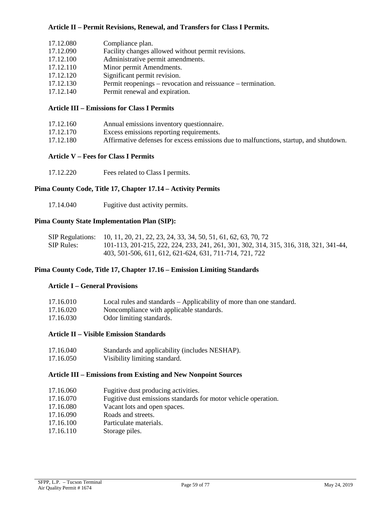## **Article II – Permit Revisions, Renewal, and Transfers for Class I Permits.**

| 17.12.080 | Compliance plan.                                             |
|-----------|--------------------------------------------------------------|
| 17.12.090 | Facility changes allowed without permit revisions.           |
| 17.12.100 | Administrative permit amendments.                            |
| 17.12.110 | Minor permit Amendments.                                     |
| 17.12.120 | Significant permit revision.                                 |
| 17.12.130 | Permit reopenings – revocation and reissuance – termination. |
| 17.12.140 | Permit renewal and expiration.                               |
|           |                                                              |

#### **Article III – Emissions for Class I Permits**

| 17.12.160 | Annual emissions inventory questionnaire.                                             |
|-----------|---------------------------------------------------------------------------------------|
| 17.12.170 | Excess emissions reporting requirements.                                              |
| 17.12.180 | Affirmative defenses for excess emissions due to malfunctions, startup, and shutdown. |

#### **Article V – Fees for Class I Permits**

17.12.220 Fees related to Class I permits.

#### **Pima County Code, Title 17, Chapter 17.14 – Activity Permits**

17.14.040 Fugitive dust activity permits.

#### **Pima County State Implementation Plan (SIP):**

|            | SIP Regulations: 10, 11, 20, 21, 22, 23, 24, 33, 34, 50, 51, 61, 62, 63, 70, 72       |
|------------|---------------------------------------------------------------------------------------|
| SIP Rules: | 101-113, 201-215, 222, 224, 233, 241, 261, 301, 302, 314, 315, 316, 318, 321, 341-44, |
|            | 403, 501-506, 611, 612, 621-624, 631, 711-714, 721, 722                               |

#### **Pima County Code, Title 17, Chapter 17.16 – Emission Limiting Standards**

#### **Article I – General Provisions**

| 17.16.010 | Local rules and standards – Applicability of more than one standard. |
|-----------|----------------------------------------------------------------------|
| 17.16.020 | Noncompliance with applicable standards.                             |
| 17.16.030 | Odor limiting standards.                                             |

#### **Article II – Visible Emission Standards**

- 17.16.040 Standards and applicability (includes NESHAP).
- 17.16.050 Visibility limiting standard.

#### **Article III – Emissions from Existing and New Nonpoint Sources**

- 17.16.060 Fugitive dust producing activities.
- 17.16.070 Fugitive dust emissions standards for motor vehicle operation.
- 17.16.080 Vacant lots and open spaces.
- 17.16.090 Roads and streets.
- 17.16.100 Particulate materials.
- 17.16.110 Storage piles.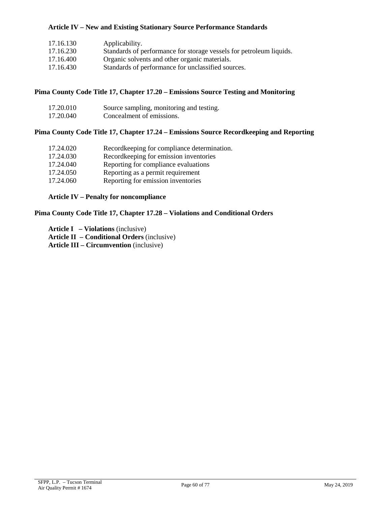## **Article IV – New and Existing Stationary Source Performance Standards**

| Standards of performance for storage vessels for petroleum liquids. |
|---------------------------------------------------------------------|
|                                                                     |
|                                                                     |
|                                                                     |

# **Pima County Code Title 17, Chapter 17.20 – Emissions Source Testing and Monitoring**

| 17.20.010 | Source sampling, monitoring and testing. |
|-----------|------------------------------------------|
| 17.20.040 | Concealment of emissions.                |

# **Pima County Code Title 17, Chapter 17.24 – Emissions Source Recordkeeping and Reporting**

| 17.24.020 | Recordkeeping for compliance determination. |
|-----------|---------------------------------------------|
| 17.24.030 | Recordkeeping for emission inventories      |
| 17.24.040 | Reporting for compliance evaluations        |
| 17.24.050 | Reporting as a permit requirement           |
| 17.24.060 | Reporting for emission inventories          |
|           |                                             |

# **Article IV – Penalty for noncompliance**

# **Pima County Code Title 17, Chapter 17.28 – Violations and Conditional Orders**

| <b>Article I</b> $-$ <b>Violations</b> (inclusive)        |
|-----------------------------------------------------------|
| <b>Article II</b> – <b>Conditional Orders</b> (inclusive) |
| <b>Article III – Circumvention</b> (inclusive)            |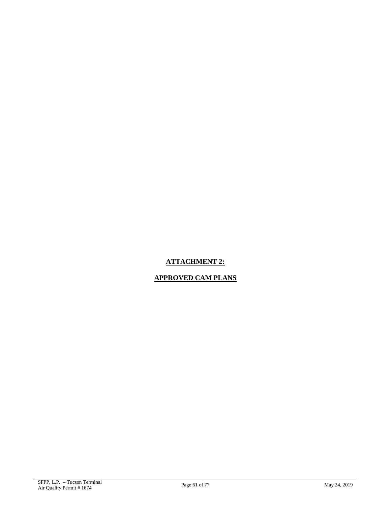# <span id="page-60-0"></span>**ATTACHMENT 2:**

# **APPROVED CAM PLANS**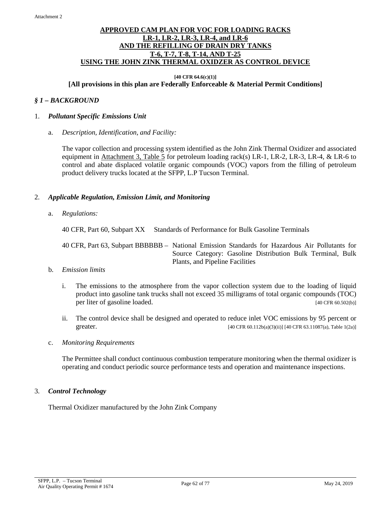## **APPROVED CAM PLAN FOR VOC FOR LOADING RACKS LR-1, LR-2, LR-3, LR-4, and LR-6 AND THE REFILLING OF DRAIN DRY TANKS T-6, T-7, T-8, T-14, AND T-25 USING THE JOHN ZINK THERMAL OXIDZER AS CONTROL DEVICE**

#### **[40 CFR 64.6(c)(1)] [All provisions in this plan are Federally Enforceable & Material Permit Conditions]**

## *§ 1 – BACKGROUND*

#### 1. *Pollutant Specific Emissions Unit*

a. *Description, Identification, and Facility:*

The vapor collection and processing system identified as the John Zink Thermal Oxidizer and associated equipment in [Attachment 3, Table 5](#page-74-1) for petroleum loading rack(s) LR-1, LR-2, LR-3, LR-4, & LR-6 to control and abate displaced volatile organic compounds (VOC) vapors from the filling of petroleum product delivery trucks located at the SFPP, L.P Tucson Terminal.

### 2. *Applicable Regulation, Emission Limit, and Monitoring*

a. *Regulations:*

40 CFR, Part 60, Subpart XX Standards of Performance for Bulk Gasoline Terminals

40 CFR, Part 63, Subpart BBBBBB – National Emission Standards for Hazardous Air Pollutants for Source Category: Gasoline Distribution Bulk Terminal, Bulk Plants, and Pipeline Facilities

#### b. *Emission limits*

- i. The emissions to the atmosphere from the vapor collection system due to the loading of liquid product into gasoline tank trucks shall not exceed 35 milligrams of total organic compounds (TOC) per liter of gasoline loaded. [40 CFR 60.502(b)]
- ii. The control device shall be designed and operated to reduce inlet VOC emissions by 95 percent or greater. [40 CFR 60.112b(a)(3)(ii)] [40 CFR 63.11087(a), Table 1(2a)]

#### c. *Monitoring Requirements*

The Permittee shall conduct continuous combustion temperature monitoring when the thermal oxidizer is operating and conduct periodic source performance tests and operation and maintenance inspections.

#### 3.*Control Technology*

Thermal Oxidizer manufactured by the John Zink Company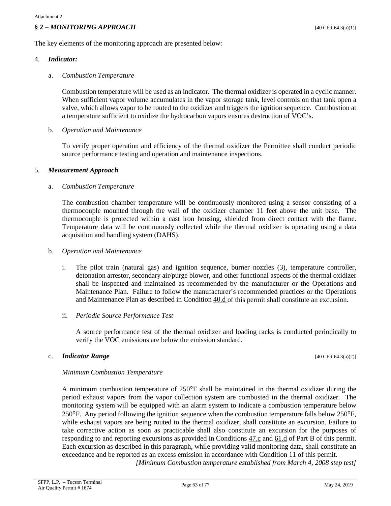## **§ 2 –** *MONITORING APPROACH* [40 CFR 64.3(a)(1)]

The key elements of the monitoring approach are presented below:

#### 4. *Indicator:*

#### a. *Combustion Temperature*

Combustion temperature will be used as an indicator. The thermal oxidizer is operated in a cyclic manner. When sufficient vapor volume accumulates in the vapor storage tank, level controls on that tank open a valve, which allows vapor to be routed to the oxidizer and triggers the ignition sequence. Combustion at a temperature sufficient to oxidize the hydrocarbon vapors ensures destruction of VOC's.

#### b. *Operation and Maintenance*

To verify proper operation and efficiency of the thermal oxidizer the Permittee shall conduct periodic source performance testing and operation and maintenance inspections.

#### 5. *Measurement Approach*

#### a. *Combustion Temperature*

The combustion chamber temperature will be continuously monitored using a sensor consisting of a thermocouple mounted through the wall of the oxidizer chamber 11 feet above the unit base. The thermocouple is protected within a cast iron housing, shielded from direct contact with the flame. Temperature data will be continuously collected while the thermal oxidizer is operating using a data acquisition and handling system (DAHS).

#### b. *Operation and Maintenance*

i. The pilot train (natural gas) and ignition sequence, burner nozzles (3), temperature controller, detonation arrestor, secondary air/purge blower, and other functional aspects of the thermal oxidizer shall be inspected and maintained as recommended by the manufacturer or the Operations and Maintenance Plan. Failure to follow the manufacturer's recommended practices or the Operations and Maintenance Plan as described in [Condition 40.d](#page-27-1) of this permit shall constitute an excursion.

#### ii. *Periodic Source Performance Test*

A source performance test of the thermal oxidizer and loading racks is conducted periodically to verify the VOC emissions are below the emission standard.

#### c. **Indicator Range**  $[40 \text{ CFR } 64.3(a)(2)]$

### *Minimum Combustion Temperature*

A minimum combustion temperature of 250°F shall be maintained in the thermal oxidizer during the period exhaust vapors from the vapor collection system are combusted in the thermal oxidizer. The monitoring system will be equipped with an alarm system to indicate a combustion temperature below  $250^{\circ}$ F. Any period following the ignition sequence when the combustion temperature falls below  $250^{\circ}$ F, while exhaust vapors are being routed to the thermal oxidizer, shall constitute an excursion. Failure to take corrective action as soon as practicable shall also constitute an excursion for the purposes of responding to and reporting excursions as provided in [Conditions 47.c](#page-37-2) and [61.d](#page-52-2) of Part B of this permit. Each excursion as described in this paragraph, while providing valid monitoring data, shall constitute an exceedance and be reported as an excess emission in accordance with [Condition 11](#page-6-0) of this permit. *[Minimum Combustion temperature established from March 4, 2008 step test]*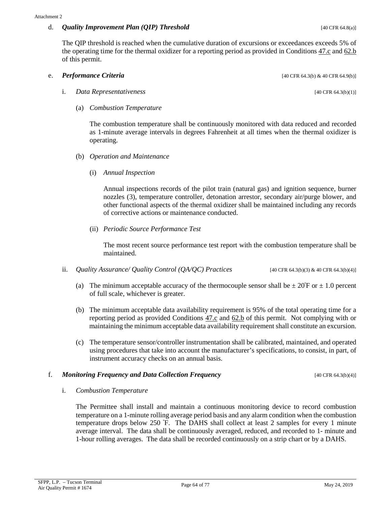## d. *Quality Improvement Plan (QIP) Threshold* [40 CFR 64.8(a)]

The QIP threshold is reached when the cumulative duration of excursions or exceedances exceeds 5% of the operating time for the thermal oxidizer for a reporting period as provided in [Conditions 47.c](#page-37-2) an[d 62.b](#page-52-0) of this permit.

# e. **Performance Criteria** [40 CFR 64.3(b) & 40 CFR 64.9(b)]

- i. *Data Representativeness* [40 CFR 64.3(b)(1)]
	- (a) *Combustion Temperature*

The combustion temperature shall be continuously monitored with data reduced and recorded as 1-minute average intervals in degrees Fahrenheit at all times when the thermal oxidizer is operating.

- (b) *Operation and Maintenance*
	- (i) *Annual Inspection*

Annual inspections records of the pilot train (natural gas) and ignition sequence, burner nozzles (3), temperature controller, detonation arrestor, secondary air/purge blower, and other functional aspects of the thermal oxidizer shall be maintained including any records of corrective actions or maintenance conducted.

(ii) *Periodic Source Performance Test*

The most recent source performance test report with the combustion temperature shall be maintained.

- ii. *Quality Assurance/ Quality Control (OA/OC) Practices* [40 CFR 64.3(b)(3) & 40 CFR 64.3(b)(4)]
	- (a) The minimum acceptable accuracy of the thermocouple sensor shall be  $\pm 20^{\circ}$ F or  $\pm 1.0$  percent of full scale, whichever is greater.
	- (b) The minimum acceptable data availability requirement is 95% of the total operating time for a reporting period as provided [Conditions 47.c](#page-37-2) and [62.b](#page-52-0) of this permit. Not complying with or maintaining the minimum acceptable data availability requirement shall constitute an excursion.
	- (c) The temperature sensor/controller instrumentation shall be calibrated, maintained, and operated using procedures that take into account the manufacturer's specifications, to consist, in part, of instrument accuracy checks on an annual basis.

### **f.** *Monitoring Frequency and Data Collection Frequency* **<b>Example 2** (40 CFR 64.3(b)(4)]

i. *Combustion Temperature*

The Permittee shall install and maintain a continuous monitoring device to record combustion temperature on a 1-minute rolling average period basis and any alarm condition when the combustion temperature drops below 250 º F. The DAHS shall collect at least 2 samples for every 1 minute average interval. The data shall be continuously averaged, reduced, and recorded to 1- minute and 1-hour rolling averages. The data shall be recorded continuously on a strip chart or by a DAHS.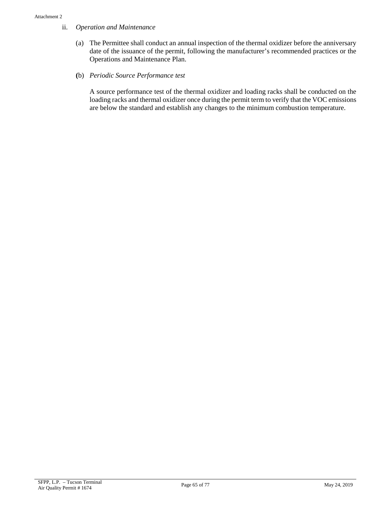## ii. *Operation and Maintenance*

- (a) The Permittee shall conduct an annual inspection of the thermal oxidizer before the anniversary date of the issuance of the permit, following the manufacturer's recommended practices or the Operations and Maintenance Plan.
- **(**b) *Periodic Source Performance test*

A source performance test of the thermal oxidizer and loading racks shall be conducted on the loading racks and thermal oxidizer once during the permit term to verify that the VOC emissions are below the standard and establish any changes to the minimum combustion temperature.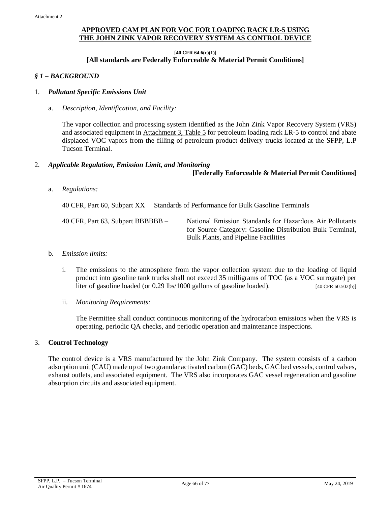# **APPROVED CAM PLAN FOR VOC FOR LOADING RACK LR-5 USING THE JOHN ZINK VAPOR RECOVERY SYSTEM AS CONTROL DEVICE**

**[40 CFR 64.6(c)(1)]**

# **[All standards are Federally Enforceable & Material Permit Conditions]**

### *§ 1 – BACKGROUND*

#### 1. *Pollutant Specific Emissions Unit*

a. *Description, Identification, and Facility:*

The vapor collection and processing system identified as the John Zink Vapor Recovery System (VRS) and associated equipment in [Attachment 3, Table 5](#page-74-1) for petroleum loading rack LR-5 to control and abate displaced VOC vapors from the filling of petroleum product delivery trucks located at the SFPP, L.P Tucson Terminal.

#### 2. *Applicable Regulation, Emission Limit, and Monitoring*

#### **[Federally Enforceable & Material Permit Conditions]**

a. *Regulations:*

40 CFR, Part 60, Subpart XX Standards of Performance for Bulk Gasoline Terminals

40 CFR, Part 63, Subpart BBBBBB – National Emission Standards for Hazardous Air Pollutants for Source Category: Gasoline Distribution Bulk Terminal, Bulk Plants, and Pipeline Facilities

#### b. *Emission limits:*

- i. The emissions to the atmosphere from the vapor collection system due to the loading of liquid product into gasoline tank trucks shall not exceed 35 milligrams of TOC (as a VOC surrogate) per liter of gasoline loaded (or 0.29 lbs/1000 gallons of gasoline loaded). [40 CFR 60.502(b)]
- ii. *Monitoring Requirements:*

The Permittee shall conduct continuous monitoring of the hydrocarbon emissions when the VRS is operating, periodic QA checks, and periodic operation and maintenance inspections.

### 3. **Control Technology**

The control device is a VRS manufactured by the John Zink Company. The system consists of a carbon adsorption unit (CAU) made up of two granular activated carbon (GAC) beds, GAC bed vessels, control valves, exhaust outlets, and associated equipment. The VRS also incorporates GAC vessel regeneration and gasoline absorption circuits and associated equipment.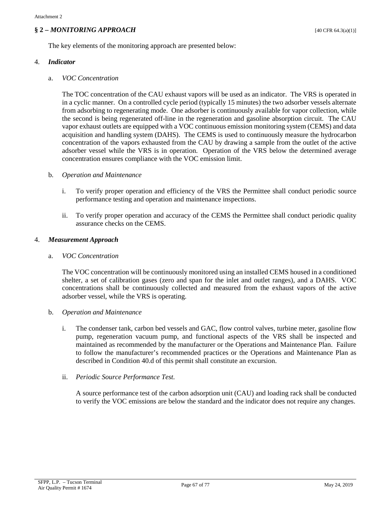# $\frac{1}{2}$  **2** – *MONITORING APPROACH* [40 CFR 64.3(a)(1)]

The key elements of the monitoring approach are presented below:

#### 4. *Indicator*

#### a. *VOC Concentration*

The TOC concentration of the CAU exhaust vapors will be used as an indicator. The VRS is operated in in a cyclic manner. On a controlled cycle period (typically 15 minutes) the two adsorber vessels alternate from adsorbing to regenerating mode. One adsorber is continuously available for vapor collection, while the second is being regenerated off-line in the regeneration and gasoline absorption circuit. The CAU vapor exhaust outlets are equipped with a VOC continuous emission monitoring system (CEMS) and data acquisition and handling system (DAHS). The CEMS is used to continuously measure the hydrocarbon concentration of the vapors exhausted from the CAU by drawing a sample from the outlet of the active adsorber vessel while the VRS is in operation. Operation of the VRS below the determined average concentration ensures compliance with the VOC emission limit.

#### b. *Operation and Maintenance*

- i. To verify proper operation and efficiency of the VRS the Permittee shall conduct periodic source performance testing and operation and maintenance inspections.
- ii. To verify proper operation and accuracy of the CEMS the Permittee shall conduct periodic quality assurance checks on the CEMS.

#### 4. *Measurement Approach*

#### a. *VOC Concentration*

The VOC concentration will be continuously monitored using an installed CEMS housed in a conditioned shelter, a set of calibration gases (zero and span for the inlet and outlet ranges), and a DAHS. VOC concentrations shall be continuously collected and measured from the exhaust vapors of the active adsorber vessel, while the VRS is operating.

### b. *Operation and Maintenance*

i. The condenser tank, carbon bed vessels and GAC, flow control valves, turbine meter, gasoline flow pump, regeneration vacuum pump, and functional aspects of the VRS shall be inspected and maintained as recommended by the manufacturer or the Operations and Maintenance Plan. Failure to follow the manufacturer's recommended practices or the Operations and Maintenance Plan as described in [Condition](#page-27-1) 40.d of this permit shall constitute an excursion.

### ii. *Periodic Source Performance Test.*

A source performance test of the carbon adsorption unit (CAU) and loading rack shall be conducted to verify the VOC emissions are below the standard and the indicator does not require any changes.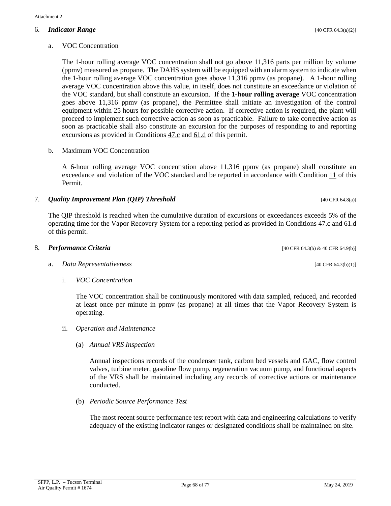#### 6. *Indicator Range* [40 CFR 64.3(a)(2)]

## a. VOC Concentration

The 1-hour rolling average VOC concentration shall not go above 11,316 parts per million by volume (ppmv) measured as propane. The DAHS system will be equipped with an alarm system to indicate when the 1-hour rolling average VOC concentration goes above 11,316 ppmv (as propane). A 1-hour rolling average VOC concentration above this value, in itself, does not constitute an exceedance or violation of the VOC standard, but shall constitute an excursion. If the **1-hour rolling average** VOC concentration goes above 11,316 ppmv (as propane), the Permittee shall initiate an investigation of the control equipment within 25 hours for possible corrective action. If corrective action is required, the plant will proceed to implement such corrective action as soon as practicable. Failure to take corrective action as soon as practicable shall also constitute an excursion for the purposes of responding to and reporting excursions as provided in [Conditions 47.c](#page-37-2) and [61.d](#page-52-2) of this permit.

#### b. Maximum VOC Concentration

A 6-hour rolling average VOC concentration above 11,316 ppmv (as propane) shall constitute an exceedance and violation of the VOC standard and be reported in accordance with [Condition 11](#page-6-0) of this Permit.

### <span id="page-67-0"></span>7. *Quality Improvement Plan (QIP) Threshold COMP COMP COMP COMP* **<b>***COMP COMP COMP COMP COMP COMP COMP COMP COMP COMP COMP COMP COMP COMP COMP CO*

The QIP threshold is reached when the cumulative duration of excursions or exceedances exceeds 5% of the operating time for the Vapor Recovery System for a reporting period as provided in [Conditions 47.c](#page-37-2) an[d 61.d](#page-52-2) of this permit.

#### 8. **Performance Criteria** [40 CFR 64.3(b) & 40 CFR 64.9(b)]

### a. *Data Representativeness* [40 CFR 64.3(b)(1)]

i. *VOC Concentration*

The VOC concentration shall be continuously monitored with data sampled, reduced, and recorded at least once per minute in ppmv (as propane) at all times that the Vapor Recovery System is operating.

- ii. *Operation and Maintenance*
	- (a) *Annual VRS Inspection*

Annual inspections records of the condenser tank, carbon bed vessels and GAC, flow control valves, turbine meter, gasoline flow pump, regeneration vacuum pump, and functional aspects of the VRS shall be maintained including any records of corrective actions or maintenance conducted.

(b) *Periodic Source Performance Test*

The most recent source performance test report with data and engineering calculations to verify adequacy of the existing indicator ranges or designated conditions shall be maintained on site.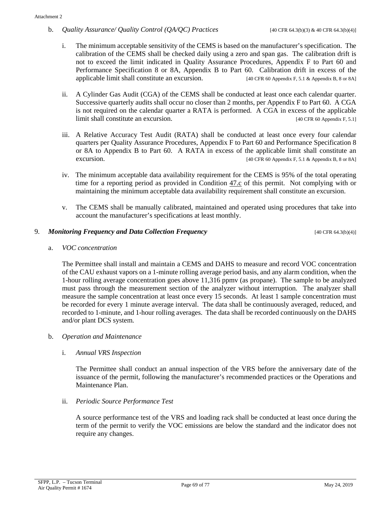b. *Quality Assurance/ Quality Control (QA/QC) Practices* [40 CFR 64.3(b)(3) & 40 CFR 64.3(b)(4)]

- i. The minimum acceptable sensitivity of the CEMS is based on the manufacturer's specification. The calibration of the CEMS shall be checked daily using a zero and span gas. The calibration drift is not to exceed the limit indicated in Quality Assurance Procedures, Appendix F to Part 60 and Performance Specification 8 or 8A, Appendix B to Part 60. Calibration drift in excess of the applicable limit shall constitute an excursion. [40 CFR 60 Appendix F, 5.1 & Appendix B, 8 or 8A]
- ii. A Cylinder Gas Audit (CGA) of the CEMS shall be conducted at least once each calendar quarter. Successive quarterly audits shall occur no closer than 2 months, per Appendix F to Part 60. A CGA is not required on the calendar quarter a RATA is performed. A CGA in excess of the applicable limit shall constitute an excursion. [40 CFR 60 Appendix F, 5.1]
- iii. A Relative Accuracy Test Audit (RATA) shall be conducted at least once every four calendar quarters per Quality Assurance Procedures, Appendix F to Part 60 and Performance Specification 8 or 8A to Appendix B to Part 60. A RATA in excess of the applicable limit shall constitute an excursion. [40 CFR 60 Appendix F, 5.1 & Appendix B, 8 or 8A]
- <span id="page-68-0"></span>iv. The minimum acceptable data availability requirement for the CEMS is 95% of the total operating time for a reporting period as provided in [Condition 47.c](#page-37-2) of this permit. Not complying with or maintaining the minimum acceptable data availability requirement shall constitute an excursion.
- v. The CEMS shall be manually calibrated, maintained and operated using procedures that take into account the manufacturer's specifications at least monthly.

# 9. *Monitoring Frequency and Data Collection Frequency* extending the state of the GFR 64.3(b)(4)]

a. *VOC concentration*

The Permittee shall install and maintain a CEMS and DAHS to measure and record VOC concentration of the CAU exhaust vapors on a 1-minute rolling average period basis, and any alarm condition, when the 1-hour rolling average concentration goes above 11,316 ppmv (as propane). The sample to be analyzed must pass through the measurement section of the analyzer without interruption. The analyzer shall measure the sample concentration at least once every 15 seconds. At least 1 sample concentration must be recorded for every 1 minute average interval. The data shall be continuously averaged, reduced, and recorded to 1-minute, and 1-hour rolling averages. The data shall be recorded continuously on the DAHS and/or plant DCS system.

b. *Operation and Maintenance*

### i. *Annual VRS Inspection*

The Permittee shall conduct an annual inspection of the VRS before the anniversary date of the issuance of the permit, following the manufacturer's recommended practices or the Operations and Maintenance Plan.

ii. *Periodic Source Performance Test*

A source performance test of the VRS and loading rack shall be conducted at least once during the term of the permit to verify the VOC emissions are below the standard and the indicator does not require any changes.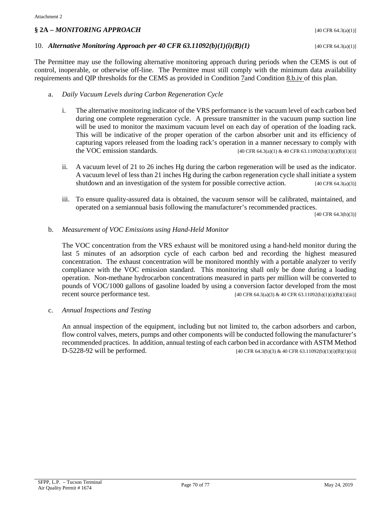# **§ 2A –** *MONITORING APPROACH* [40 CFR 64.3(a)(1)]

#### 10. *Alternative Monitoring Approach per 40 CFR 63.11092(b)(1)(i)(B)(1)* [40 CFR 64.3(a)(1)]

The Permittee may use the following alternative monitoring approach during periods when the CEMS is out of control, inoperable, or otherwise off-line. The Permittee must still comply with the minimum data availability requirements and QIP thresholds for the CEMS as provided in [Condition 7a](#page-67-0)n[d Condition 8.b.iv](#page-68-0) of this plan.

## a. *Daily Vacuum Levels during Carbon Regeneration Cycle*

- i. The alternative monitoring indicator of the VRS performance is the vacuum level of each carbon bed during one complete regeneration cycle. A pressure transmitter in the vacuum pump suction line will be used to monitor the maximum vacuum level on each day of operation of the loading rack. This will be indicative of the proper operation of the carbon absorber unit and its efficiency of capturing vapors released from the loading rack's operation in a manner necessary to comply with<br>the VOC emission standards.  $[40 \text{ CFR } 64.3(a)(1) \& 40 \text{ CFR } 63.11092(b)(1)(i)(1)(i)]$ [40 CFR 64.3(a)(1) & 40 CFR 63.11092(b)(1)(i)(B)(1)(i)]
- ii. A vacuum level of 21 to 26 inches Hg during the carbon regeneration will be used as the indicator. A vacuum level of less than 21 inches Hg during the carbon regeneration cycle shall initiate a system shutdown and an investigation of the system for possible corrective action.  $[40 \text{ CFR } 64.3(a)(3)]$
- iii. To ensure quality-assured data is obtained, the vacuum sensor will be calibrated, maintained, and operated on a semiannual basis following the manufacturer's recommended practices.

[40 CFR 64.3(b)(3)]

#### b. *Measurement of VOC Emissions using Hand-Held Monitor*

The VOC concentration from the VRS exhaust will be monitored using a hand-held monitor during the last 5 minutes of an adsorption cycle of each carbon bed and recording the highest measured concentration. The exhaust concentration will be monitored monthly with a portable analyzer to verify compliance with the VOC emission standard. This monitoring shall only be done during a loading operation. Non-methane hydrocarbon concentrations measured in parts per million will be converted to pounds of VOC/1000 gallons of gasoline loaded by using a conversion factor developed from the most recent source performance test. [40 CFR 64.3(a)(3) & 40 CFR 63.11092(b)(1)(i)(B)(1)(iii)]

c. *Annual Inspections and Testing*

An annual inspection of the equipment, including but not limited to, the carbon adsorbers and carbon, flow control valves, meters, pumps and other components will be conducted following the manufacturer's recommended practices. In addition, annual testing of each carbon bed in accordance with ASTM Method D-5228-92 will be performed. [40 CFR 64.3(b)(3) & 40 CFR 63.11092(b)(1)(i)(B)(1)(ii)]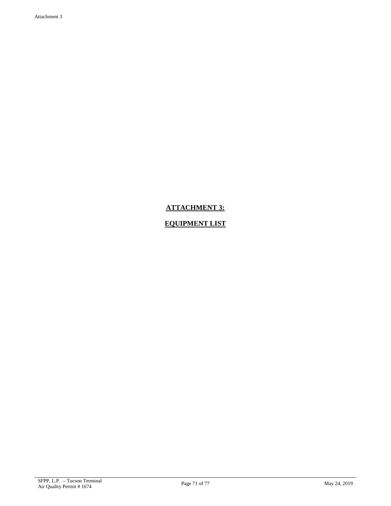# **ATTACHMENT 3:**

# **EQUIPMENT LIST**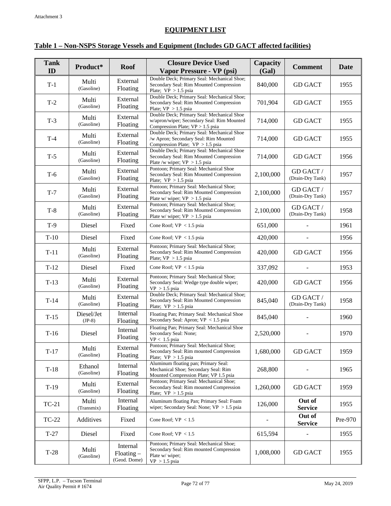# **EQUIPMENT LIST**

# <span id="page-71-0"></span>**Table 1 – Non-NSPS Storage Vessels and Equipment (Includes GD GACT affected facilities)**

| <b>Tank</b> | Product*               | <b>Roof</b>                                 | <b>Closure Device Used</b>                                                                                                   | Capacity  | <b>Comment</b>                | Date    |
|-------------|------------------------|---------------------------------------------|------------------------------------------------------------------------------------------------------------------------------|-----------|-------------------------------|---------|
| ID          |                        |                                             | Vapor Pressure - VP (psi)                                                                                                    | (Gal)     |                               |         |
| $T-1$       | Multi<br>(Gasoline)    | External<br>Floating                        | Double Deck; Primary Seal: Mechanical Shoe;<br>Secondary Seal: Rim Mounted Compression<br>Plate; $VP > 1.5$ psia             | 840,000   | <b>GD GACT</b>                | 1955    |
| $T-2$       | Multi<br>(Gasoline)    | External<br>Floating                        | Double Deck; Primary Seal: Mechanical Shoe;<br>Secondary Seal: Rim Mounted Compression<br>Plate; $VP > 1.5$ psia             | 701,904   | <b>GD GACT</b>                | 1955    |
| $T-3$       | Multi<br>(Gasoline)    | External<br>Floating                        | Double Deck; Primary Seal: Mechanical Shoe<br>w/apron/wiper; Secondary Seal: Rim Mounted<br>Compression Plate; VP > 1.5 psia | 714,000   | <b>GD GACT</b>                | 1955    |
| $T-4$       | Multi<br>(Gasoline)    | External<br>Floating                        | Double Deck; Primary Seal: Mechanical Shoe<br>/w Apron; Secondary Seal: Rim Mounted<br>Compression Plate; $VP > 1.5$ psia    | 714,000   | <b>GD GACT</b>                | 1955    |
| $T-5$       | Multi<br>(Gasoline)    | External<br>Floating                        | Double Deck; Primary Seal: Mechanical Shoe<br>Secondary Seal: Rim Mounted Compression<br>Plate /w wiper; $VP > 1.5$ psia     | 714,000   | <b>GD GACT</b>                | 1956    |
| $T-6$       | Multi<br>(Gasoline)    | External<br>Floating                        | Pontoon; Primary Seal: Mechanical Shoe<br>Secondary Seal: Rim Mounted Compression<br>Plate; $VP > 1.5$ psia                  | 2,100,000 | GD GACT /<br>(Drain-Dry Tank) | 1957    |
| $T-7$       | Multi<br>(Gasoline)    | External<br>Floating                        | Pontoon; Primary Seal: Mechanical Shoe;<br>Secondary Seal: Rim Mounted Compression<br>Plate w/ wiper; $VP > 1.5$ psia        | 2,100,000 | GD GACT /<br>(Drain-Dry Tank) | 1957    |
| $T-8$       | Multi<br>(Gasoline)    | External<br>Floating                        | Pontoon; Primary Seal: Mechanical Shoe;<br>Secondary Seal: Rim Mounted Compression<br>Plate w/ wiper; $VP > 1.5$ psia        | 2,100,000 | GD GACT /<br>(Drain-Dry Tank) | 1958    |
| $T-9$       | Diesel                 | Fixed                                       | Cone Roof; $VP < 1.5$ psia                                                                                                   | 651,000   |                               | 1961    |
| $T-10$      | Diesel                 | Fixed                                       | Cone Roof; $VP < 1.5$ psia                                                                                                   | 420,000   |                               | 1956    |
| $T-11$      | Multi<br>(Gasoline)    | External<br>Floating                        | Pontoon; Primary Seal: Mechanical Shoe;<br>Secondary Seal: Rim Mounted Compression<br>Plate; $VP > 1.5$ psia                 | 420,000   | <b>GD GACT</b>                | 1956    |
| $T-12$      | Diesel                 | Fixed                                       | Cone Roof; $VP < 1.5$ psia                                                                                                   | 337,092   |                               | 1953    |
| $T-13$      | Multi<br>(Gasoline)    | External<br>Floating                        | Pontoon; Primary Seal: Mechanical Shoe;<br>Secondary Seal: Wedge type double wiper;<br>$VP > 1.5$ psia                       | 420,000   | <b>GD GACT</b>                | 1956    |
| $T-14$      | Multi<br>(Gasoline)    | External<br>Floating                        | Double Deck; Primary Seal: Mechanical Shoe;<br>Secondary Seal: Rim Mounted Compression<br>Plate; $VP > 1.5$ psia             | 845,040   | GD GACT /<br>(Drain-Dry Tank) | 1958    |
| $T-15$      | Diesel/Jet<br>$(JP-8)$ | Internal<br>Floating                        | Floating Pan; Primary Seal: Mechanical Shoe<br>Secondary Seal: Apron; $VP < 1.5$ psia                                        | 845,040   |                               | 1960    |
| $T-16$      | Diesel                 | Internal<br>Floating                        | Floating Pan; Primary Seal: Mechanical Shoe<br>Secondary Seal: None;<br>$VP < 1.5$ psia                                      | 2,520,000 |                               | 1970    |
| $T-17$      | Multi<br>(Gasoline)    | External<br>Floating                        | Pontoon; Primary Seal: Mechanical Shoe;<br>Secondary Seal: Rim mounted Compression<br>Plate; $VP > 1.5$ psia                 | 1,680,000 | <b>GD GACT</b>                | 1959    |
| $T-18$      | Ethanol<br>(Gasoline)  | Internal<br>Floating                        | Aluminum floating pan; Primary Seal:<br>Mechanical Shoe; Secondary Seal: Rim<br>Mounted Compression Plate; VP 1.5 psia       | 268,800   |                               | 1965    |
| $T-19$      | Multi<br>(Gasoline)    | External<br>Floating                        | Pontoon; Primary Seal: Mechanical Shoe;<br>Secondary Seal: Rim mounted Compression<br>Plate; $VP > 1.5$ psia                 | 1,260,000 | <b>GD GACT</b>                | 1959    |
| $TC-21$     | Multi<br>(Transmix)    | Internal<br>Floating                        | Aluminum floating Pan; Primary Seal: Foam<br>wiper; Secondary Seal: None; $VP > 1.5$ psia                                    | 126,000   | Out of<br><b>Service</b>      | 1955    |
| TC-22       | Additives              | Fixed                                       | Cone Roof; $VP < 1.5$                                                                                                        |           | Out of<br><b>Service</b>      | Pre-970 |
| $T-27$      | Diesel                 | Fixed                                       | Cone Roof; $VP < 1.5$                                                                                                        | 615,594   |                               | 1955    |
| $T-28$      | Multi<br>(Gasoline)    | Internal<br>$F$ loating $-$<br>(Geod. Dome) | Pontoon; Primary Seal: Mechanical Shoe;<br>Secondary Seal: Rim mounted Compression<br>Plate w/ wiper;<br>$VP > 1.5$ psia     | 1,008,000 | <b>GD GACT</b>                | 1955    |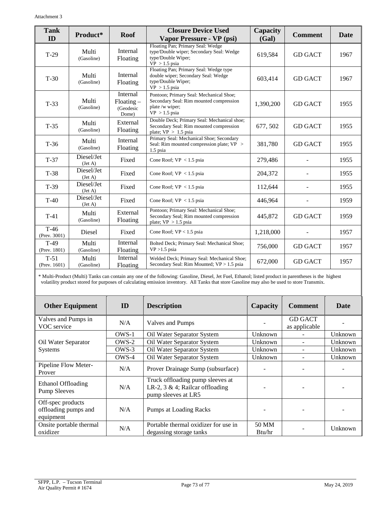| <b>Tank</b><br>Product*   |                       | <b>Roof</b>                                       | <b>Closure Device Used</b>                                                                                                            | Capacity  | <b>Comment</b> | Date |  |
|---------------------------|-----------------------|---------------------------------------------------|---------------------------------------------------------------------------------------------------------------------------------------|-----------|----------------|------|--|
| ID                        |                       |                                                   | Vapor Pressure - VP (psi)                                                                                                             | (Gal)     |                |      |  |
| $T-29$                    | Multi<br>(Gasoline)   | Internal<br>Floating                              | Floating Pan; Primary Seal: Wedge<br>type/Double wiper; Secondary Seal: Wedge<br>type/Double Wiper;<br>$VP > 1.5$ psia                | 619,584   | <b>GD GACT</b> | 1967 |  |
| $T-30$                    | Multi<br>(Gasoline)   | Internal<br>Floating                              | Floating Pan; Primary Seal: Wedge type<br>double wiper; Secondary Seal: Wedge<br>type/Double Wiper;<br>$VP > 1.5$ psia                | 603,414   | <b>GD GACT</b> | 1967 |  |
| $T-33$                    | Multi<br>(Gasoline)   | Internal<br>$F$ loating $-$<br>(Geodesic<br>Dome) | Pontoon; Primary Seal: Mechanical Shoe;<br>Secondary Seal: Rim mounted compression<br>1,390,200<br>plate /w wiper;<br>$VP > 1.5$ psia |           | <b>GD GACT</b> | 1955 |  |
| $T-35$                    | Multi<br>(Gasoline)   | External<br>Floating                              | Double Deck; Primary Seal: Mechanical shoe;<br>677, 502<br>Secondary Seal: Rim mounted compression<br>plate; $VP > 1.5$ psia          |           | <b>GD GACT</b> | 1955 |  |
| $T-36$                    | Multi<br>(Gasoline)   | Internal<br>Floating                              | Primary Seal: Mechanical Shoe; Secondary<br>Seal: Rim mounted compression plate; VP ><br>$1.5$ psia                                   | 381,780   | <b>GD GACT</b> | 1955 |  |
| $T-37$                    | Diesel/Jet<br>(Jet A) | Fixed                                             | Cone Roof; $VP < 1.5$ psia                                                                                                            | 279,486   |                | 1955 |  |
| $T-38$                    | Diesel/Jet<br>(Jet A) | Fixed                                             | Cone Roof; $VP < 1.5$ psia                                                                                                            | 204,372   |                | 1955 |  |
| $T-39$                    | Diesel/Jet<br>(Jet A) | Fixed                                             | Cone Roof; $VP < 1.5$ psia                                                                                                            | 112,644   |                | 1955 |  |
| $T-40$                    | Diesel/Jet<br>(Jet A) | Fixed                                             | Cone Roof; $VP < 1.5$ psia                                                                                                            | 446,964   |                | 1959 |  |
| $T-41$                    | Multi<br>(Gasoline)   | External<br>Floating                              | Pontoon; Primary Seal: Mechanical Shoe;<br>Secondary Seal; Rim mounted compression<br>plate; $VP > 1.5$ psia                          | 445,872   | <b>GD GACT</b> | 1959 |  |
| $T-46$<br>(Prev. 3001)    | Diesel                | Fixed                                             | Cone Roof; $VP < 1.5$ psia                                                                                                            | 1,218,000 |                | 1957 |  |
| $T-49$<br>(Prev. 1801)    | Multi<br>(Gasoline)   | Internal<br>Floating                              | Bolted Deck; Primary Seal: Mechanical Shoe;<br>$VP > 1.5$ psia                                                                        | 756,000   | <b>GD GACT</b> | 1957 |  |
| $T-51$<br>(Prev. $1601$ ) | Multi<br>(Gasoline)   | Internal<br>Floating                              | Welded Deck; Primary Seal: Mechanical Shoe;<br>Secondary Seal: Rim Mounted; VP > 1.5 psia                                             | 672,000   | <b>GD GACT</b> | 1957 |  |

\* Multi-Product (Multi) Tanks can contain any one of the following: Gasoline, Diesel, Jet Fuel, Ethanol; listed product in parentheses is the highest volatility product stored for purposes of calculating emission inventory. All Tanks that store Gasoline may also be used to store Transmix.

| <b>Other Equipment</b>                                 | ID    | <b>Description</b>                                                                         | Capacity        | <b>Comment</b>                  | <b>Date</b>              |
|--------------------------------------------------------|-------|--------------------------------------------------------------------------------------------|-----------------|---------------------------------|--------------------------|
| Valves and Pumps in<br>VOC service                     | N/A   | Valves and Pumps                                                                           |                 | <b>GD GACT</b><br>as applicable |                          |
|                                                        | OWS-1 | Oil Water Separator System                                                                 | Unknown         |                                 | Unknown                  |
| Oil Water Separator                                    | OWS-2 | Oil Water Separator System                                                                 | Unknown         |                                 | Unknown                  |
| <b>Systems</b>                                         | OWS-3 | Oil Water Separator System                                                                 | Unknown         |                                 | Unknown                  |
|                                                        | OWS-4 | Oil Water Separator System                                                                 | Unknown         |                                 | Unknown                  |
| Pipeline Flow Meter-<br>Prover                         | N/A   | Prover Drainage Sump (subsurface)                                                          | $\blacksquare$  |                                 | $\overline{\phantom{a}}$ |
| Ethanol Offloading<br><b>Pump Sleeves</b>              | N/A   | Truck offloading pump sleeves at<br>LR-2, 3 & 4; Railcar offloading<br>pump sleeves at LR5 |                 | -                               |                          |
| Off-spec products<br>offloading pumps and<br>equipment | N/A   | <b>Pumps at Loading Racks</b>                                                              |                 |                                 |                          |
| Onsite portable thermal<br>N/A<br>oxidizer             |       | Portable thermal oxidizer for use in<br>degassing storage tanks                            | 50 MM<br>Btu/hr |                                 | Unknown                  |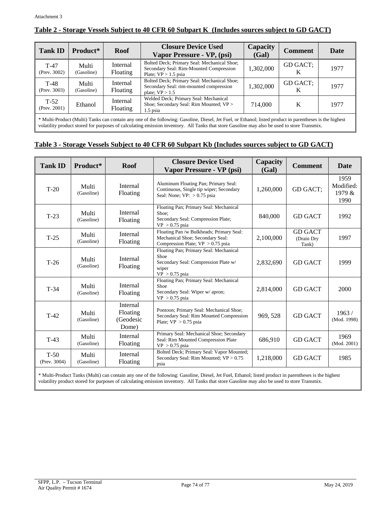| <b>Tank ID</b>            | Product*            | <b>Roof</b>          | <b>Closure Device Used</b><br>Vapor Pressure - VP, (psi)                                                         | Capacity<br>(Gal) | <b>Comment</b> | <b>Date</b> |
|---------------------------|---------------------|----------------------|------------------------------------------------------------------------------------------------------------------|-------------------|----------------|-------------|
| $T-47$<br>(Prev. $3002$ ) | Multi<br>(Gasoline) | Internal<br>Floating | Bolted Deck; Primary Seal: Mechanical Shoe;<br>Secondary Seal: Rim-Mounted Compression<br>Plate; $VP > 1.5$ psia | 1,302,000         | GD GACT;       | 1977        |
| $T-48$<br>(Prev. $3003$ ) | Multi<br>(Gasoline) | Internal<br>Floating | Bolted Deck; Primary Seal: Mechanical Shoe;<br>Secondary Seal: rim-mounted compression<br>plate; $VP > 1.5$      | 1,302,000         | GD GACT;<br>K  | 1977        |
| $T-52$<br>(Prev. $2001$ ) | Ethanol             | Internal<br>Floating | Welded Deck; Primary Seal: Mechanical<br>Shoe; Secondary Seal: Rim Mounted; VP ><br>$1.5$ psia                   | 714,000           | K              | 1977        |

### **Table 2 - Storage Vessels Subject to 40 CFR 60 Subpart K (Includes sources subject to GD GACT)**

\* Multi-Product (Multi) Tanks can contain any one of the following: Gasoline, Diesel, Jet Fuel, or Ethanol; listed product in parentheses is the highest volatility product stored for purposes of calculating emission inventory. All Tanks that store Gasoline may also be used to store Transmix.

#### **Table 3 - Storage Vessels Subject to 40 CFR 60 Subpart Kb (Includes sources subject to GD GACT)**

| <b>Tank ID</b>         | Product*            | <b>Roof</b>                                | <b>Closure Device Used</b><br>Vapor Pressure - VP (psi)                                                             | Capacity<br>(Gal) | <b>Comment</b>                        | Date                                |
|------------------------|---------------------|--------------------------------------------|---------------------------------------------------------------------------------------------------------------------|-------------------|---------------------------------------|-------------------------------------|
| $T-20$                 | Multi<br>(Gasoline) | Internal<br>Floating                       | Aluminum Floating Pan; Primary Seal:<br>Continuous, Single tip wiper; Secondary<br>Seal: None; $VP: > 0.75$ psia    | 1,260,000         | GD GACT:                              | 1959<br>Modified:<br>1979 &<br>1990 |
| $T-23$                 | Multi<br>(Gasoline) | Internal<br>Floating                       | Floating Pan; Primary Seal: Mechanical<br>Shoe;<br>Secondary Seal: Compression Plate;<br>$VP > 0.75$ psia           | 840,000           | <b>GD GACT</b>                        | 1992                                |
| $T-25$                 | Multi<br>(Gasoline) | Internal<br>Floating                       | Floating Pan /w Bulkheads; Primary Seal:<br>Mechanical Shoe; Secondary Seal:<br>Compression Plate; $VP > 0.75$ psia | 2,100,000         | <b>GD GACT</b><br>(Drain Dry<br>Tank) | 1997                                |
| $T-26$                 | Multi<br>(Gasoline) | Internal<br>Floating                       | Floating Pan; Primary Seal: Mechanical<br>Shoe<br>Secondary Seal: Compression Plate w/<br>wiper<br>$VP > 0.75$ psia | 2,832,690         | <b>GD GACT</b>                        | 1999                                |
| $T-34$                 | Multi<br>(Gasoline) | Internal<br>Floating                       | Floating Pan; Primary Seal: Mechanical<br>Shoe<br>Secondary Seal: Wiper w/ apron;<br>$VP > 0.75$ psia               | 2,814,000         | <b>GD GACT</b>                        | 2000                                |
| $T-42$                 | Multi<br>(Gasoline) | Internal<br>Floating<br>(Geodesic<br>Dome) | Pontoon; Primary Seal: Mechanical Shoe;<br>Secondary Seal: Rim Mounted Compression<br>Plate; $VP > 0.75$ psia       | 969, 528          | <b>GD GACT</b>                        | 1963/<br>(Mod. 1998)                |
| $T-43$                 | Multi<br>(Gasoline) | Internal<br>Floating                       | Primary Seal: Mechanical Shoe; Secondary<br>Seal: Rim Mounted Compression Plate<br>$VP > 0.75$ psia                 | 686,910           | <b>GD GACT</b>                        | 1969<br>(Mod. 2001)                 |
| $T-50$<br>(Prev. 3004) | Multi<br>(Gasoline) | Internal<br>Floating                       | Bolted Deck; Primary Seal: Vapor Mounted;<br>Secondary Seal: Rim Mounted; VP > 0.75<br>psia                         | 1,218,000         | <b>GD GACT</b>                        | 1985                                |

\* Multi-Product Tanks (Multi) can contain any one of the following: Gasoline, Diesel, Jet Fuel, Ethanol; listed product in parentheses is the highest volatility product stored for purposes of calculating emission inventory. All Tanks that store Gasoline may also be used to store Transmix.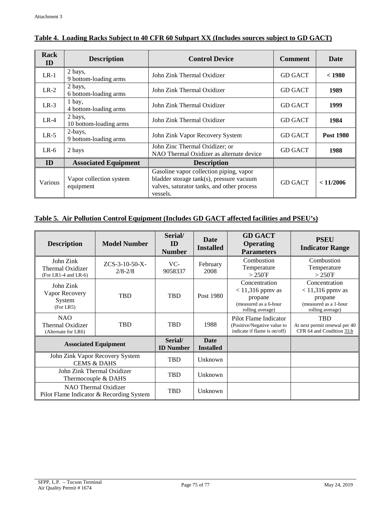| Rack<br>ID | <b>Description</b>                   | <b>Control Device</b>                                                                                                                         | <b>Comment</b> | <b>Date</b>      |
|------------|--------------------------------------|-----------------------------------------------------------------------------------------------------------------------------------------------|----------------|------------------|
| $LR-1$     | 2 bays,<br>9 bottom-loading arms     | John Zink Thermal Oxidizer                                                                                                                    | <b>GD GACT</b> | < 1980           |
| $LR-2$     | 2 bays,<br>6 bottom-loading arms     | John Zink Thermal Oxidizer                                                                                                                    | <b>GD GACT</b> | 1989             |
| $LR-3$     | 1 bay,<br>4 bottom-loading arms      | John Zink Thermal Oxidizer                                                                                                                    | <b>GD GACT</b> | 1999             |
| $LR-4$     | 2 bays,<br>10 bottom-loading arms    | John Zink Thermal Oxidizer                                                                                                                    | <b>GD GACT</b> | 1984             |
| $LR-5$     | 2-bays,<br>9 bottom-loading arms     | John Zink Vapor Recovery System                                                                                                               | <b>GD GACT</b> | <b>Post 1980</b> |
| $LR-6$     | 2 bays                               | John Zinc Thermal Oxidizer; or<br>NAO Thermal Oxidizer as alternate device                                                                    | <b>GD GACT</b> | 1988             |
| ID         | <b>Associated Equipment</b>          | <b>Description</b>                                                                                                                            |                |                  |
| Various    | Vapor collection system<br>equipment | Gasoline vapor collection piping, vapor<br>bladder storage tank(s), pressure vacuum<br>valves, saturator tanks, and other process<br>vessels. | <b>GD GACT</b> | < 11/2006        |

### **Table 4. Loading Racks Subject to 40 CFR 60 Subpart XX (Includes sources subject to GD GACT)**

### **Table 5. Air Pollution Control Equipment (Includes GD GACT affected facilities and PSEU's)**

| <b>Description</b>                                               | <b>Model Number</b>             | Serial/<br>ID<br><b>Number</b>  | Date<br><b>Installed</b> | <b>GD GACT</b><br><b>Operating</b><br><b>Parameters</b>                                     | <b>PSEU</b><br><b>Indicator Range</b>                                                       |
|------------------------------------------------------------------|---------------------------------|---------------------------------|--------------------------|---------------------------------------------------------------------------------------------|---------------------------------------------------------------------------------------------|
| John Zink<br>Thermal Oxidizer<br>$(For LR1-4 and LR-6)$          | $ZCS-3-10-50-X-$<br>$2/8 - 2/8$ | VC-<br>9058337                  | February<br>2008         | Combustion<br>Temperature<br>$>250$ °F                                                      | Combustion<br>Temperature<br>$>250^{\circ}$ F                                               |
| John Zink<br>Vapor Recovery<br>System<br>(For LR5)               | <b>TBD</b>                      | <b>TBD</b>                      | Post 1980                | Concentration<br>$<$ 11,316 ppmv as<br>propane<br>(measured as a 6-hour<br>rolling average) | Concentration<br>$<$ 11,316 ppmv as<br>propane<br>(measured as a 1-hour<br>rolling average) |
| <b>NAO</b><br>Thermal Oxidizer<br>(Alternate for LR6)            | <b>TBD</b>                      | <b>TBD</b>                      | 1988                     | Pilot Flame Indicator<br>(Positive/Negative value to<br>indicate if flame is on/off)        | <b>TBD</b><br>At next permit renewal per 40<br>CFR 64 and Condition 33.b                    |
| <b>Associated Equipment</b>                                      | Serial/<br><b>ID</b> Number     | <b>Date</b><br><b>Installed</b> |                          |                                                                                             |                                                                                             |
| John Zink Vapor Recovery System<br><b>CEMS &amp; DAHS</b>        | TBD                             | Unknown                         |                          |                                                                                             |                                                                                             |
| John Zink Thermal Oxidizer<br>Thermocouple & DAHS                |                                 | TBD                             | Unknown                  |                                                                                             |                                                                                             |
| NAO Thermal Oxidizer<br>Pilot Flame Indicator & Recording System |                                 | <b>TBD</b>                      | Unknown                  |                                                                                             |                                                                                             |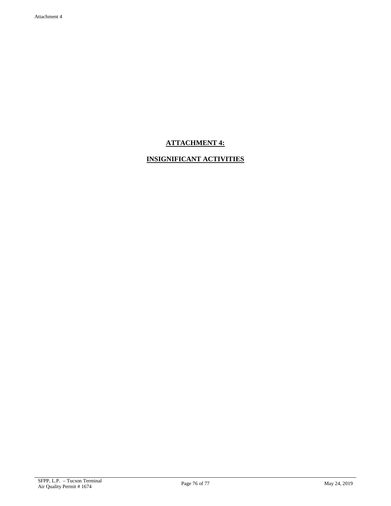# **ATTACHMENT 4:**

# **INSIGNIFICANT ACTIVITIES**